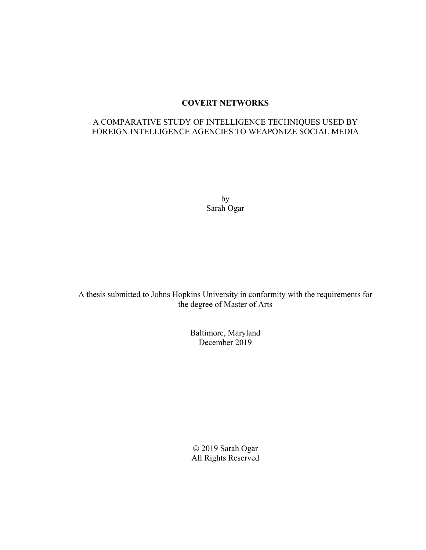# **COVERT NETWORKS**

# A COMPARATIVE STUDY OF INTELLIGENCE TECHNIQUES USED BY FOREIGN INTELLIGENCE AGENCIES TO WEAPONIZE SOCIAL MEDIA

by Sarah Ogar

A thesis submitted to Johns Hopkins University in conformity with the requirements for the degree of Master of Arts

> Baltimore, Maryland December 2019

 2019 Sarah Ogar All Rights Reserved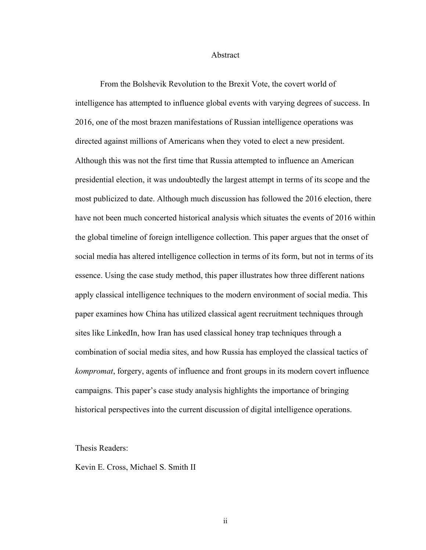#### Abstract

 From the Bolshevik Revolution to the Brexit Vote, the covert world of intelligence has attempted to influence global events with varying degrees of success. In 2016, one of the most brazen manifestations of Russian intelligence operations was directed against millions of Americans when they voted to elect a new president. Although this was not the first time that Russia attempted to influence an American presidential election, it was undoubtedly the largest attempt in terms of its scope and the most publicized to date. Although much discussion has followed the 2016 election, there have not been much concerted historical analysis which situates the events of 2016 within the global timeline of foreign intelligence collection. This paper argues that the onset of social media has altered intelligence collection in terms of its form, but not in terms of its essence. Using the case study method, this paper illustrates how three different nations apply classical intelligence techniques to the modern environment of social media. This paper examines how China has utilized classical agent recruitment techniques through sites like LinkedIn, how Iran has used classical honey trap techniques through a combination of social media sites, and how Russia has employed the classical tactics of *kompromat*, forgery, agents of influence and front groups in its modern covert influence campaigns. This paper's case study analysis highlights the importance of bringing historical perspectives into the current discussion of digital intelligence operations.

### Thesis Readers:

Kevin E. Cross, Michael S. Smith II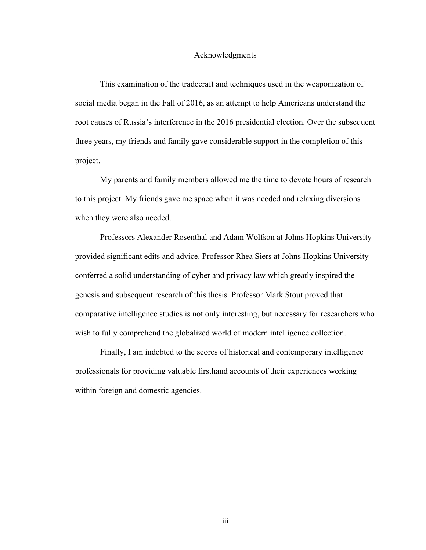### Acknowledgments

This examination of the tradecraft and techniques used in the weaponization of social media began in the Fall of 2016, as an attempt to help Americans understand the root causes of Russia's interference in the 2016 presidential election. Over the subsequent three years, my friends and family gave considerable support in the completion of this project.

My parents and family members allowed me the time to devote hours of research to this project. My friends gave me space when it was needed and relaxing diversions when they were also needed.

Professors Alexander Rosenthal and Adam Wolfson at Johns Hopkins University provided significant edits and advice. Professor Rhea Siers at Johns Hopkins University conferred a solid understanding of cyber and privacy law which greatly inspired the genesis and subsequent research of this thesis. Professor Mark Stout proved that comparative intelligence studies is not only interesting, but necessary for researchers who wish to fully comprehend the globalized world of modern intelligence collection.

Finally, I am indebted to the scores of historical and contemporary intelligence professionals for providing valuable firsthand accounts of their experiences working within foreign and domestic agencies.

iii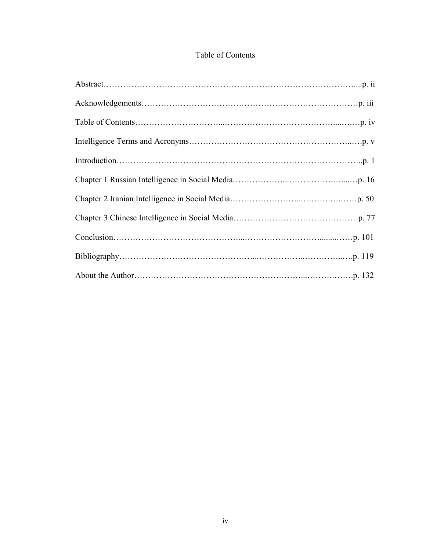# Table of Contents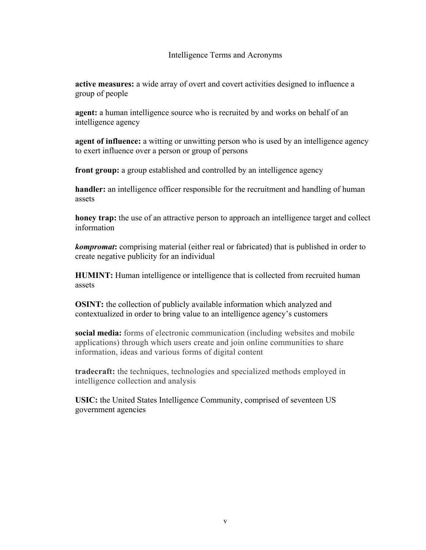## Intelligence Terms and Acronyms

**active measures:** a wide array of overt and covert activities designed to influence a group of people

**agent:** a human intelligence source who is recruited by and works on behalf of an intelligence agency

**agent of influence:** a witting or unwitting person who is used by an intelligence agency to exert influence over a person or group of persons

**front group:** a group established and controlled by an intelligence agency

**handler:** an intelligence officer responsible for the recruitment and handling of human assets

**honey trap:** the use of an attractive person to approach an intelligence target and collect information

*kompromat***:** comprising material (either real or fabricated) that is published in order to create negative publicity for an individual

**HUMINT:** Human intelligence or intelligence that is collected from recruited human assets

**OSINT:** the collection of publicly available information which analyzed and contextualized in order to bring value to an intelligence agency's customers

**social media:** forms of electronic communication (including websites and mobile applications) through which users create and join online communities to share information, ideas and various forms of digital content

**tradecraft:** the techniques, technologies and specialized methods employed in intelligence collection and analysis

**USIC:** the United States Intelligence Community, comprised of seventeen US government agencies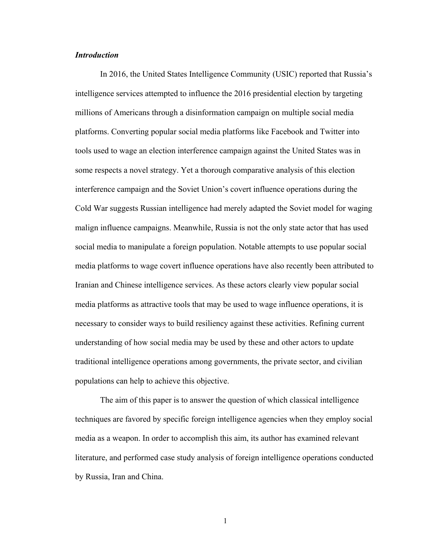## *Introduction*

In 2016, the United States Intelligence Community (USIC) reported that Russia's intelligence services attempted to influence the 2016 presidential election by targeting millions of Americans through a disinformation campaign on multiple social media platforms. Converting popular social media platforms like Facebook and Twitter into tools used to wage an election interference campaign against the United States was in some respects a novel strategy. Yet a thorough comparative analysis of this election interference campaign and the Soviet Union's covert influence operations during the Cold War suggests Russian intelligence had merely adapted the Soviet model for waging malign influence campaigns. Meanwhile, Russia is not the only state actor that has used social media to manipulate a foreign population. Notable attempts to use popular social media platforms to wage covert influence operations have also recently been attributed to Iranian and Chinese intelligence services. As these actors clearly view popular social media platforms as attractive tools that may be used to wage influence operations, it is necessary to consider ways to build resiliency against these activities. Refining current understanding of how social media may be used by these and other actors to update traditional intelligence operations among governments, the private sector, and civilian populations can help to achieve this objective.

The aim of this paper is to answer the question of which classical intelligence techniques are favored by specific foreign intelligence agencies when they employ social media as a weapon. In order to accomplish this aim, its author has examined relevant literature, and performed case study analysis of foreign intelligence operations conducted by Russia, Iran and China.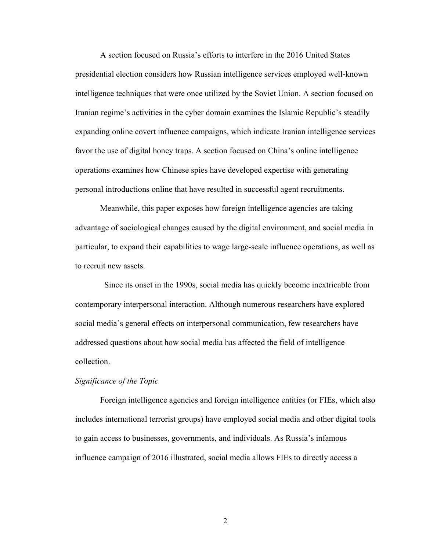A section focused on Russia's efforts to interfere in the 2016 United States presidential election considers how Russian intelligence services employed well-known intelligence techniques that were once utilized by the Soviet Union. A section focused on Iranian regime's activities in the cyber domain examines the Islamic Republic's steadily expanding online covert influence campaigns, which indicate Iranian intelligence services favor the use of digital honey traps. A section focused on China's online intelligence operations examines how Chinese spies have developed expertise with generating personal introductions online that have resulted in successful agent recruitments.

Meanwhile, this paper exposes how foreign intelligence agencies are taking advantage of sociological changes caused by the digital environment, and social media in particular, to expand their capabilities to wage large-scale influence operations, as well as to recruit new assets.

 Since its onset in the 1990s, social media has quickly become inextricable from contemporary interpersonal interaction. Although numerous researchers have explored social media's general effects on interpersonal communication, few researchers have addressed questions about how social media has affected the field of intelligence collection.

#### *Significance of the Topic*

Foreign intelligence agencies and foreign intelligence entities (or FIEs, which also includes international terrorist groups) have employed social media and other digital tools to gain access to businesses, governments, and individuals. As Russia's infamous influence campaign of 2016 illustrated, social media allows FIEs to directly access a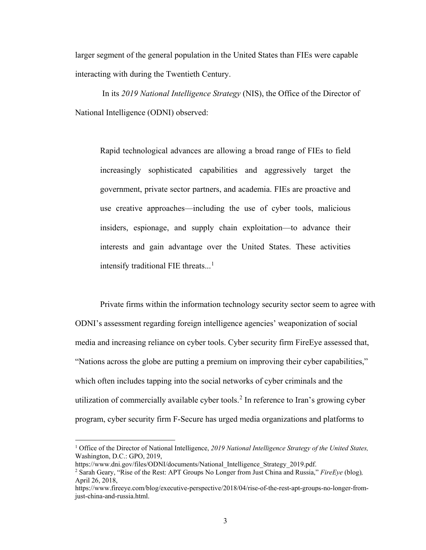larger segment of the general population in the United States than FIEs were capable interacting with during the Twentieth Century.

In its *2019 National Intelligence Strategy* (NIS), the Office of the Director of National Intelligence (ODNI) observed:

Rapid technological advances are allowing a broad range of FIEs to field increasingly sophisticated capabilities and aggressively target the government, private sector partners, and academia. FIEs are proactive and use creative approaches—including the use of cyber tools, malicious insiders, espionage, and supply chain exploitation—to advance their interests and gain advantage over the United States. These activities intensify traditional FIE threats...<sup>[1](#page-7-0)</sup>

Private firms within the information technology security sector seem to agree with ODNI's assessment regarding foreign intelligence agencies' weaponization of social media and increasing reliance on cyber tools. Cyber security firm FireEye assessed that, "Nations across the globe are putting a premium on improving their cyber capabilities," which often includes tapping into the social networks of cyber criminals and the utilization of commercially available cyber tools.<sup>[2](#page-7-1)</sup> In reference to Iran's growing cyber program, cyber security firm F-Secure has urged media organizations and platforms to

<span id="page-7-0"></span><sup>1</sup> Office of the Director of National Intelligence, *2019 National Intelligence Strategy of the United States,* Washington, D.C.: GPO, 2019,

https://www.dni.gov/files/ODNI/documents/National\_Intelligence\_Strategy\_2019.pdf.

<span id="page-7-1"></span><sup>2</sup> Sarah Geary, "Rise of the Rest: APT Groups No Longer from Just China and Russia," *FireEye* (blog)*,*  April 26, 2018,

https://www.fireeye.com/blog/executive-perspective/2018/04/rise-of-the-rest-apt-groups-no-longer-fromjust-china-and-russia.html.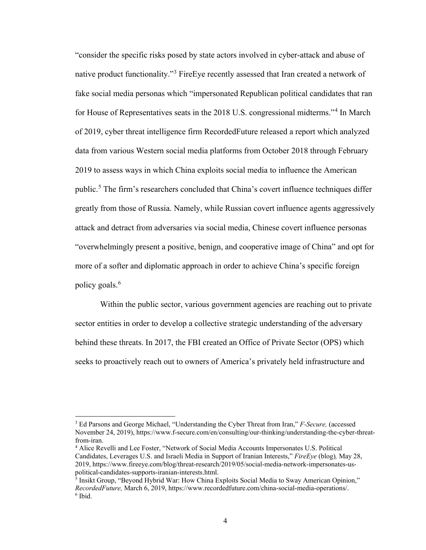"consider the specific risks posed by state actors involved in cyber-attack and abuse of native product functionality."<sup>[3](#page-8-0)</sup> FireEye recently assessed that Iran created a network of fake social media personas which "impersonated Republican political candidates that ran for House of Representatives seats in the 2018 U.S. congressional midterms."<sup>[4](#page-8-1)</sup> In March of 2019, cyber threat intelligence firm RecordedFuture released a report which analyzed data from various Western social media platforms from October 2018 through February 2019 to assess ways in which China exploits social media to influence the American public.[5](#page-8-2) The firm's researchers concluded that China's covert influence techniques differ greatly from those of Russia. Namely, while Russian covert influence agents aggressively attack and detract from adversaries via social media, Chinese covert influence personas "overwhelmingly present a positive, benign, and cooperative image of China" and opt for more of a softer and diplomatic approach in order to achieve China's specific foreign policy goals.<sup>[6](#page-8-3)</sup>

Within the public sector, various government agencies are reaching out to private sector entities in order to develop a collective strategic understanding of the adversary behind these threats. In 2017, the FBI created an Office of Private Sector (OPS) which seeks to proactively reach out to owners of America's privately held infrastructure and

<span id="page-8-0"></span><sup>3</sup> Ed Parsons and George Michael, "Understanding the Cyber Threat from Iran," *F-Secure,* (accessed November 24, 2019), https://www.f-secure.com/en/consulting/our-thinking/understanding-the-cyber-threatfrom-iran.<br><sup>4</sup> Alice Revelli and Lee Foster, "Network of Social Media Accounts Impersonates U.S. Political

<span id="page-8-1"></span>Candidates, Leverages U.S. and Israeli Media in Support of Iranian Interests," *FireEye* (blog)*,* May 28, 2019, https://www.fireeye.com/blog/threat-research/2019/05/social-media-network-impersonates-uspolitical-candidates-supports-iranian-interests.html.

<span id="page-8-3"></span><span id="page-8-2"></span><sup>&</sup>lt;sup>5</sup> Insikt Group, "Beyond Hybrid War: How China Exploits Social Media to Sway American Opinion," *RecordedFuture,* March 6, 2019, https://www.recordedfuture.com/china-social-media-operations/.  $6$  Ibid.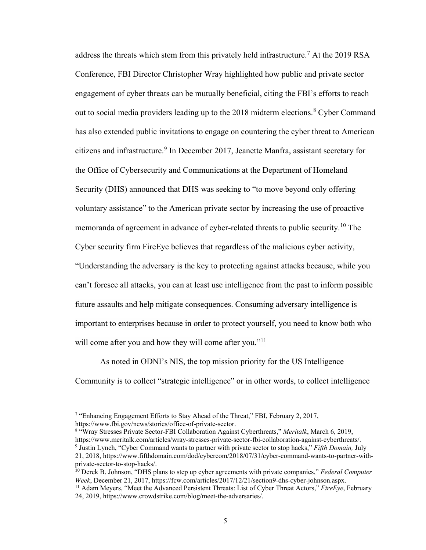address the threats which stem from this privately held infrastructure.<sup>[7](#page-9-0)</sup> At the 2019 RSA Conference, FBI Director Christopher Wray highlighted how public and private sector engagement of cyber threats can be mutually beneficial, citing the FBI's efforts to reach out to social media providers leading up to the 201[8](#page-9-1) midterm elections.<sup>8</sup> Cyber Command has also extended public invitations to engage on countering the cyber threat to American citizens and infrastructure.<sup>[9](#page-9-2)</sup> In December 2017, Jeanette Manfra, assistant secretary for the Office of Cybersecurity and Communications at the Department of Homeland Security (DHS) announced that DHS was seeking to "to move beyond only offering voluntary assistance" to the American private sector by increasing the use of proactive memoranda of agreement in advance of cyber-related threats to public security.<sup>[10](#page-9-3)</sup> The Cyber security firm FireEye believes that regardless of the malicious cyber activity, "Understanding the adversary is the key to protecting against attacks because, while you can't foresee all attacks, you can at least use intelligence from the past to inform possible future assaults and help mitigate consequences. Consuming adversary intelligence is important to enterprises because in order to protect yourself, you need to know both who will come after you and how they will come after you."<sup>[11](#page-9-4)</sup>

As noted in ODNI's NIS, the top mission priority for the US Intelligence Community is to collect "strategic intelligence" or in other words, to collect intelligence

 $\overline{a}$ 

<span id="page-9-2"></span><span id="page-9-1"></span>https://www.fbi.gov/news/stories/office-of-private-sector. 8 "Wray Stresses Private Sector-FBI Collaboration Against Cyberthreats," *Meritalk*, March 6, 2019, https://www.meritalk.com/articles/wray-stresses-private-sector-fbi-collaboration-against-cyberthreats/. 9 Justin Lynch, "Cyber Command wants to partner with private sector to stop hacks," *Fifth Domain,* July 21, 2018, https://www.fifthdomain.com/dod/cybercom/2018/07/31/cyber-command-wants-to-partner-withprivate-sector-to-stop-hacks/.

<span id="page-9-3"></span><sup>10</sup> Derek B. Johnson, "DHS plans to step up cyber agreements with private companies," *Federal Computer Week*, December 21, 2017, https://fcw.com/articles/2017/12/21/section9-dhs-cyber-johnson.aspx.

<span id="page-9-0"></span><sup>&</sup>lt;sup>7</sup> "Enhancing Engagement Efforts to Stay Ahead of the Threat," FBI, February 2, 2017,

<span id="page-9-4"></span><sup>&</sup>lt;sup>11</sup> Adam Meyers, "Meet the Advanced Persistent Threats: List of Cyber Threat Actors," *FireEye*, February 24, 2019, https://www.crowdstrike.com/blog/meet-the-adversaries/.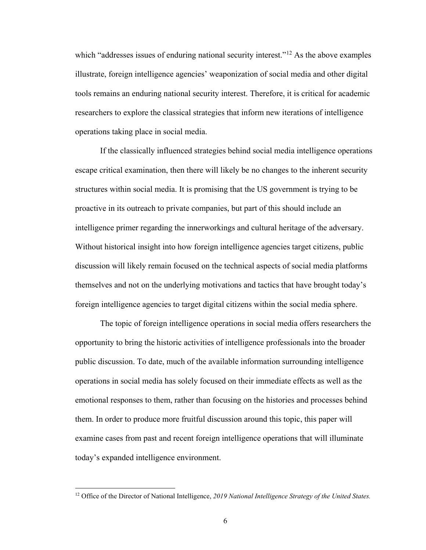which "addresses issues of enduring national security interest."<sup>[12](#page-10-0)</sup> As the above examples illustrate, foreign intelligence agencies' weaponization of social media and other digital tools remains an enduring national security interest. Therefore, it is critical for academic researchers to explore the classical strategies that inform new iterations of intelligence operations taking place in social media.

If the classically influenced strategies behind social media intelligence operations escape critical examination, then there will likely be no changes to the inherent security structures within social media. It is promising that the US government is trying to be proactive in its outreach to private companies, but part of this should include an intelligence primer regarding the innerworkings and cultural heritage of the adversary. Without historical insight into how foreign intelligence agencies target citizens, public discussion will likely remain focused on the technical aspects of social media platforms themselves and not on the underlying motivations and tactics that have brought today's foreign intelligence agencies to target digital citizens within the social media sphere.

 The topic of foreign intelligence operations in social media offers researchers the opportunity to bring the historic activities of intelligence professionals into the broader public discussion. To date, much of the available information surrounding intelligence operations in social media has solely focused on their immediate effects as well as the emotional responses to them, rather than focusing on the histories and processes behind them. In order to produce more fruitful discussion around this topic, this paper will examine cases from past and recent foreign intelligence operations that will illuminate today's expanded intelligence environment.

<span id="page-10-0"></span><sup>12</sup> Office of the Director of National Intelligence, *2019 National Intelligence Strategy of the United States.*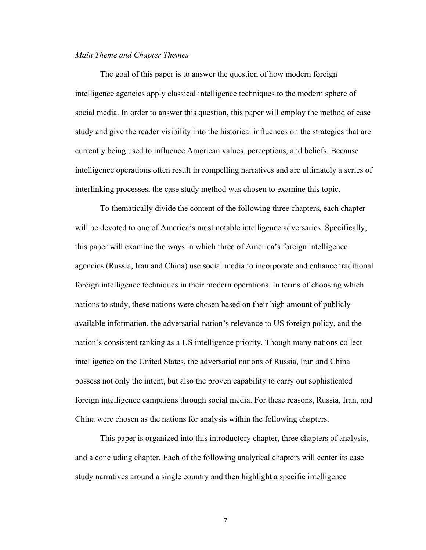#### *Main Theme and Chapter Themes*

The goal of this paper is to answer the question of how modern foreign intelligence agencies apply classical intelligence techniques to the modern sphere of social media. In order to answer this question, this paper will employ the method of case study and give the reader visibility into the historical influences on the strategies that are currently being used to influence American values, perceptions, and beliefs. Because intelligence operations often result in compelling narratives and are ultimately a series of interlinking processes, the case study method was chosen to examine this topic.

To thematically divide the content of the following three chapters, each chapter will be devoted to one of America's most notable intelligence adversaries. Specifically, this paper will examine the ways in which three of America's foreign intelligence agencies (Russia, Iran and China) use social media to incorporate and enhance traditional foreign intelligence techniques in their modern operations. In terms of choosing which nations to study, these nations were chosen based on their high amount of publicly available information, the adversarial nation's relevance to US foreign policy, and the nation's consistent ranking as a US intelligence priority. Though many nations collect intelligence on the United States, the adversarial nations of Russia, Iran and China possess not only the intent, but also the proven capability to carry out sophisticated foreign intelligence campaigns through social media. For these reasons, Russia, Iran, and China were chosen as the nations for analysis within the following chapters.

This paper is organized into this introductory chapter, three chapters of analysis, and a concluding chapter. Each of the following analytical chapters will center its case study narratives around a single country and then highlight a specific intelligence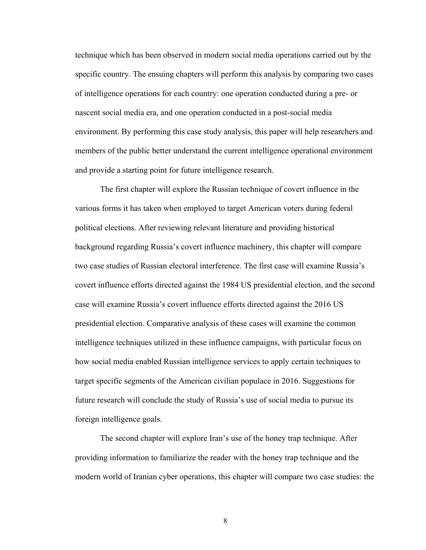technique which has been observed in modern social media operations carried out by the specific country. The ensuing chapters will perform this analysis by comparing two cases of intelligence operations for each country: one operation conducted during a pre- or nascent social media era, and one operation conducted in a post-social media environment. By performing this case study analysis, this paper will help researchers and members of the public better understand the current intelligence operational environment and provide a starting point for future intelligence research.

The first chapter will explore the Russian technique of covert influence in the various forms it has taken when employed to target American voters during federal political elections. After reviewing relevant literature and providing historical background regarding Russia's covert influence machinery, this chapter will compare two case studies of Russian electoral interference. The first case will examine Russia's covert influence efforts directed against the 1984 US presidential election, and the second case will examine Russia's covert influence efforts directed against the 2016 US presidential election. Comparative analysis of these cases will examine the common intelligence techniques utilized in these influence campaigns, with particular focus on how social media enabled Russian intelligence services to apply certain techniques to target specific segments of the American civilian populace in 2016. Suggestions for future research will conclude the study of Russia's use of social media to pursue its foreign intelligence goals.

The second chapter will explore Iran's use of the honey trap technique. After providing information to familiarize the reader with the honey trap technique and the modern world of Iranian cyber operations, this chapter will compare two case studies: the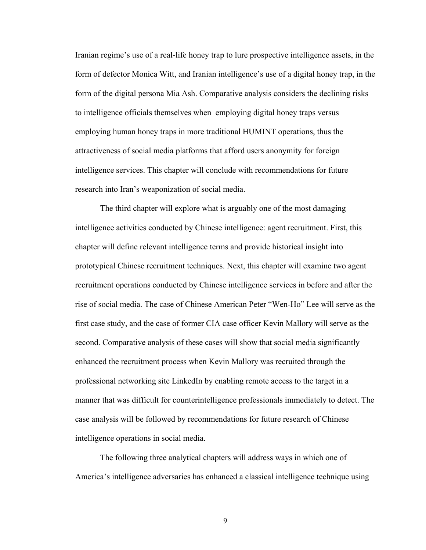Iranian regime's use of a real-life honey trap to lure prospective intelligence assets, in the form of defector Monica Witt, and Iranian intelligence's use of a digital honey trap, in the form of the digital persona Mia Ash. Comparative analysis considers the declining risks to intelligence officials themselves when employing digital honey traps versus employing human honey traps in more traditional HUMINT operations, thus the attractiveness of social media platforms that afford users anonymity for foreign intelligence services. This chapter will conclude with recommendations for future research into Iran's weaponization of social media.

The third chapter will explore what is arguably one of the most damaging intelligence activities conducted by Chinese intelligence: agent recruitment. First, this chapter will define relevant intelligence terms and provide historical insight into prototypical Chinese recruitment techniques. Next, this chapter will examine two agent recruitment operations conducted by Chinese intelligence services in before and after the rise of social media. The case of Chinese American Peter "Wen-Ho" Lee will serve as the first case study, and the case of former CIA case officer Kevin Mallory will serve as the second. Comparative analysis of these cases will show that social media significantly enhanced the recruitment process when Kevin Mallory was recruited through the professional networking site LinkedIn by enabling remote access to the target in a manner that was difficult for counterintelligence professionals immediately to detect. The case analysis will be followed by recommendations for future research of Chinese intelligence operations in social media.

The following three analytical chapters will address ways in which one of America's intelligence adversaries has enhanced a classical intelligence technique using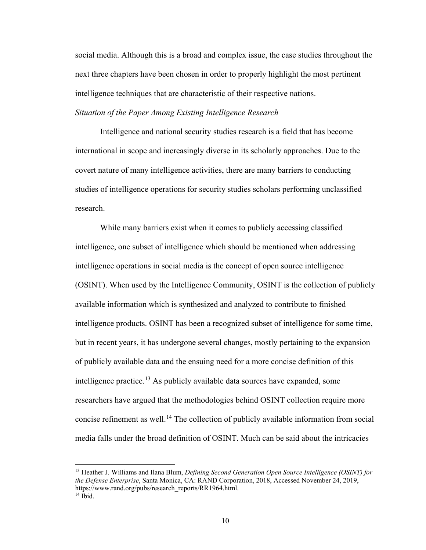social media. Although this is a broad and complex issue, the case studies throughout the next three chapters have been chosen in order to properly highlight the most pertinent intelligence techniques that are characteristic of their respective nations.

# *Situation of the Paper Among Existing Intelligence Research*

 Intelligence and national security studies research is a field that has become international in scope and increasingly diverse in its scholarly approaches. Due to the covert nature of many intelligence activities, there are many barriers to conducting studies of intelligence operations for security studies scholars performing unclassified research.

While many barriers exist when it comes to publicly accessing classified intelligence, one subset of intelligence which should be mentioned when addressing intelligence operations in social media is the concept of open source intelligence (OSINT). When used by the Intelligence Community, OSINT is the collection of publicly available information which is synthesized and analyzed to contribute to finished intelligence products. OSINT has been a recognized subset of intelligence for some time, but in recent years, it has undergone several changes, mostly pertaining to the expansion of publicly available data and the ensuing need for a more concise definition of this intelligence practice.<sup>[13](#page-14-0)</sup> As publicly available data sources have expanded, some researchers have argued that the methodologies behind OSINT collection require more concise refinement as well.<sup>[14](#page-14-1)</sup> The collection of publicly available information from social media falls under the broad definition of OSINT. Much can be said about the intricacies

<span id="page-14-1"></span><span id="page-14-0"></span><sup>13</sup> Heather J. Williams and Ilana Blum, *Defining Second Generation Open Source Intelligence (OSINT) for the Defense Enterprise*, Santa Monica, CA: RAND Corporation, 2018, Accessed November 24, 2019, https://www.rand.org/pubs/research\_reports/RR1964.html. 14 Ibid.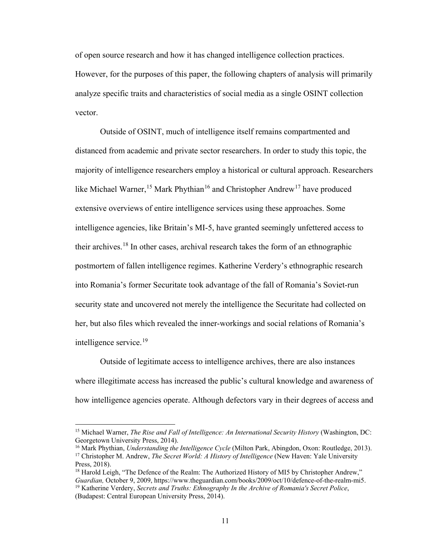of open source research and how it has changed intelligence collection practices. However, for the purposes of this paper, the following chapters of analysis will primarily analyze specific traits and characteristics of social media as a single OSINT collection vector.

Outside of OSINT, much of intelligence itself remains compartmented and distanced from academic and private sector researchers. In order to study this topic, the majority of intelligence researchers employ a historical or cultural approach. Researchers like Michael Warner,<sup>15</sup> Mark Phythian<sup>[16](#page-15-1)</sup> and Christopher Andrew<sup>[17](#page-15-2)</sup> have produced extensive overviews of entire intelligence services using these approaches. Some intelligence agencies, like Britain's MI-5, have granted seemingly unfettered access to their archives.<sup>[18](#page-15-3)</sup> In other cases, archival research takes the form of an ethnographic postmortem of fallen intelligence regimes. Katherine Verdery's ethnographic research into Romania's former Securitate took advantage of the fall of Romania's Soviet-run security state and uncovered not merely the intelligence the Securitate had collected on her, but also files which revealed the inner-workings and social relations of Romania's intelligence service.<sup>19</sup>

Outside of legitimate access to intelligence archives, there are also instances where illegitimate access has increased the public's cultural knowledge and awareness of how intelligence agencies operate. Although defectors vary in their degrees of access and

<span id="page-15-0"></span><sup>15</sup> Michael Warner, *The Rise and Fall of Intelligence: An International Security History* (Washington, DC: Georgetown University Press, 2014).

<span id="page-15-2"></span><span id="page-15-1"></span><sup>16</sup> Mark Phythian, *Understanding the Intelligence Cycle* (Milton Park, Abingdon, Oxon: Routledge, 2013). <sup>17</sup> Christopher M. Andrew, *The Secret World: A History of Intelligence* (New Haven: Yale University Press, 2018).

<span id="page-15-4"></span><span id="page-15-3"></span><sup>&</sup>lt;sup>18</sup> Harold Leigh, "The Defence of the Realm: The Authorized History of MI5 by Christopher Andrew,"<br>*Guardian*, October 9, 2009, https://www.theguardian.com/books/2009/oct/10/defence-of-the-realm-mi5. <sup>19</sup> Katherine Verdery, *Secrets and Truths: Ethnography In the Archive of Romania's Secret Police*, (Budapest: Central European University Press, 2014).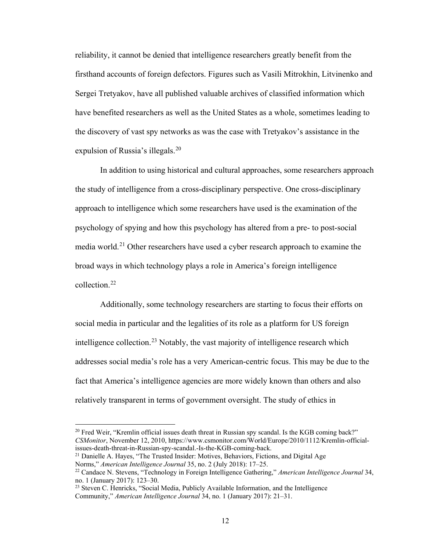reliability, it cannot be denied that intelligence researchers greatly benefit from the firsthand accounts of foreign defectors. Figures such as Vasili Mitrokhin, Litvinenko and Sergei Tretyakov, have all published valuable archives of classified information which have benefited researchers as well as the United States as a whole, sometimes leading to the discovery of vast spy networks as was the case with Tretyakov's assistance in the expulsion of Russia's illegals.<sup>[20](#page-16-0)</sup>

In addition to using historical and cultural approaches, some researchers approach the study of intelligence from a cross-disciplinary perspective. One cross-disciplinary approach to intelligence which some researchers have used is the examination of the psychology of spying and how this psychology has altered from a pre- to post-social media world.<sup>[21](#page-16-1)</sup> Other researchers have used a cyber research approach to examine the broad ways in which technology plays a role in America's foreign intelligence collection.[22](#page-16-2) 

Additionally, some technology researchers are starting to focus their efforts on social media in particular and the legalities of its role as a platform for US foreign intelligence collection.<sup>23</sup> Notably, the vast majority of intelligence research which addresses social media's role has a very American-centric focus. This may be due to the fact that America's intelligence agencies are more widely known than others and also relatively transparent in terms of government oversight. The study of ethics in

<span id="page-16-0"></span> $20$  Fred Weir, "Kremlin official issues death threat in Russian spy scandal. Is the KGB coming back?" *CSMonitor*, November 12, 2010, https://www.csmonitor.com/World/Europe/2010/1112/Kremlin-officialissues-death-threat-in-Russian-spy-scandal.-Is-the-KGB-coming-back.

<span id="page-16-1"></span><sup>&</sup>lt;sup>21</sup> Danielle A. Hayes, "The Trusted Insider: Motives, Behaviors, Fictions, and Digital Age Norms," *American Intelligence Journal* 35, no. 2 (July 2018): 17–25.

<span id="page-16-2"></span><sup>22</sup> Candace N. Stevens, "Technology in Foreign Intelligence Gathering," *American Intelligence Journal* 34, no. 1 (January 2017): 123–30.

<span id="page-16-3"></span><sup>&</sup>lt;sup>23</sup> Steven C. Henricks, "Social Media, Publicly Available Information, and the Intelligence Community," *American Intelligence Journal* 34, no. 1 (January 2017): 21–31.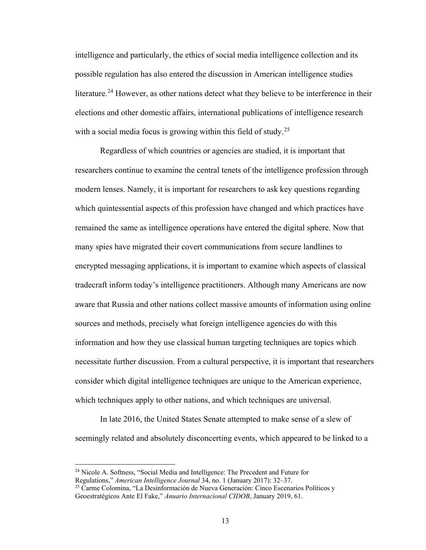intelligence and particularly, the ethics of social media intelligence collection and its possible regulation has also entered the discussion in American intelligence studies literature.<sup>24</sup> However, as other nations detect what they believe to be interference in their elections and other domestic affairs, international publications of intelligence research with a social media focus is growing within this field of study.<sup>[25](#page-17-1)</sup>

Regardless of which countries or agencies are studied, it is important that researchers continue to examine the central tenets of the intelligence profession through modern lenses. Namely, it is important for researchers to ask key questions regarding which quintessential aspects of this profession have changed and which practices have remained the same as intelligence operations have entered the digital sphere. Now that many spies have migrated their covert communications from secure landlines to encrypted messaging applications, it is important to examine which aspects of classical tradecraft inform today's intelligence practitioners. Although many Americans are now aware that Russia and other nations collect massive amounts of information using online sources and methods, precisely what foreign intelligence agencies do with this information and how they use classical human targeting techniques are topics which necessitate further discussion. From a cultural perspective, it is important that researchers consider which digital intelligence techniques are unique to the American experience, which techniques apply to other nations, and which techniques are universal.

 In late 2016, the United States Senate attempted to make sense of a slew of seemingly related and absolutely disconcerting events, which appeared to be linked to a

<span id="page-17-0"></span><sup>24</sup> Nicole A. Softness, "Social Media and Intelligence: The Precedent and Future for Regulations," *American Intelligence Journal* 34, no. 1 (January 2017): 32–37.

<span id="page-17-1"></span><sup>&</sup>lt;sup>25</sup> Carme Colomina, "La Desinformación de Nueva Generación: Cinco Escenarios Políticos y Geoestratégicos Ante El Fake," *Anuario Internacional CIDOB*, January 2019, 61.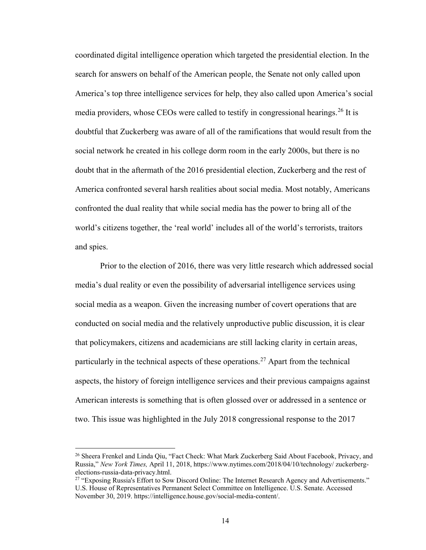coordinated digital intelligence operation which targeted the presidential election. In the search for answers on behalf of the American people, the Senate not only called upon America's top three intelligence services for help, they also called upon America's social media providers, whose CEOs were called to testify in congressional hearings.<sup>[26](#page-18-0)</sup> It is doubtful that Zuckerberg was aware of all of the ramifications that would result from the social network he created in his college dorm room in the early 2000s, but there is no doubt that in the aftermath of the 2016 presidential election, Zuckerberg and the rest of America confronted several harsh realities about social media. Most notably, Americans confronted the dual reality that while social media has the power to bring all of the world's citizens together, the 'real world' includes all of the world's terrorists, traitors and spies.

 Prior to the election of 2016, there was very little research which addressed social media's dual reality or even the possibility of adversarial intelligence services using social media as a weapon. Given the increasing number of covert operations that are conducted on social media and the relatively unproductive public discussion, it is clear that policymakers, citizens and academicians are still lacking clarity in certain areas, particularly in the technical aspects of these operations.<sup>[27](#page-18-1)</sup> Apart from the technical aspects, the history of foreign intelligence services and their previous campaigns against American interests is something that is often glossed over or addressed in a sentence or two. This issue was highlighted in the July 2018 congressional response to the 2017

<span id="page-18-0"></span><sup>&</sup>lt;sup>26</sup> Sheera Frenkel and Linda Oiu, "Fact Check: What Mark Zuckerberg Said About Facebook, Privacy, and Russia," *New York Times,* April 11, 2018, https://www.nytimes.com/2018/04/10/technology/ zuckerbergelections-russia-data-privacy.html.<br><sup>27</sup> "Exposing Russia's Effort to Sow Discord Online: The Internet Research Agency and Advertisements."

<span id="page-18-1"></span>U.S. House of Representatives Permanent Select Committee on Intelligence. U.S. Senate. Accessed November 30, 2019. https://intelligence.house.gov/social-media-content/.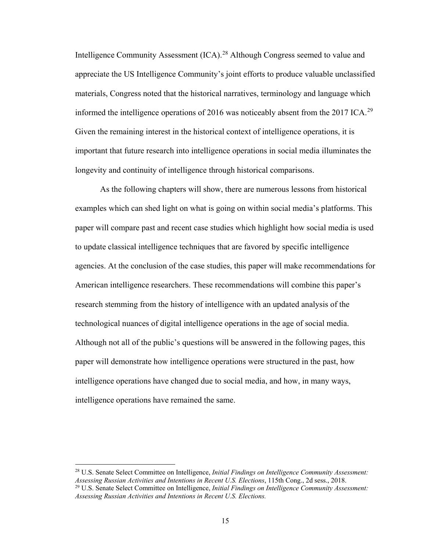Intelligence Community Assessment (ICA).<sup>28</sup> Although Congress seemed to value and appreciate the US Intelligence Community's joint efforts to produce valuable unclassified materials, Congress noted that the historical narratives, terminology and language which informed the intelligence operations of 2016 was noticeably absent from the 2017 ICA.<sup>[29](#page-19-1)</sup> Given the remaining interest in the historical context of intelligence operations, it is important that future research into intelligence operations in social media illuminates the longevity and continuity of intelligence through historical comparisons.

As the following chapters will show, there are numerous lessons from historical examples which can shed light on what is going on within social media's platforms. This paper will compare past and recent case studies which highlight how social media is used to update classical intelligence techniques that are favored by specific intelligence agencies. At the conclusion of the case studies, this paper will make recommendations for American intelligence researchers. These recommendations will combine this paper's research stemming from the history of intelligence with an updated analysis of the technological nuances of digital intelligence operations in the age of social media. Although not all of the public's questions will be answered in the following pages, this paper will demonstrate how intelligence operations were structured in the past, how intelligence operations have changed due to social media, and how, in many ways, intelligence operations have remained the same.

<span id="page-19-1"></span><span id="page-19-0"></span><sup>28</sup> U.S. Senate Select Committee on Intelligence, *Initial Findings on Intelligence Community Assessment: Assessing Russian Activities and Intentions in Recent U.S. Elections*, 115th Cong., 2d sess., 2018. <sup>29</sup> U.S. Senate Select Committee on Intelligence, *Initial Findings on Intelligence Community Assessment: Assessing Russian Activities and Intentions in Recent U.S. Elections.*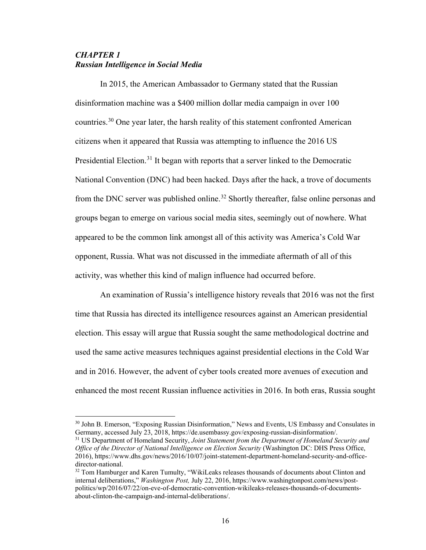# *CHAPTER 1 Russian Intelligence in Social Media*

 $\overline{a}$ 

In 2015, the American Ambassador to Germany stated that the Russian disinformation machine was a \$400 million dollar media campaign in over 100 countries.[30](#page-20-0) One year later, the harsh reality of this statement confronted American citizens when it appeared that Russia was attempting to influence the 2016 US Presidential Election.<sup>[31](#page-20-1)</sup> It began with reports that a server linked to the Democratic National Convention (DNC) had been hacked. Days after the hack, a trove of documents from the DNC server was published online.<sup>32</sup> Shortly thereafter, false online personas and groups began to emerge on various social media sites, seemingly out of nowhere. What appeared to be the common link amongst all of this activity was America's Cold War opponent, Russia. What was not discussed in the immediate aftermath of all of this activity, was whether this kind of malign influence had occurred before.

An examination of Russia's intelligence history reveals that 2016 was not the first time that Russia has directed its intelligence resources against an American presidential election. This essay will argue that Russia sought the same methodological doctrine and used the same active measures techniques against presidential elections in the Cold War and in 2016. However, the advent of cyber tools created more avenues of execution and enhanced the most recent Russian influence activities in 2016. In both eras, Russia sought

<span id="page-20-0"></span><sup>&</sup>lt;sup>30</sup> John B. Emerson, "Exposing Russian Disinformation," News and Events, US Embassy and Consulates in Germany, accessed July 23, 2018, https://de.usembassy.gov/exposing-russian-disinformation/.

<span id="page-20-1"></span><sup>31</sup> US Department of Homeland Security, *Joint Statement from the Department of Homeland Security and Office of the Director of National Intelligence on Election Security* (Washington DC: DHS Press Office, 2016), https://www.dhs.gov/news/2016/10/07/joint-statement-department-homeland-security-and-officedirector-national.

<span id="page-20-2"></span><sup>&</sup>lt;sup>32</sup> Tom Hamburger and Karen Tumulty, "WikiLeaks releases thousands of documents about Clinton and internal deliberations," *Washington Post,* July 22, 2016, https://www.washingtonpost.com/news/postpolitics/wp/2016/07/22/on-eve-of-democratic-convention-wikileaks-releases-thousands-of-documentsabout-clinton-the-campaign-and-internal-deliberations/.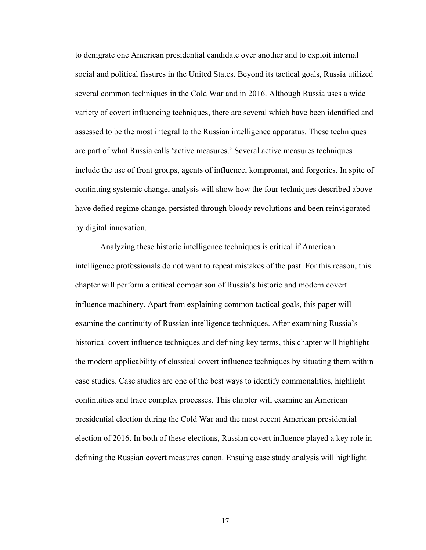to denigrate one American presidential candidate over another and to exploit internal social and political fissures in the United States. Beyond its tactical goals, Russia utilized several common techniques in the Cold War and in 2016. Although Russia uses a wide variety of covert influencing techniques, there are several which have been identified and assessed to be the most integral to the Russian intelligence apparatus. These techniques are part of what Russia calls 'active measures.' Several active measures techniques include the use of front groups, agents of influence, kompromat, and forgeries. In spite of continuing systemic change, analysis will show how the four techniques described above have defied regime change, persisted through bloody revolutions and been reinvigorated by digital innovation.

Analyzing these historic intelligence techniques is critical if American intelligence professionals do not want to repeat mistakes of the past. For this reason, this chapter will perform a critical comparison of Russia's historic and modern covert influence machinery. Apart from explaining common tactical goals, this paper will examine the continuity of Russian intelligence techniques. After examining Russia's historical covert influence techniques and defining key terms, this chapter will highlight the modern applicability of classical covert influence techniques by situating them within case studies. Case studies are one of the best ways to identify commonalities, highlight continuities and trace complex processes. This chapter will examine an American presidential election during the Cold War and the most recent American presidential election of 2016. In both of these elections, Russian covert influence played a key role in defining the Russian covert measures canon. Ensuing case study analysis will highlight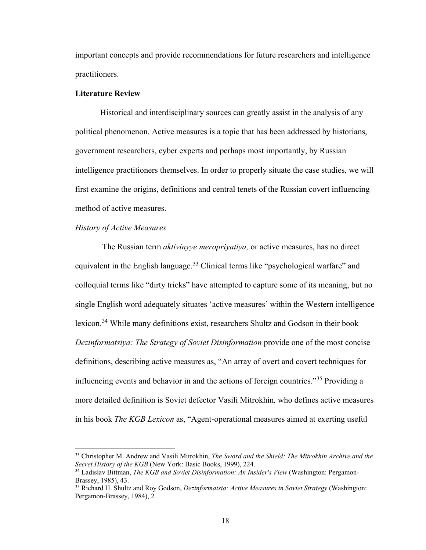important concepts and provide recommendations for future researchers and intelligence practitioners.

### **Literature Review**

Historical and interdisciplinary sources can greatly assist in the analysis of any political phenomenon. Active measures is a topic that has been addressed by historians, government researchers, cyber experts and perhaps most importantly, by Russian intelligence practitioners themselves. In order to properly situate the case studies, we will first examine the origins, definitions and central tenets of the Russian covert influencing method of active measures.

## *History of Active Measures*

 $\overline{a}$ 

The Russian term *aktivinyye meropriyatiya,* or active measures, has no direct equivalent in the English language.<sup>[33](#page-22-0)</sup> Clinical terms like "psychological warfare" and colloquial terms like "dirty tricks" have attempted to capture some of its meaning, but no single English word adequately situates 'active measures' within the Western intelligence lexicon.[34](#page-22-1) While many definitions exist, researchers Shultz and Godson in their book *Dezinformatsiya: The Strategy of Soviet Disinformation* provide one of the most concise definitions, describing active measures as, "An array of overt and covert techniques for influencing events and behavior in and the actions of foreign countries."[35](#page-22-2) Providing a more detailed definition is Soviet defector Vasili Mitrokhin*,* who defines active measures in his book *The KGB Lexicon* as, "Agent-operational measures aimed at exerting useful

<span id="page-22-0"></span><sup>33</sup> Christopher M. Andrew and Vasili Mitrokhin, *The Sword and the Shield: The Mitrokhin Archive and the Secret History of the KGB* (New York: Basic Books, 1999), 224.

<span id="page-22-1"></span><sup>34</sup> Ladislav Bittman, *The KGB and Soviet Disinformation: An Insider's View* (Washington: Pergamon-Brassey, 1985), 43.

<span id="page-22-2"></span><sup>35</sup> Richard H. Shultz and Roy Godson, *Dezinformatsia: Active Measures in Soviet Strategy* (Washington: Pergamon-Brassey, 1984), 2.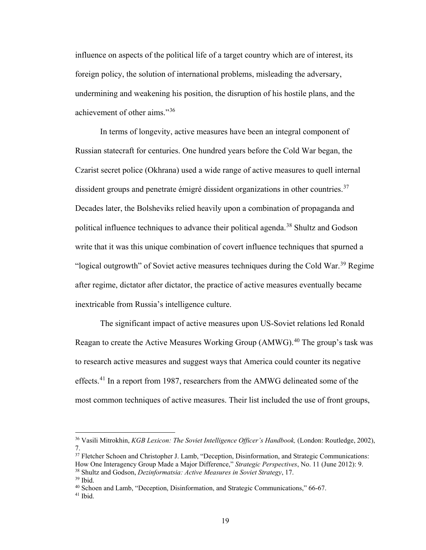influence on aspects of the political life of a target country which are of interest, its foreign policy, the solution of international problems, misleading the adversary, undermining and weakening his position, the disruption of his hostile plans, and the achievement of other aims."[36](#page-23-0)

In terms of longevity, active measures have been an integral component of Russian statecraft for centuries. One hundred years before the Cold War began, the Czarist secret police (Okhrana) used a wide range of active measures to quell internal dissident groups and penetrate émigré dissident organizations in other countries.<sup>[37](#page-23-1)</sup> Decades later, the Bolsheviks relied heavily upon a combination of propaganda and political influence techniques to advance their political agenda.<sup>[38](#page-23-2)</sup> Shultz and Godson write that it was this unique combination of covert influence techniques that spurned a "logical outgrowth" of Soviet active measures techniques during the Cold War.<sup>[39](#page-23-3)</sup> Regime after regime, dictator after dictator, the practice of active measures eventually became inextricable from Russia's intelligence culture.

The significant impact of active measures upon US-Soviet relations led Ronald Reagan to create the Active Measures Working Group (AMWG).<sup>40</sup> The group's task was to research active measures and suggest ways that America could counter its negative effects.[41](#page-23-5) In a report from 1987, researchers from the AMWG delineated some of the most common techniques of active measures. Their list included the use of front groups,

<span id="page-23-0"></span><sup>36</sup> Vasili Mitrokhin, *KGB Lexicon: The Soviet Intelligence Officer's Handbook,* (London: Routledge, 2002), 7.

<span id="page-23-2"></span><span id="page-23-1"></span><sup>&</sup>lt;sup>37</sup> Fletcher Schoen and Christopher J. Lamb, "Deception, Disinformation, and Strategic Communications: How One Interagency Group Made a Major Difference," *Strategic Perspectives*, No. 11 (June 2012): 9. <sup>38</sup> Shultz and Godson, *Dezinformatsia: Active Measures in Soviet Strategy*, 17.

<span id="page-23-3"></span><sup>&</sup>lt;sup>40</sup> Schoen and Lamb, "Deception, Disinformation, and Strategic Communications," 66-67.

<span id="page-23-5"></span><span id="page-23-4"></span><sup>41</sup> Ibid.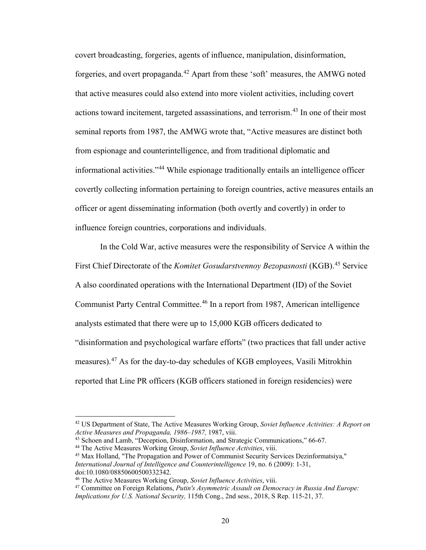covert broadcasting, forgeries, agents of influence, manipulation, disinformation, forgeries, and overt propaganda.<sup>[42](#page-24-0)</sup> Apart from these 'soft' measures, the AMWG noted that active measures could also extend into more violent activities, including covert actions toward incitement, targeted assassinations, and terrorism.<sup>43</sup> In one of their most seminal reports from 1987, the AMWG wrote that, "Active measures are distinct both from espionage and counterintelligence, and from traditional diplomatic and informational activities."[44](#page-24-2) While espionage traditionally entails an intelligence officer covertly collecting information pertaining to foreign countries, active measures entails an officer or agent disseminating information (both overtly and covertly) in order to influence foreign countries, corporations and individuals.

In the Cold War, active measures were the responsibility of Service A within the First Chief Directorate of the *Komitet Gosudarstvennoy Bezopasnosti* (KGB).<sup>[45](#page-24-3)</sup> Service A also coordinated operations with the International Department (ID) of the Soviet Communist Party Central Committee.[46](#page-24-4) In a report from 1987, American intelligence analysts estimated that there were up to 15,000 KGB officers dedicated to "disinformation and psychological warfare efforts" (two practices that fall under active measures).<sup>[47](#page-24-5)</sup> As for the day-to-day schedules of KGB employees, Vasili Mitrokhin reported that Line PR officers (KGB officers stationed in foreign residencies) were

<span id="page-24-0"></span><sup>42</sup> US Department of State, The Active Measures Working Group, *Soviet Influence Activities: A Report on Active Measures and Propaganda, 1986–1987,* 1987, viii.

<span id="page-24-1"></span><sup>43</sup> Schoen and Lamb, "Deception, Disinformation, and Strategic Communications," 66-67.

<span id="page-24-3"></span><span id="page-24-2"></span><sup>44</sup> The Active Measures Working Group, *Soviet Influence Activities*, viii.

<sup>45</sup> Max Holland, "The Propagation and Power of Communist Security Services Dezinformatsiya," *International Journal of Intelligence and Counterintelligence* 19, no. 6 (2009): 1-31, doi:10.1080/08850600500332342.

<sup>46</sup> The Active Measures Working Group, *Soviet Influence Activities*, viii.

<span id="page-24-5"></span><span id="page-24-4"></span><sup>47</sup> Committee on Foreign Relations, *Putin's Asymmetric Assault on Democracy in Russia And Europe: Implications for U.S. National Security,* 115th Cong., 2nd sess., 2018, S Rep. 115-21, 37.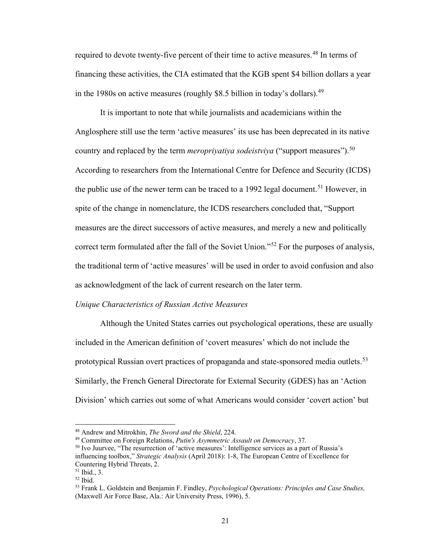required to devote twenty-five percent of their time to active measures.<sup>[48](#page-25-0)</sup> In terms of financing these activities, the CIA estimated that the KGB spent \$4 billion dollars a year in the 1980s on active measures (roughly \$8.5 billion in today's dollars).<sup>49</sup>

It is important to note that while journalists and academicians within the Anglosphere still use the term 'active measures' its use has been deprecated in its native country and replaced by the term *meroprivativa sodeistviva* ("support measures").<sup>[50](#page-25-2)</sup> According to researchers from the International Centre for Defence and Security (ICDS) the public use of the newer term can be traced to a 1992 legal document.<sup>51</sup> However, in spite of the change in nomenclature, the ICDS researchers concluded that, "Support measures are the direct successors of active measures, and merely a new and politically correct term formulated after the fall of the Soviet Union."<sup>[52](#page-25-4)</sup> For the purposes of analysis, the traditional term of 'active measures' will be used in order to avoid confusion and also as acknowledgment of the lack of current research on the later term.

### *Unique Characteristics of Russian Active Measures*

Although the United States carries out psychological operations, these are usually included in the American definition of 'covert measures' which do not include the prototypical Russian overt practices of propaganda and state-sponsored media outlets.<sup>[53](#page-25-5)</sup> Similarly, the French General Directorate for External Security (GDES) has an 'Action Division' which carries out some of what Americans would consider 'covert action' but

<sup>48</sup> Andrew and Mitrokhin, *The Sword and the Shield*, 224.

<span id="page-25-1"></span><span id="page-25-0"></span><sup>49</sup> Committee on Foreign Relations, *Putin's Asymmetric Assault on Democracy*, 37.

<span id="page-25-2"></span><sup>50</sup> Ivo Juurvee, "The resurrection of 'active measures': Intelligence services as a part of Russia's influencing toolbox," *Strategic Analysis* (April 2018): 1-8, The European Centre of Excellence for Countering Hybrid Threats, 2.

 $51$  Ibid., 3.

<span id="page-25-4"></span><span id="page-25-3"></span> $52$  Ibid.

<span id="page-25-5"></span><sup>53</sup> Frank L. Goldstein and Benjamin F. Findley, *Psychological Operations: Principles and Case Studies,* (Maxwell Air Force Base, Ala.: Air University Press, 1996), 5.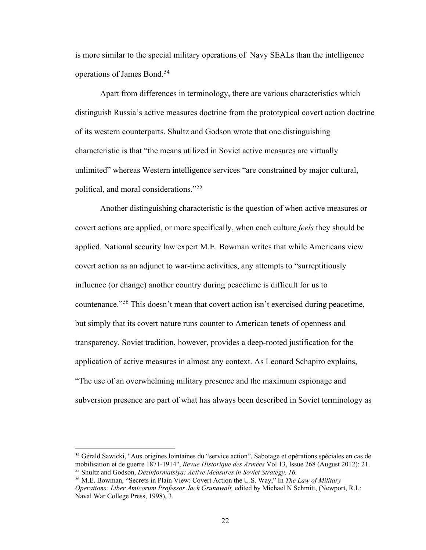is more similar to the special military operations of Navy SEALs than the intelligence operations of James Bond.<sup>[54](#page-26-0)</sup>

Apart from differences in terminology, there are various characteristics which distinguish Russia's active measures doctrine from the prototypical covert action doctrine of its western counterparts. Shultz and Godson wrote that one distinguishing characteristic is that "the means utilized in Soviet active measures are virtually unlimited" whereas Western intelligence services "are constrained by major cultural, political, and moral considerations."[55](#page-26-1) 

Another distinguishing characteristic is the question of when active measures or covert actions are applied, or more specifically, when each culture *feels* they should be applied. National security law expert M.E. Bowman writes that while Americans view covert action as an adjunct to war-time activities, any attempts to "surreptitiously influence (or change) another country during peacetime is difficult for us to countenance."[56](#page-26-2) This doesn't mean that covert action isn't exercised during peacetime, but simply that its covert nature runs counter to American tenets of openness and transparency. Soviet tradition, however, provides a deep-rooted justification for the application of active measures in almost any context. As Leonard Schapiro explains, "The use of an overwhelming military presence and the maximum espionage and subversion presence are part of what has always been described in Soviet terminology as

<span id="page-26-0"></span><sup>54</sup> Gérald Sawicki, "Aux origines lointaines du "service action". Sabotage et opérations spéciales en cas de mobilisation et de guerre 1871-1914", *Revue Historique des Armées* Vol 13, Issue 268 (August 2012): 21. <sup>55</sup> Shultz and Godson, *Dezinformatsiya: Active Measures in Soviet Strategy, 16.*

<span id="page-26-2"></span><span id="page-26-1"></span><sup>56</sup> M.E. Bowman, "Secrets in Plain View: Covert Action the U.S. Way," In *The Law of Military Operations: Liber Amicorum Professor Jack Grunawalt,* edited by Michael N Schmitt, (Newport, R.I.: Naval War College Press, 1998), 3.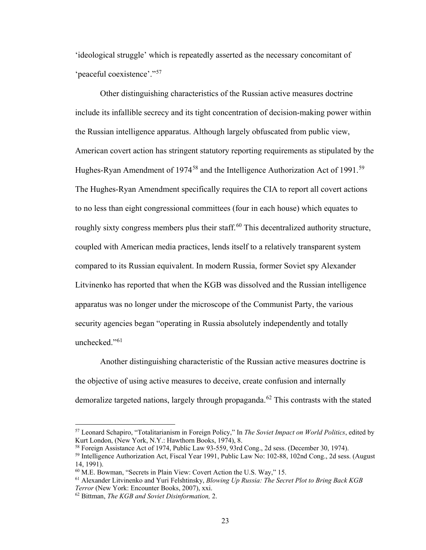'ideological struggle' which is repeatedly asserted as the necessary concomitant of 'peaceful coexistence'."[57](#page-27-0) 

Other distinguishing characteristics of the Russian active measures doctrine include its infallible secrecy and its tight concentration of decision-making power within the Russian intelligence apparatus. Although largely obfuscated from public view, American covert action has stringent statutory reporting requirements as stipulated by the Hughes-Ryan Amendment of 1974<sup>58</sup> and the Intelligence Authorization Act of 1991.<sup>[59](#page-27-2)</sup> The Hughes-Ryan Amendment specifically requires the CIA to report all covert actions to no less than eight congressional committees (four in each house) which equates to roughly sixty congress members plus their staff.<sup>[60](#page-27-3)</sup> This decentralized authority structure, coupled with American media practices, lends itself to a relatively transparent system compared to its Russian equivalent. In modern Russia, former Soviet spy Alexander Litvinenko has reported that when the KGB was dissolved and the Russian intelligence apparatus was no longer under the microscope of the Communist Party, the various security agencies began "operating in Russia absolutely independently and totally unchecked."<sup>[61](#page-27-4)</sup>

Another distinguishing characteristic of the Russian active measures doctrine is the objective of using active measures to deceive, create confusion and internally demoralize targeted nations, largely through propaganda.<sup>[62](#page-27-5)</sup> This contrasts with the stated

<span id="page-27-0"></span><sup>57</sup> Leonard Schapiro, "Totalitarianism in Foreign Policy," In *The Soviet Impact on World Politics*, edited by Kurt London, (New York, N.Y.: Hawthorn Books, 1974), 8.<br><sup>58</sup> Foreign Assistance Act of 1974, Public Law 93-559, 93rd Cong., 2d sess. (December 30, 1974).

<span id="page-27-2"></span><span id="page-27-1"></span> $59$  Intelligence Authorization Act, Fiscal Year 1991, Public Law No: 102-88, 102nd Cong., 2d sess. (August) 14, 1991).

<span id="page-27-3"></span><sup>60</sup> M.E. Bowman, "Secrets in Plain View: Covert Action the U.S. Way," 15.

<span id="page-27-4"></span><sup>61</sup> Alexander Litvinenko and Yuri Felshtinsky, *Blowing Up Russia: The Secret Plot to Bring Back KGB Terror* (New York: Encounter Books, 2007), xxi.

<span id="page-27-5"></span><sup>62</sup> Bittman, *The KGB and Soviet Disinformation,* 2.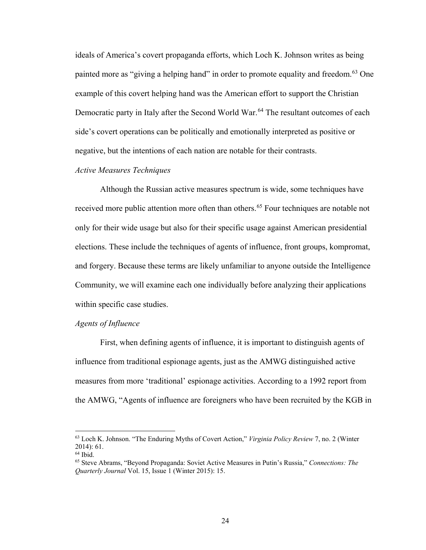ideals of America's covert propaganda efforts, which Loch K. Johnson writes as being painted more as "giving a helping hand" in order to promote equality and freedom.<sup>[63](#page-28-0)</sup> One example of this covert helping hand was the American effort to support the Christian Democratic party in Italy after the Second World War.<sup>[64](#page-28-1)</sup> The resultant outcomes of each side's covert operations can be politically and emotionally interpreted as positive or negative, but the intentions of each nation are notable for their contrasts.

## *Active Measures Techniques*

Although the Russian active measures spectrum is wide, some techniques have received more public attention more often than others.<sup>[65](#page-28-2)</sup> Four techniques are notable not only for their wide usage but also for their specific usage against American presidential elections. These include the techniques of agents of influence, front groups, kompromat, and forgery. Because these terms are likely unfamiliar to anyone outside the Intelligence Community, we will examine each one individually before analyzing their applications within specific case studies.

## *Agents of Influence*

First, when defining agents of influence, it is important to distinguish agents of influence from traditional espionage agents, just as the AMWG distinguished active measures from more 'traditional' espionage activities. According to a 1992 report from the AMWG, "Agents of influence are foreigners who have been recruited by the KGB in

<span id="page-28-0"></span><sup>63</sup> Loch K. Johnson. "The Enduring Myths of Covert Action," *Virginia Policy Review* 7, no. 2 (Winter 2014): 61.

<span id="page-28-1"></span><sup>64</sup> Ibid.

<span id="page-28-2"></span><sup>65</sup> Steve Abrams, "Beyond Propaganda: Soviet Active Measures in Putin's Russia," *Connections: The Quarterly Journal* Vol. 15, Issue 1 (Winter 2015): 15.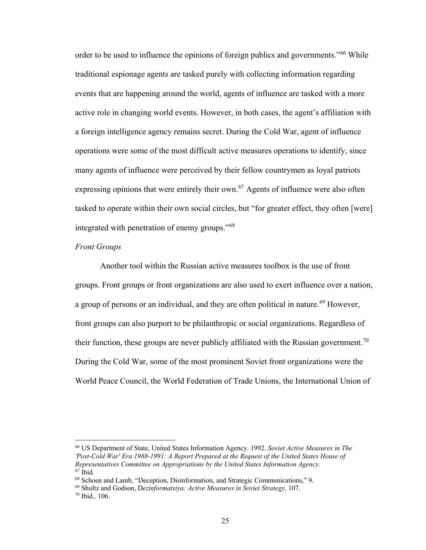order to be used to influence the opinions of foreign publics and governments."<sup>[66](#page-29-0)</sup> While traditional espionage agents are tasked purely with collecting information regarding events that are happening around the world, agents of influence are tasked with a more active role in changing world events. However, in both cases, the agent's affiliation with a foreign intelligence agency remains secret. During the Cold War, agent of influence operations were some of the most difficult active measures operations to identify, since many agents of influence were perceived by their fellow countrymen as loyal patriots expressing opinions that were entirely their own.<sup>[67](#page-29-1)</sup> Agents of influence were also often tasked to operate within their own social circles, but "for greater effect, they often [were] integrated with penetration of enemy groups."[68](#page-29-2)

## *Front Groups*

Another tool within the Russian active measures toolbox is the use of front groups. Front groups or front organizations are also used to exert influence over a nation, a group of persons or an individual, and they are often political in nature.<sup>[69](#page-29-3)</sup> However, front groups can also purport to be philanthropic or social organizations. Regardless of their function, these groups are never publicly affiliated with the Russian government.<sup>[70](#page-29-4)</sup> During the Cold War, some of the most prominent Soviet front organizations were the World Peace Council, the World Federation of Trade Unions, the International Union of

<span id="page-29-0"></span><sup>66</sup> US Department of State, United States Information Agency. 1992. *Soviet Active Measures in The 'Post-Cold War' Era 1988-1991: A Report Prepared at the Request of the United States House of Representatives Committee on Appropriations by the United States Information Agency.* <sup>67</sup> Ibid*.*

<span id="page-29-2"></span><span id="page-29-1"></span><sup>68</sup> Schoen and Lamb, "Deception, Disinformation, and Strategic Communications," 9.

<span id="page-29-3"></span><sup>69</sup> Shultz and Godson, D*ezinformatsiya: Active Measures in Soviet Strategy,* 107.

<span id="page-29-4"></span><sup>70</sup> Ibid.*,* 106.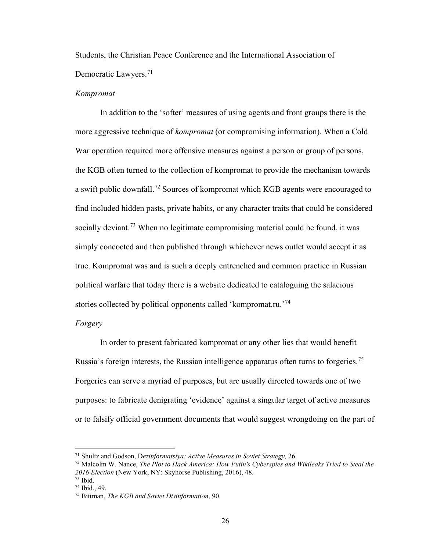Students, the Christian Peace Conference and the International Association of Democratic Lawyers.<sup>71</sup>

#### *Kompromat*

In addition to the 'softer' measures of using agents and front groups there is the more aggressive technique of *kompromat* (or compromising information). When a Cold War operation required more offensive measures against a person or group of persons, the KGB often turned to the collection of kompromat to provide the mechanism towards a swift public downfall.<sup>72</sup> Sources of kompromat which KGB agents were encouraged to find included hidden pasts, private habits, or any character traits that could be considered socially deviant.<sup>[73](#page-30-2)</sup> When no legitimate compromising material could be found, it was simply concocted and then published through whichever news outlet would accept it as true. Kompromat was and is such a deeply entrenched and common practice in Russian political warfare that today there is a website dedicated to cataloguing the salacious stories collected by political opponents called 'kompromat.ru.<sup>'[74](#page-30-3)</sup>

#### *Forgery*

In order to present fabricated kompromat or any other lies that would benefit Russia's foreign interests, the Russian intelligence apparatus often turns to forgeries.<sup>[75](#page-30-4)</sup> Forgeries can serve a myriad of purposes, but are usually directed towards one of two purposes: to fabricate denigrating 'evidence' against a singular target of active measures or to falsify official government documents that would suggest wrongdoing on the part of

<span id="page-30-0"></span><sup>71</sup> Shultz and Godson, D*ezinformatsiya: Active Measures in Soviet Strategy,* 26.

<span id="page-30-1"></span><sup>72</sup> Malcolm W. Nance, *The Plot to Hack America: How Putin's Cyberspies and Wikileaks Tried to Steal the 2016 Election* (New York, NY: Skyhorse Publishing, 2016), 48. <sup>73</sup> Ibid.

<span id="page-30-2"></span><sup>74</sup> Ibid., 49.

<span id="page-30-4"></span><span id="page-30-3"></span><sup>75</sup> Bittman, *The KGB and Soviet Disinformation*, 90.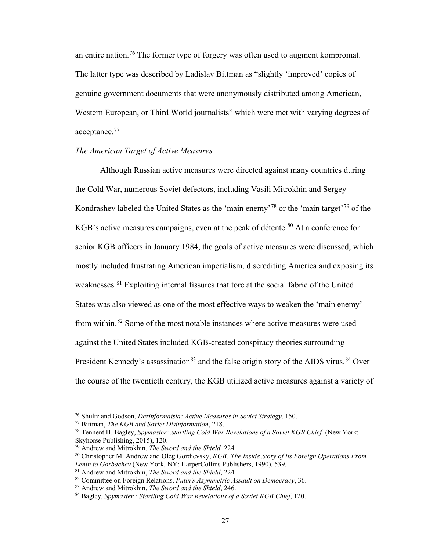an entire nation.[76](#page-31-0) The former type of forgery was often used to augment kompromat. The latter type was described by Ladislav Bittman as "slightly 'improved' copies of genuine government documents that were anonymously distributed among American, Western European, or Third World journalists" which were met with varying degrees of acceptance.<sup>[77](#page-31-1)</sup>

## *The American Target of Active Measures*

Although Russian active measures were directed against many countries during the Cold War, numerous Soviet defectors, including Vasili Mitrokhin and Sergey Kondrashev labeled the United States as the 'main enemy'<sup>[78](#page-31-2)</sup> or the 'main target'<sup>[79](#page-31-3)</sup> of the KGB's active measures campaigns, even at the peak of détente.<sup>[80](#page-31-4)</sup> At a conference for senior KGB officers in January 1984, the goals of active measures were discussed, which mostly included frustrating American imperialism, discrediting America and exposing its weaknesses. [81](#page-31-5) Exploiting internal fissures that tore at the social fabric of the United States was also viewed as one of the most effective ways to weaken the 'main enemy' from within.[82](#page-31-6) Some of the most notable instances where active measures were used against the United States included KGB-created conspiracy theories surrounding President Kennedy's assassination<sup>83</sup> and the false origin story of the AIDS virus.<sup>[84](#page-31-8)</sup> Over the course of the twentieth century, the KGB utilized active measures against a variety of

<span id="page-31-0"></span><sup>76</sup> Shultz and Godson, *Dezinformatsia: Active Measures in Soviet Strategy*, 150.

<span id="page-31-1"></span><sup>77</sup> Bittman, *The KGB and Soviet Disinformation*, 218.

<span id="page-31-2"></span><sup>78</sup> Tennent H. Bagley, *Spymaster: Startling Cold War Revelations of a Soviet KGB Chief.* (New York: Skyhorse Publishing, 2015), 120.

<span id="page-31-3"></span><sup>79</sup> Andrew and Mitrokhin, *The Sword and the Shield,* 224.

<span id="page-31-4"></span><sup>80</sup> Christopher M. Andrew and Oleg Gordievsky, *KGB: The Inside Story of Its Foreign Operations From Lenin to Gorbachev* (New York, NY: HarperCollins Publishers, 1990), 539.

<sup>81</sup> Andrew and Mitrokhin, *The Sword and the Shield*, 224.

<span id="page-31-7"></span><span id="page-31-6"></span><span id="page-31-5"></span><sup>82</sup> Committee on Foreign Relations, *Putin's Asymmetric Assault on Democracy*, 36.

<sup>83</sup> Andrew and Mitrokhin, *The Sword and the Shield*, 246.

<span id="page-31-8"></span><sup>84</sup> Bagley, *Spymaster : Startling Cold War Revelations of a Soviet KGB Chief*, 120.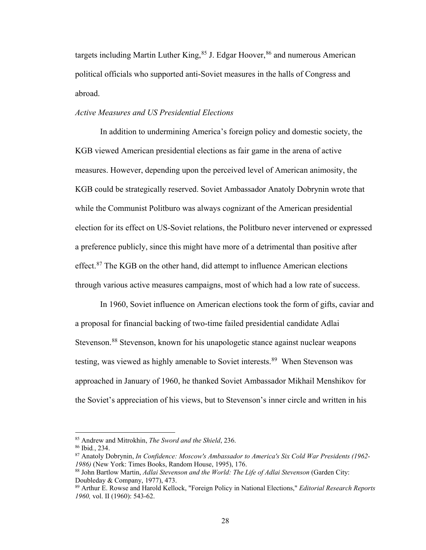targets including Martin Luther King,  $85$  J. Edgar Hoover,  $86$  and numerous American political officials who supported anti-Soviet measures in the halls of Congress and abroad.

## *Active Measures and US Presidential Elections*

 In addition to undermining America's foreign policy and domestic society, the KGB viewed American presidential elections as fair game in the arena of active measures. However, depending upon the perceived level of American animosity, the KGB could be strategically reserved. Soviet Ambassador Anatoly Dobrynin wrote that while the Communist Politburo was always cognizant of the American presidential election for its effect on US-Soviet relations, the Politburo never intervened or expressed a preference publicly, since this might have more of a detrimental than positive after effect.<sup>87</sup> The KGB on the other hand, did attempt to influence American elections through various active measures campaigns, most of which had a low rate of success.

In 1960, Soviet influence on American elections took the form of gifts, caviar and a proposal for financial backing of two-time failed presidential candidate Adlai Stevenson.<sup>88</sup> Stevenson, known for his unapologetic stance against nuclear weapons testing, was viewed as highly amenable to Soviet interests.<sup>[89](#page-32-4)</sup> When Stevenson was approached in January of 1960, he thanked Soviet Ambassador Mikhail Menshikov for the Soviet's appreciation of his views, but to Stevenson's inner circle and written in his

<span id="page-32-0"></span><sup>85</sup> Andrew and Mitrokhin, *The Sword and the Shield*, 236.

<span id="page-32-1"></span><sup>86</sup> Ibid*.*, 234.

<span id="page-32-2"></span><sup>87</sup> Anatoly Dobrynin, *In Confidence: Moscow's Ambassador to America's Six Cold War Presidents (1962- 1986)* (New York: Times Books, Random House, 1995), 176.

<span id="page-32-3"></span><sup>88</sup> John Bartlow Martin, *Adlai Stevenson and the World: The Life of Adlai Stevenson* (Garden City: Doubleday & Company, 1977), 473.

<span id="page-32-4"></span><sup>89</sup> Arthur E. Rowse and Harold Kellock, "Foreign Policy in National Elections," *Editorial Research Reports 1960,* vol. II (1960): 543-62.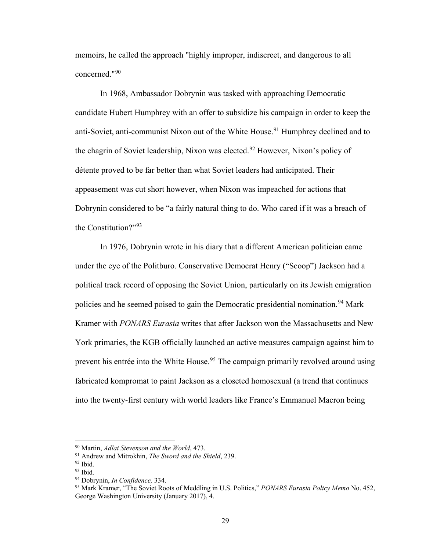memoirs, he called the approach "highly improper, indiscreet, and dangerous to all concerned."[90](#page-33-0) 

In 1968, Ambassador Dobrynin was tasked with approaching Democratic candidate Hubert Humphrey with an offer to subsidize his campaign in order to keep the anti-Soviet, anti-communist Nixon out of the White House.<sup>[91](#page-33-1)</sup> Humphrey declined and to the chagrin of Soviet leadership, Nixon was elected.<sup>92</sup> However, Nixon's policy of détente proved to be far better than what Soviet leaders had anticipated. Their appeasement was cut short however, when Nixon was impeached for actions that Dobrynin considered to be "a fairly natural thing to do. Who cared if it was a breach of the Constitution?"<sup>[93](#page-33-3)</sup>

 In 1976, Dobrynin wrote in his diary that a different American politician came under the eye of the Politburo. Conservative Democrat Henry ("Scoop") Jackson had a political track record of opposing the Soviet Union, particularly on its Jewish emigration policies and he seemed poised to gain the Democratic presidential nomination.<sup>[94](#page-33-4)</sup> Mark Kramer with *PONARS Eurasia* writes that after Jackson won the Massachusetts and New York primaries, the KGB officially launched an active measures campaign against him to prevent his entrée into the White House.<sup>[95](#page-33-5)</sup> The campaign primarily revolved around using fabricated kompromat to paint Jackson as a closeted homosexual (a trend that continues into the twenty-first century with world leaders like France's Emmanuel Macron being

<sup>90</sup> Martin, *Adlai Stevenson and the World*, 473.

<span id="page-33-1"></span><span id="page-33-0"></span><sup>91</sup> Andrew and Mitrokhin, *The Sword and the Shield*, 239.

<span id="page-33-2"></span> $\frac{92}{93}$  Ibid.

<span id="page-33-3"></span>

<span id="page-33-4"></span><sup>&</sup>lt;sup>94</sup> Dobrynin, *In Confidence*, 334.

<span id="page-33-5"></span><sup>95</sup> Mark Kramer, "The Soviet Roots of Meddling in U.S. Politics," *PONARS Eurasia Policy Memo* No. 452, George Washington University (January 2017), 4.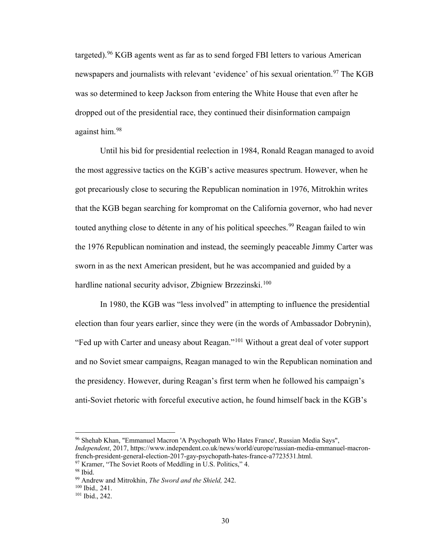targeted).[96](#page-34-0) KGB agents went as far as to send forged FBI letters to various American newspapers and journalists with relevant 'evidence' of his sexual orientation.<sup>[97](#page-34-1)</sup> The KGB was so determined to keep Jackson from entering the White House that even after he dropped out of the presidential race, they continued their disinformation campaign against him.[98](#page-34-2)

Until his bid for presidential reelection in 1984, Ronald Reagan managed to avoid the most aggressive tactics on the KGB's active measures spectrum. However, when he got precariously close to securing the Republican nomination in 1976, Mitrokhin writes that the KGB began searching for kompromat on the California governor, who had never touted anything close to détente in any of his political speeches.<sup>99</sup> Reagan failed to win the 1976 Republican nomination and instead, the seemingly peaceable Jimmy Carter was sworn in as the next American president, but he was accompanied and guided by a hardline national security advisor, Zbigniew Brzezinski.<sup>[100](#page-34-4)</sup>

In 1980, the KGB was "less involved" in attempting to influence the presidential election than four years earlier, since they were (in the words of Ambassador Dobrynin), "Fed up with Carter and uneasy about Reagan."[101](#page-34-5) Without a great deal of voter support and no Soviet smear campaigns, Reagan managed to win the Republican nomination and the presidency. However, during Reagan's first term when he followed his campaign's anti-Soviet rhetoric with forceful executive action, he found himself back in the KGB's

 $97$  Kramer, "The Soviet Roots of Meddling in U.S. Politics," 4.  $98$  Ibid.

<span id="page-34-0"></span><sup>96</sup> Shehab Khan, "Emmanuel Macron 'A Psychopath Who Hates France', Russian Media Says", *Independent*, 2017, https://www.independent.co.uk/news/world/europe/russian-media-emmanuel-macronfrench-president-general-election-2017-gay-psychopath-hates-france-a7723531.html.

<span id="page-34-3"></span><span id="page-34-2"></span><span id="page-34-1"></span>

<sup>99</sup> Andrew and Mitrokhin, *The Sword and the Shield,* 242.

<span id="page-34-4"></span><sup>100</sup> Ibid.*,* 241.

<span id="page-34-5"></span><sup>101</sup> Ibid., 242.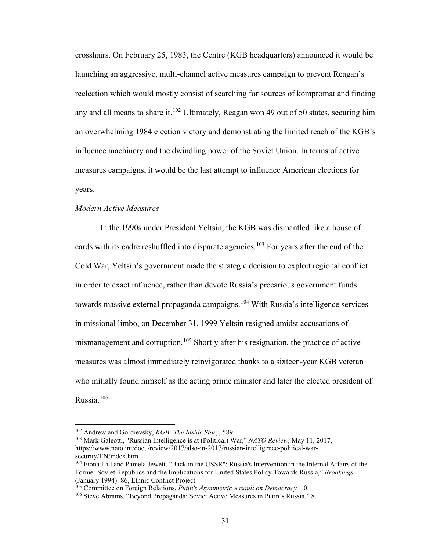crosshairs. On February 25, 1983, the Centre (KGB headquarters) announced it would be launching an aggressive, multi-channel active measures campaign to prevent Reagan's reelection which would mostly consist of searching for sources of kompromat and finding any and all means to share it.<sup>[102](#page-35-0)</sup> Ultimately, Reagan won 49 out of 50 states, securing him an overwhelming 1984 election victory and demonstrating the limited reach of the KGB's influence machinery and the dwindling power of the Soviet Union. In terms of active measures campaigns, it would be the last attempt to influence American elections for years.

## *Modern Active Measures*

In the 1990s under President Yeltsin, the KGB was dismantled like a house of cards with its cadre reshuffled into disparate agencies.<sup>[103](#page-35-1)</sup> For years after the end of the Cold War, Yeltsin's government made the strategic decision to exploit regional conflict in order to exact influence, rather than devote Russia's precarious government funds towards massive external propaganda campaigns.<sup>[104](#page-35-2)</sup> With Russia's intelligence services in missional limbo, on December 31, 1999 Yeltsin resigned amidst accusations of mismanagement and corruption.<sup>[105](#page-35-3)</sup> Shortly after his resignation, the practice of active measures was almost immediately reinvigorated thanks to a sixteen-year KGB veteran who initially found himself as the acting prime minister and later the elected president of Russia.[106](#page-35-4)

<sup>102</sup> Andrew and Gordievsky, *KGB: The Inside Story*, 589.

<span id="page-35-1"></span><span id="page-35-0"></span><sup>103</sup> Mark Galeotti, "Russian Intelligence is at (Political) War," *NATO Review*, May 11, 2017, https://www.nato.int/docu/review/2017/also-in-2017/russian-intelligence-political-warsecurity/EN/index.htm.

<span id="page-35-2"></span><sup>104</sup> Fiona Hill and Pamela Jewett, "Back in the USSR": Russia's Intervention in the Internal Affairs of the Former Soviet Republics and the Implications for United States Policy Towards Russia," *Brookings*

<span id="page-35-3"></span><sup>&</sup>lt;sup>105</sup> Committee on Foreign Relations, *Putin's Asymmetric Assault on Democracy*, 10.

<span id="page-35-4"></span><sup>106</sup> Steve Abrams, "Beyond Propaganda: Soviet Active Measures in Putin's Russia," 8.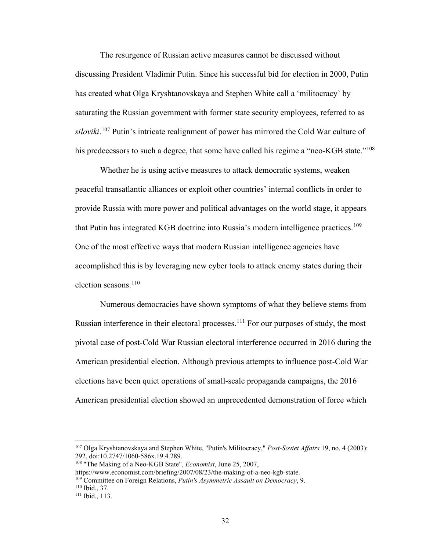The resurgence of Russian active measures cannot be discussed without discussing President Vladimir Putin. Since his successful bid for election in 2000, Putin has created what Olga Kryshtanovskaya and Stephen White call a 'militocracy' by saturating the Russian government with former state security employees, referred to as *siloviki*. [107](#page-36-0) Putin's intricate realignment of power has mirrored the Cold War culture of his predecessors to such a degree, that some have called his regime a "neo-KGB state."<sup>108</sup>

Whether he is using active measures to attack democratic systems, weaken peaceful transatlantic alliances or exploit other countries' internal conflicts in order to provide Russia with more power and political advantages on the world stage, it appears that Putin has integrated KGB doctrine into Russia's modern intelligence practices.<sup>[109](#page-36-2)</sup> One of the most effective ways that modern Russian intelligence agencies have accomplished this is by leveraging new cyber tools to attack enemy states during their election seasons.<sup>[110](#page-36-3)</sup>

Numerous democracies have shown symptoms of what they believe stems from Russian interference in their electoral processes.<sup>[111](#page-36-4)</sup> For our purposes of study, the most pivotal case of post-Cold War Russian electoral interference occurred in 2016 during the American presidential election. Although previous attempts to influence post-Cold War elections have been quiet operations of small-scale propaganda campaigns, the 2016 American presidential election showed an unprecedented demonstration of force which

<span id="page-36-0"></span><sup>107</sup> Olga Kryshtanovskaya and Stephen White, "Putin's Militocracy," *Post-Soviet Affairs* 19, no. 4 (2003): 292, doi:10.2747/1060-586x.19.4.289.

<span id="page-36-1"></span><sup>108</sup> "The Making of a Neo-KGB State", *Economist*, June 25, 2007,

<span id="page-36-2"></span>https://www.economist.com/briefing/2007/08/23/the-making-of-a-neo-kgb-state. <sup>109</sup> Committee on Foreign Relations, *Putin's Asymmetric Assault on Democracy*, 9.

<span id="page-36-3"></span><sup>110</sup> Ibid., 37.

<span id="page-36-4"></span><sup>111</sup> Ibid., 113.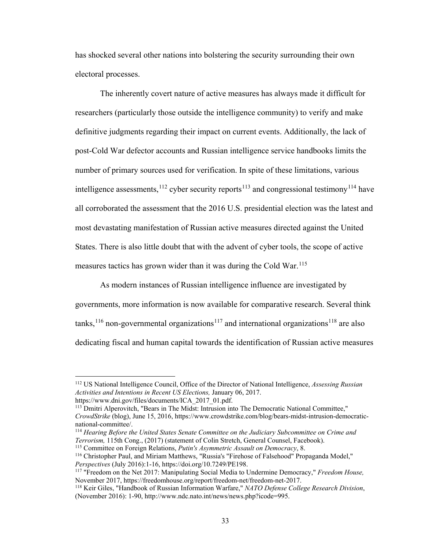has shocked several other nations into bolstering the security surrounding their own electoral processes.

The inherently covert nature of active measures has always made it difficult for researchers (particularly those outside the intelligence community) to verify and make definitive judgments regarding their impact on current events. Additionally, the lack of post-Cold War defector accounts and Russian intelligence service handbooks limits the number of primary sources used for verification. In spite of these limitations, various intelligence assessments,  $^{112}$  $^{112}$  $^{112}$  cyber security reports<sup>[113](#page-37-1)</sup> and congressional testimony<sup>[114](#page-37-2)</sup> have all corroborated the assessment that the 2016 U.S. presidential election was the latest and most devastating manifestation of Russian active measures directed against the United States. There is also little doubt that with the advent of cyber tools, the scope of active measures tactics has grown wider than it was during the Cold War.<sup>115</sup>

As modern instances of Russian intelligence influence are investigated by governments, more information is now available for comparative research. Several think tanks,<sup>116</sup> non-governmental organizations<sup>[117](#page-37-5)</sup> and international organizations<sup>[118](#page-37-6)</sup> are also dedicating fiscal and human capital towards the identification of Russian active measures

<span id="page-37-0"></span><sup>112</sup> US National Intelligence Council, Office of the Director of National Intelligence, *Assessing Russian Activities and Intentions in Recent US Elections,* January 06, 2017.

https://www.dni.gov/files/documents/ICA\_2017\_01.pdf.

<span id="page-37-1"></span><sup>113</sup> Dmitri Alperovitch, "Bears in The Midst: Intrusion into The Democratic National Committee," *CrowdStrike* (blog), June 15, 2016, https://www.crowdstrike.com/blog/bears-midst-intrusion-democraticnational-committee/.

<span id="page-37-2"></span><sup>114</sup> *Hearing Before the United States Senate Committee on the Judiciary Subcommittee on Crime and Terrorism,* 115th Cong., (2017) (statement of Colin Stretch, General Counsel, Facebook).

<span id="page-37-4"></span><span id="page-37-3"></span><sup>115</sup> Committee on Foreign Relations, *Putin's Asymmetric Assault on Democracy*, 8.

<sup>116</sup> Christopher Paul, and Miriam Matthews, "Russia's "Firehose of Falsehood" Propaganda Model," *Perspectives* (July 2016):1-16, https://doi.org/10.7249/PE198.

<span id="page-37-5"></span><sup>117</sup> "Freedom on the Net 2017: Manipulating Social Media to Undermine Democracy," *Freedom House,* November 2017, https://freedomhouse.org/report/freedom-net/freedom-net-2017.

<span id="page-37-6"></span><sup>118</sup> Keir Giles, "Handbook of Russian Information Warfare," *NATO Defense College Research Division*, (November 2016): 1-90, http://www.ndc.nato.int/news/news.php?icode=995.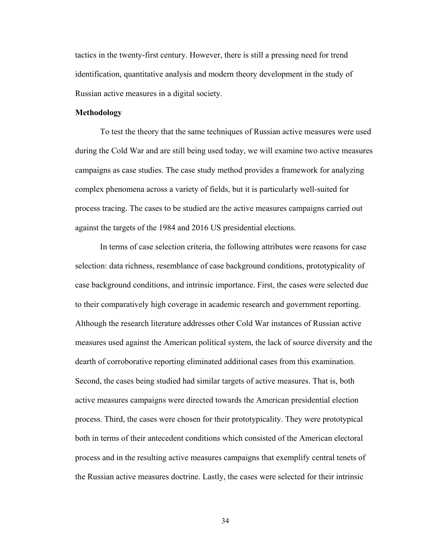tactics in the twenty-first century. However, there is still a pressing need for trend identification, quantitative analysis and modern theory development in the study of Russian active measures in a digital society.

#### **Methodology**

To test the theory that the same techniques of Russian active measures were used during the Cold War and are still being used today, we will examine two active measures campaigns as case studies. The case study method provides a framework for analyzing complex phenomena across a variety of fields, but it is particularly well-suited for process tracing. The cases to be studied are the active measures campaigns carried out against the targets of the 1984 and 2016 US presidential elections.

In terms of case selection criteria, the following attributes were reasons for case selection: data richness, resemblance of case background conditions, prototypicality of case background conditions, and intrinsic importance. First, the cases were selected due to their comparatively high coverage in academic research and government reporting. Although the research literature addresses other Cold War instances of Russian active measures used against the American political system, the lack of source diversity and the dearth of corroborative reporting eliminated additional cases from this examination. Second, the cases being studied had similar targets of active measures. That is, both active measures campaigns were directed towards the American presidential election process. Third, the cases were chosen for their prototypicality. They were prototypical both in terms of their antecedent conditions which consisted of the American electoral process and in the resulting active measures campaigns that exemplify central tenets of the Russian active measures doctrine. Lastly, the cases were selected for their intrinsic

34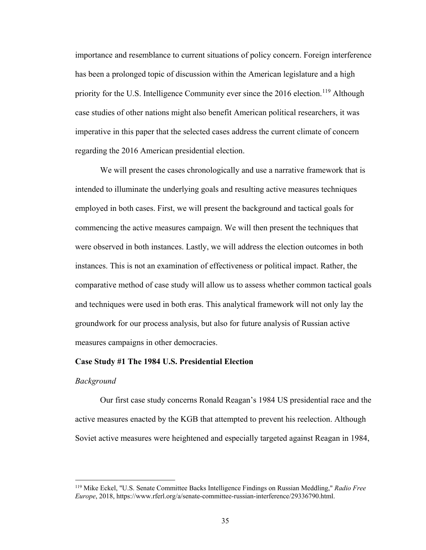importance and resemblance to current situations of policy concern. Foreign interference has been a prolonged topic of discussion within the American legislature and a high priority for the U.S. Intelligence Community ever since the  $2016$  election.<sup>[119](#page-39-0)</sup> Although case studies of other nations might also benefit American political researchers, it was imperative in this paper that the selected cases address the current climate of concern regarding the 2016 American presidential election.

We will present the cases chronologically and use a narrative framework that is intended to illuminate the underlying goals and resulting active measures techniques employed in both cases. First, we will present the background and tactical goals for commencing the active measures campaign. We will then present the techniques that were observed in both instances. Lastly, we will address the election outcomes in both instances. This is not an examination of effectiveness or political impact. Rather, the comparative method of case study will allow us to assess whether common tactical goals and techniques were used in both eras. This analytical framework will not only lay the groundwork for our process analysis, but also for future analysis of Russian active measures campaigns in other democracies.

### **Case Study #1 The 1984 U.S. Presidential Election**

#### *Background*

 $\overline{a}$ 

Our first case study concerns Ronald Reagan's 1984 US presidential race and the active measures enacted by the KGB that attempted to prevent his reelection. Although Soviet active measures were heightened and especially targeted against Reagan in 1984,

<span id="page-39-0"></span><sup>119</sup> Mike Eckel, "U.S. Senate Committee Backs Intelligence Findings on Russian Meddling," *Radio Free Europe*, 2018, https://www.rferl.org/a/senate-committee-russian-interference/29336790.html.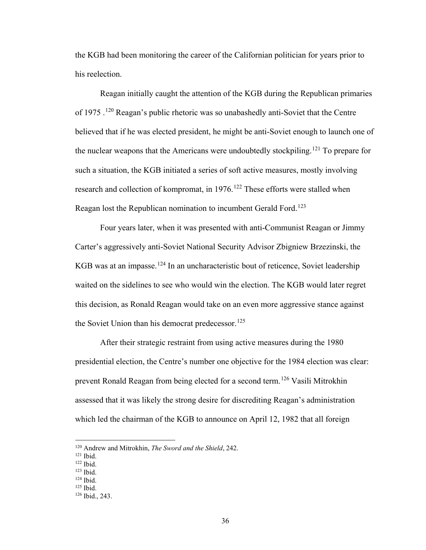the KGB had been monitoring the career of the Californian politician for years prior to his reelection.

Reagan initially caught the attention of the KGB during the Republican primaries of 1975 .<sup>120</sup> Reagan's public rhetoric was so unabashedly anti-Soviet that the Centre believed that if he was elected president, he might be anti-Soviet enough to launch one of the nuclear weapons that the Americans were undoubtedly stockpiling.<sup>121</sup> To prepare for such a situation, the KGB initiated a series of soft active measures, mostly involving research and collection of kompromat, in 1976.<sup>[122](#page-40-2)</sup> These efforts were stalled when Reagan lost the Republican nomination to incumbent Gerald Ford.<sup>[123](#page-40-3)</sup>

Four years later, when it was presented with anti-Communist Reagan or Jimmy Carter's aggressively anti-Soviet National Security Advisor Zbigniew Brzezinski, the KGB was at an impasse.<sup>[124](#page-40-4)</sup> In an uncharacteristic bout of reticence, Soviet leadership waited on the sidelines to see who would win the election. The KGB would later regret this decision, as Ronald Reagan would take on an even more aggressive stance against the Soviet Union than his democrat predecessor.<sup>[125](#page-40-5)</sup>

 After their strategic restraint from using active measures during the 1980 presidential election, the Centre's number one objective for the 1984 election was clear: prevent Ronald Reagan from being elected for a second term.<sup>[126](#page-40-6)</sup> Vasili Mitrokhin assessed that it was likely the strong desire for discrediting Reagan's administration which led the chairman of the KGB to announce on April 12, 1982 that all foreign

<sup>120</sup> Andrew and Mitrokhin, *The Sword and the Shield*, 242.

<span id="page-40-1"></span><span id="page-40-0"></span><sup>121</sup> Ibid.

<sup>122</sup> Ibid.

<span id="page-40-3"></span><span id="page-40-2"></span> $123$  Ibid.<br> $124$  Ibid.

<span id="page-40-5"></span><span id="page-40-4"></span>

<sup>125</sup> Ibid.

<span id="page-40-6"></span><sup>126</sup> Ibid., 243.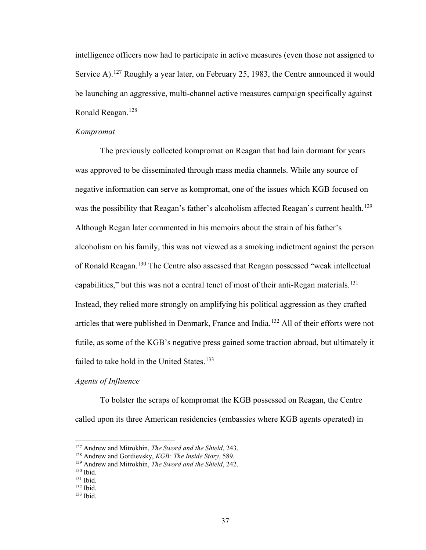intelligence officers now had to participate in active measures (even those not assigned to Service A).<sup>[127](#page-41-0)</sup> Roughly a year later, on February 25, 1983, the Centre announced it would be launching an aggressive, multi-channel active measures campaign specifically against Ronald Reagan.<sup>[128](#page-41-1)</sup>

### *Kompromat*

The previously collected kompromat on Reagan that had lain dormant for years was approved to be disseminated through mass media channels. While any source of negative information can serve as kompromat, one of the issues which KGB focused on was the possibility that Reagan's father's alcoholism affected Reagan's current health.<sup>[129](#page-41-2)</sup> Although Regan later commented in his memoirs about the strain of his father's alcoholism on his family, this was not viewed as a smoking indictment against the person of Ronald Reagan.[130](#page-41-3) The Centre also assessed that Reagan possessed "weak intellectual capabilities," but this was not a central tenet of most of their anti-Regan materials.<sup>[131](#page-41-4)</sup> Instead, they relied more strongly on amplifying his political aggression as they crafted articles that were published in Denmark, France and India.[132](#page-41-5) All of their efforts were not futile, as some of the KGB's negative press gained some traction abroad, but ultimately it failed to take hold in the United States.<sup>133</sup>

### *Agents of Influence*

To bolster the scraps of kompromat the KGB possessed on Reagan, the Centre called upon its three American residencies (embassies where KGB agents operated) in

<span id="page-41-0"></span><sup>&</sup>lt;sup>127</sup> Andrew and Mitrokhin, *The Sword and the Shield*, 243.

<span id="page-41-1"></span><sup>&</sup>lt;sup>128</sup> Andrew and Gordievsky, *KGB: The Inside Story*, 589.

<span id="page-41-2"></span><sup>129</sup> Andrew and Mitrokhin, *The Sword and the Shield*, 242.

<span id="page-41-4"></span><span id="page-41-3"></span> $131$  Ibid.

<span id="page-41-5"></span><sup>132</sup> Ibid.

<span id="page-41-6"></span><sup>133</sup> Ibid.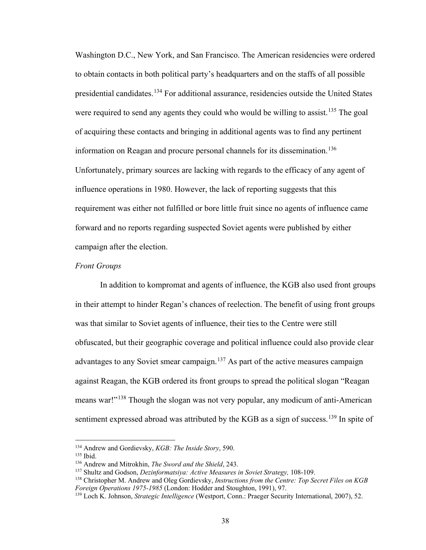Washington D.C., New York, and San Francisco. The American residencies were ordered to obtain contacts in both political party's headquarters and on the staffs of all possible presidential candidates.<sup>[134](#page-42-0)</sup> For additional assurance, residencies outside the United States were required to send any agents they could who would be willing to assist.<sup>135</sup> The goal of acquiring these contacts and bringing in additional agents was to find any pertinent information on Reagan and procure personal channels for its dissemination.<sup>[136](#page-42-2)</sup> Unfortunately, primary sources are lacking with regards to the efficacy of any agent of influence operations in 1980. However, the lack of reporting suggests that this requirement was either not fulfilled or bore little fruit since no agents of influence came forward and no reports regarding suspected Soviet agents were published by either campaign after the election.

# *Front Groups*

In addition to kompromat and agents of influence, the KGB also used front groups in their attempt to hinder Regan's chances of reelection. The benefit of using front groups was that similar to Soviet agents of influence, their ties to the Centre were still obfuscated, but their geographic coverage and political influence could also provide clear advantages to any Soviet smear campaign.<sup>[137](#page-42-3)</sup> As part of the active measures campaign against Reagan, the KGB ordered its front groups to spread the political slogan "Reagan means war!"<sup>138</sup> Though the slogan was not very popular, any modicum of anti-American sentiment expressed abroad was attributed by the KGB as a sign of success.<sup>[139](#page-42-5)</sup> In spite of

<span id="page-42-0"></span><sup>134</sup> Andrew and Gordievsky, *KGB: The Inside Story*, 590.

<span id="page-42-1"></span><sup>135</sup> Ibid.

<span id="page-42-2"></span><sup>136</sup> Andrew and Mitrokhin, *The Sword and the Shield*, 243.

<span id="page-42-3"></span><sup>137</sup> Shultz and Godson, *Dezinformatsiya: Active Measures in Soviet Strategy,* 108-109.

<span id="page-42-4"></span><sup>138</sup> Christopher M. Andrew and Oleg Gordievsky, *Instructions from the Centre: Top Secret Files on KGB Foreign Operations 1975-1985* (London: Hodder and Stoughton, 1991), 97.

<span id="page-42-5"></span><sup>139</sup> Loch K. Johnson, *Strategic Intelligence* (Westport, Conn.: Praeger Security International, 2007), 52.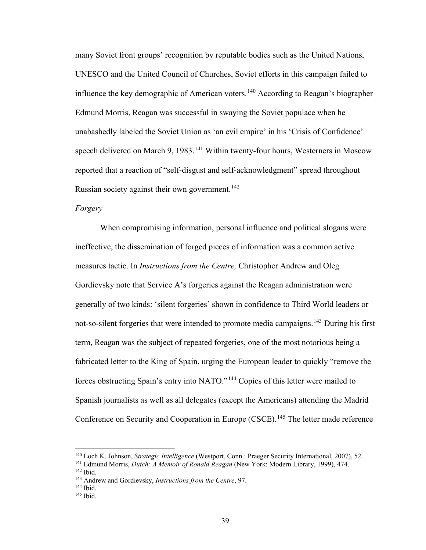many Soviet front groups' recognition by reputable bodies such as the United Nations, UNESCO and the United Council of Churches, Soviet efforts in this campaign failed to influence the key demographic of American voters.[140](#page-43-0) According to Reagan's biographer Edmund Morris, Reagan was successful in swaying the Soviet populace when he unabashedly labeled the Soviet Union as 'an evil empire' in his 'Crisis of Confidence' speech delivered on March 9, 1983.<sup>[141](#page-43-1)</sup> Within twenty-four hours, Westerners in Moscow reported that a reaction of "self-disgust and self-acknowledgment" spread throughout Russian society against their own government.<sup>[142](#page-43-2)</sup>

### *Forgery*

When compromising information, personal influence and political slogans were ineffective, the dissemination of forged pieces of information was a common active measures tactic. In *Instructions from the Centre,* Christopher Andrew and Oleg Gordievsky note that Service A's forgeries against the Reagan administration were generally of two kinds: 'silent forgeries' shown in confidence to Third World leaders or not-so-silent forgeries that were intended to promote media campaigns.<sup>[143](#page-43-3)</sup> During his first term, Reagan was the subject of repeated forgeries, one of the most notorious being a fabricated letter to the King of Spain, urging the European leader to quickly "remove the forces obstructing Spain's entry into NATO."[144](#page-43-4) Copies of this letter were mailed to Spanish journalists as well as all delegates (except the Americans) attending the Madrid Conference on Security and Cooperation in Europe (CSCE).<sup>[145](#page-43-5)</sup> The letter made reference

<span id="page-43-0"></span><sup>140</sup> Loch K. Johnson, *Strategic Intelligence* (Westport, Conn.: Praeger Security International, 2007), 52.

<span id="page-43-2"></span><span id="page-43-1"></span><sup>141</sup> Edmund Morris, *Dutch: A Memoir of Ronald Reagan* (New York: Modern Library, 1999), 474. <sup>142</sup> Ibid.

<span id="page-43-3"></span><sup>143</sup> Andrew and Gordievsky, *Instructions from the Centre*, 97.

<span id="page-43-4"></span>

<span id="page-43-5"></span> $145$  Ibid.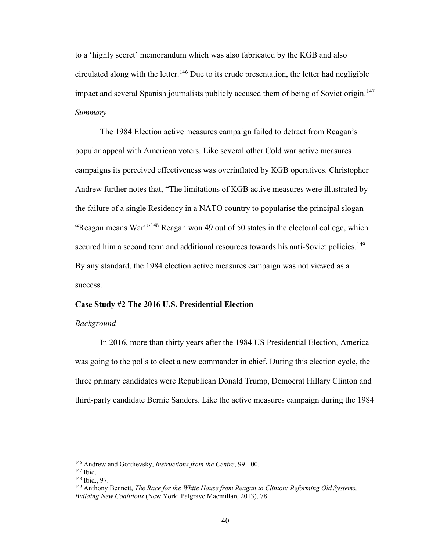to a 'highly secret' memorandum which was also fabricated by the KGB and also circulated along with the letter.<sup>[146](#page-44-0)</sup> Due to its crude presentation, the letter had negligible impact and several Spanish journalists publicly accused them of being of Soviet origin.<sup>147</sup> *Summary* 

The 1984 Election active measures campaign failed to detract from Reagan's popular appeal with American voters. Like several other Cold war active measures campaigns its perceived effectiveness was overinflated by KGB operatives. Christopher Andrew further notes that, "The limitations of KGB active measures were illustrated by the failure of a single Residency in a NATO country to popularise the principal slogan "Reagan means War!"[148](#page-44-2) Reagan won 49 out of 50 states in the electoral college, which secured him a second term and additional resources towards his anti-Soviet policies.<sup>[149](#page-44-3)</sup> By any standard, the 1984 election active measures campaign was not viewed as a success.

### **Case Study #2 The 2016 U.S. Presidential Election**

#### *Background*

In 2016, more than thirty years after the 1984 US Presidential Election, America was going to the polls to elect a new commander in chief. During this election cycle, the three primary candidates were Republican Donald Trump, Democrat Hillary Clinton and third-party candidate Bernie Sanders. Like the active measures campaign during the 1984

<span id="page-44-0"></span><sup>146</sup> Andrew and Gordievsky, *Instructions from the Centre*, 99-100.

<span id="page-44-1"></span><sup>147</sup> Ibid.

<span id="page-44-2"></span><sup>148</sup> Ibid., 97.

<span id="page-44-3"></span><sup>149</sup> Anthony Bennett, *The Race for the White House from Reagan to Clinton: Reforming Old Systems, Building New Coalitions* (New York: Palgrave Macmillan, 2013), 78.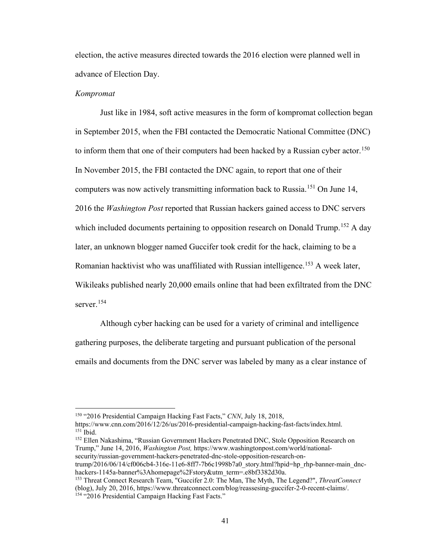election, the active measures directed towards the 2016 election were planned well in advance of Election Day.

#### *Kompromat*

 $\overline{a}$ 

Just like in 1984, soft active measures in the form of kompromat collection began in September 2015, when the FBI contacted the Democratic National Committee (DNC) to inform them that one of their computers had been hacked by a Russian cyber actor.<sup>[150](#page-45-0)</sup> In November 2015, the FBI contacted the DNC again, to report that one of their computers was now actively transmitting information back to Russia.<sup>151</sup> On June 14, 2016 the *Washington Post* reported that Russian hackers gained access to DNC servers which included documents pertaining to opposition research on Donald Trump.<sup>152</sup> A day later, an unknown blogger named Guccifer took credit for the hack, claiming to be a Romanian hacktivist who was unaffiliated with Russian intelligence.<sup>[153](#page-45-3)</sup> A week later, Wikileaks published nearly 20,000 emails online that had been exfiltrated from the DNC server.[154](#page-45-4) 

Although cyber hacking can be used for a variety of criminal and intelligence gathering purposes, the deliberate targeting and pursuant publication of the personal emails and documents from the DNC server was labeled by many as a clear instance of

<span id="page-45-2"></span><sup>152</sup> Ellen Nakashima, "Russian Government Hackers Penetrated DNC, Stole Opposition Research on Trump," June 14, 2016, *Washington Post,* https://www.washingtonpost.com/world/nationalsecurity/russian-government-hackers-penetrated-dnc-stole-opposition-research-on-

trump/2016/06/14/cf006cb4-316e-11e6-8ff7-7b6c1998b7a0\_story.html?hpid=hp\_rhp-banner-main\_dnchackers-1145a-banner%3Ahomepage%2Fstory&utm\_term=.e8bf3382d30a.

<sup>150</sup> "2016 Presidential Campaign Hacking Fast Facts," *CNN*, July 18, 2018,

<span id="page-45-1"></span><span id="page-45-0"></span>https://www.cnn.com/2016/12/26/us/2016-presidential-campaign-hacking-fast-facts/index.html. <sup>151</sup> Ibid.

<span id="page-45-4"></span><span id="page-45-3"></span><sup>153</sup> Threat Connect Research Team, "Guccifer 2.0: The Man, The Myth, The Legend?", *ThreatConnect* (blog), July 20, 2016, https://www.threatconnect.com/blog/reassesing-guccifer-2-0-recent-claims/. <sup>154</sup> "2016 Presidential Campaign Hacking Fast Facts."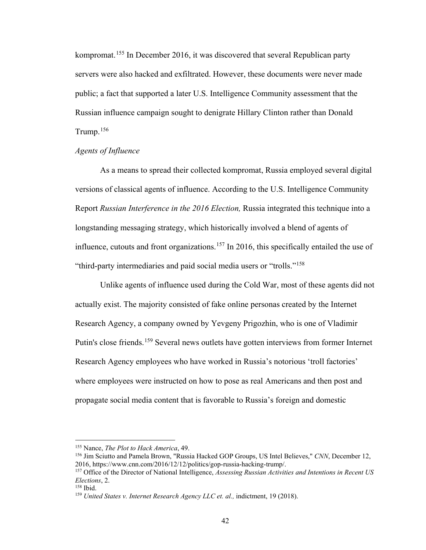kompromat.<sup>155</sup> In December 2016, it was discovered that several Republican party servers were also hacked and exfiltrated. However, these documents were never made public; a fact that supported a later U.S. Intelligence Community assessment that the Russian influence campaign sought to denigrate Hillary Clinton rather than Donald Trump.[156](#page-46-1)

### *Agents of Influence*

As a means to spread their collected kompromat, Russia employed several digital versions of classical agents of influence. According to the U.S. Intelligence Community Report *Russian Interference in the 2016 Election,* Russia integrated this technique into a longstanding messaging strategy, which historically involved a blend of agents of influence, cutouts and front organizations.<sup>[157](#page-46-2)</sup> In 2016, this specifically entailed the use of "third-party intermediaries and paid social media users or "trolls."[158](#page-46-3)

Unlike agents of influence used during the Cold War, most of these agents did not actually exist. The majority consisted of fake online personas created by the Internet Research Agency, a company owned by Yevgeny Prigozhin, who is one of Vladimir Putin's close friends.<sup>[159](#page-46-4)</sup> Several news outlets have gotten interviews from former Internet Research Agency employees who have worked in Russia's notorious 'troll factories' where employees were instructed on how to pose as real Americans and then post and propagate social media content that is favorable to Russia's foreign and domestic

<span id="page-46-0"></span><sup>155</sup> Nance, *The Plot to Hack America*, 49.

<span id="page-46-1"></span><sup>156</sup> Jim Sciutto and Pamela Brown, "Russia Hacked GOP Groups, US Intel Believes," *CNN*, December 12, 2016, https://www.cnn.com/2016/12/12/politics/gop-russia-hacking-trump/.

<span id="page-46-2"></span><sup>157</sup> Office of the Director of National Intelligence, *Assessing Russian Activities and Intentions in Recent US Elections*, 2.

<span id="page-46-3"></span><sup>&</sup>lt;sup>158</sup> Ibid.

<span id="page-46-4"></span><sup>&</sup>lt;sup>159</sup> United States v. Internet Research Agency LLC et. al., indictment, 19 (2018).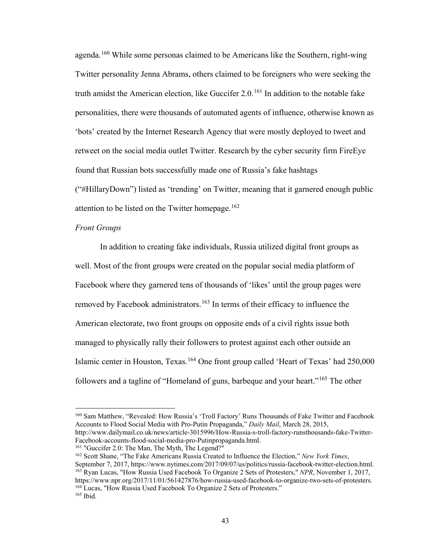agenda.<sup>[160](#page-47-0)</sup> While some personas claimed to be Americans like the Southern, right-wing Twitter personality Jenna Abrams, others claimed to be foreigners who were seeking the truth amidst the American election, like Guccifer  $2.0<sup>161</sup>$  $2.0<sup>161</sup>$  $2.0<sup>161</sup>$  In addition to the notable fake personalities, there were thousands of automated agents of influence, otherwise known as 'bots' created by the Internet Research Agency that were mostly deployed to tweet and retweet on the social media outlet Twitter. Research by the cyber security firm FireEye found that Russian bots successfully made one of Russia's fake hashtags ("#HillaryDown") listed as 'trending' on Twitter, meaning that it garnered enough public attention to be listed on the Twitter homepage.<sup>[162](#page-47-2)</sup>

### *Front Groups*

 $\overline{a}$ 

In addition to creating fake individuals, Russia utilized digital front groups as well. Most of the front groups were created on the popular social media platform of Facebook where they garnered tens of thousands of 'likes' until the group pages were removed by Facebook administrators.<sup>[163](#page-47-3)</sup> In terms of their efficacy to influence the American electorate, two front groups on opposite ends of a civil rights issue both managed to physically rally their followers to protest against each other outside an Islamic center in Houston, Texas.<sup>164</sup> One front group called 'Heart of Texas' had 250,000 followers and a tagline of "Homeland of guns, barbeque and your heart."[165](#page-47-5) The other

<span id="page-47-0"></span><sup>160</sup> Sam Matthew, "Revealed: How Russia's 'Troll Factory' Runs Thousands of Fake Twitter and Facebook Accounts to Flood Social Media with Pro-Putin Propaganda," *Daily Mail*, March 28, 2015, http://www.dailymail.co.uk/news/article-3015996/How-Russia-s-troll-factory-runsthousands-fake-Twitter-Facebook-accounts-flood-social-media-pro-Putinpropaganda.html.

<span id="page-47-1"></span><sup>&</sup>lt;sup>161</sup> "Guccifer 2.0: The Man, The Myth, The Legend?"

<span id="page-47-5"></span><span id="page-47-4"></span><span id="page-47-3"></span><span id="page-47-2"></span><sup>162</sup> Scott Shane, "The Fake Americans Russia Created to Influence the Election," *New York Times*, September 7, 2017, https://www.nytimes.com/2017/09/07/us/politics/russia-facebook-twitter-election.html. <sup>163</sup> Ryan Lucas, "How Russia Used Facebook To Organize 2 Sets of Protesters," *NPR*, November 1, 2017, https://www.npr.org/2017/11/01/561427876/how-russia-used-facebook-to-organize-two-sets-of-protesters. <sup>164</sup> Lucas, "How Russia Used Facebook To Organize 2 Sets of Protesters." <sup>165</sup> Ibid.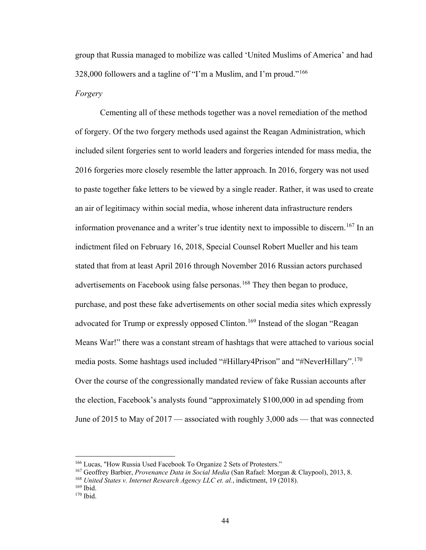group that Russia managed to mobilize was called 'United Muslims of America' and had 328,000 followers and a tagline of "I'm a Muslim, and I'm proud."<sup>166</sup> *Forgery*

Cementing all of these methods together was a novel remediation of the method of forgery. Of the two forgery methods used against the Reagan Administration, which included silent forgeries sent to world leaders and forgeries intended for mass media, the 2016 forgeries more closely resemble the latter approach. In 2016, forgery was not used to paste together fake letters to be viewed by a single reader. Rather, it was used to create an air of legitimacy within social media, whose inherent data infrastructure renders information provenance and a writer's true identity next to impossible to discern.<sup>[167](#page-48-1)</sup> In an indictment filed on February 16, 2018, Special Counsel Robert Mueller and his team stated that from at least April 2016 through November 2016 Russian actors purchased advertisements on Facebook using false personas.<sup>168</sup> They then began to produce, purchase, and post these fake advertisements on other social media sites which expressly advocated for Trump or expressly opposed Clinton.<sup>[169](#page-48-3)</sup> Instead of the slogan "Reagan Means War!" there was a constant stream of hashtags that were attached to various social media posts. Some hashtags used included "#Hillary4Prison" and "#NeverHillary".<sup>[170](#page-48-4)</sup> Over the course of the congressionally mandated review of fake Russian accounts after the election, Facebook's analysts found "approximately \$100,000 in ad spending from June of 2015 to May of 2017 — associated with roughly 3,000 ads — that was connected

<span id="page-48-0"></span><sup>166</sup> Lucas, "How Russia Used Facebook To Organize 2 Sets of Protesters."

<span id="page-48-1"></span><sup>167</sup> Geoffrey Barbier, *Provenance Data in Social Media* (San Rafael: Morgan & Claypool), 2013, 8.

<span id="page-48-2"></span><sup>&</sup>lt;sup>168</sup> *United States v. Internet Research Agency LLC et. al.*, indictment, 19 (2018).<br><sup>169</sup> Ibid. <sup>170</sup> Ibid.

<span id="page-48-3"></span>

<span id="page-48-4"></span>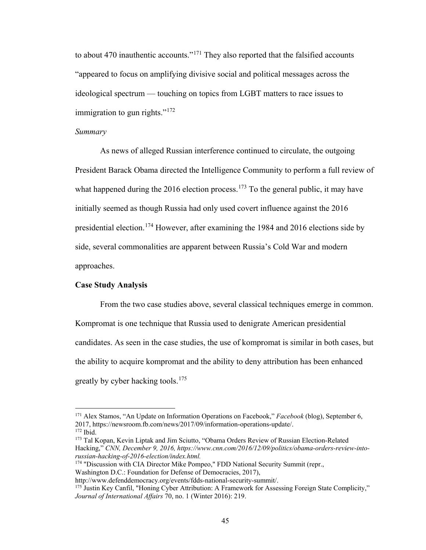to about 470 inauthentic accounts."<sup>[171](#page-49-0)</sup> They also reported that the falsified accounts "appeared to focus on amplifying divisive social and political messages across the ideological spectrum — touching on topics from LGBT matters to race issues to immigration to gun rights." $172$ 

#### *Summary*

As news of alleged Russian interference continued to circulate, the outgoing President Barack Obama directed the Intelligence Community to perform a full review of what happened during the 2016 election process.<sup>173</sup> To the general public, it may have initially seemed as though Russia had only used covert influence against the 2016 presidential election.<sup>174</sup> However, after examining the 1984 and 2016 elections side by side, several commonalities are apparent between Russia's Cold War and modern approaches.

#### **Case Study Analysis**

 $\overline{a}$ 

From the two case studies above, several classical techniques emerge in common. Kompromat is one technique that Russia used to denigrate American presidential candidates. As seen in the case studies, the use of kompromat is similar in both cases, but the ability to acquire kompromat and the ability to deny attribution has been enhanced greatly by cyber hacking tools.[175](#page-49-4) 

<span id="page-49-0"></span><sup>171</sup> Alex Stamos, "An Update on Information Operations on Facebook," *Facebook* (blog), September 6, 2017, https://newsroom.fb.com/news/2017/09/information-operations-update/.

<span id="page-49-2"></span><span id="page-49-1"></span><sup>&</sup>lt;sup>173</sup> Tal Kopan, Kevin Liptak and Jim Sciutto, "Obama Orders Review of Russian Election-Related Hacking," *CNN, December 9, 2016, https://www.cnn.com/2016/12/09/politics/obama-orders-review-intorussian-hacking-of-2016-election/index.html.*

<span id="page-49-3"></span><sup>174</sup> "Discussion with CIA Director Mike Pompeo," FDD National Security Summit (repr., Washington D.C.: Foundation for Defense of Democracies, 2017),

http://www.defenddemocracy.org/events/fdds-national-security-summit/.

<span id="page-49-4"></span><sup>&</sup>lt;sup>175</sup> Justin Key Canfil, "Honing Cyber Attribution: A Framework for Assessing Foreign State Complicity," *Journal of International Affairs* 70, no. 1 (Winter 2016): 219.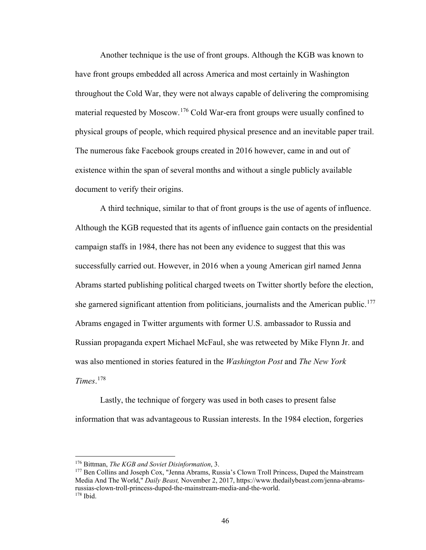Another technique is the use of front groups. Although the KGB was known to have front groups embedded all across America and most certainly in Washington throughout the Cold War, they were not always capable of delivering the compromising material requested by Moscow.<sup>[176](#page-50-0)</sup> Cold War-era front groups were usually confined to physical groups of people, which required physical presence and an inevitable paper trail. The numerous fake Facebook groups created in 2016 however, came in and out of existence within the span of several months and without a single publicly available document to verify their origins.

A third technique, similar to that of front groups is the use of agents of influence. Although the KGB requested that its agents of influence gain contacts on the presidential campaign staffs in 1984, there has not been any evidence to suggest that this was successfully carried out. However, in 2016 when a young American girl named Jenna Abrams started publishing political charged tweets on Twitter shortly before the election, she garnered significant attention from politicians, journalists and the American public.<sup>[177](#page-50-1)</sup> Abrams engaged in Twitter arguments with former U.S. ambassador to Russia and Russian propaganda expert Michael McFaul, she was retweeted by Mike Flynn Jr. and was also mentioned in stories featured in the *Washington Post* and *The New York Times*. [178](#page-50-2)

Lastly, the technique of forgery was used in both cases to present false information that was advantageous to Russian interests. In the 1984 election, forgeries

<sup>176</sup> Bittman, *The KGB and Soviet Disinformation*, 3.

<span id="page-50-2"></span><span id="page-50-1"></span><span id="page-50-0"></span><sup>177</sup> Ben Collins and Joseph Cox, "Jenna Abrams, Russia's Clown Troll Princess, Duped the Mainstream Media And The World," *Daily Beast,* November 2, 2017, https://www.thedailybeast.com/jenna-abramsrussias-clown-troll-princess-duped-the-mainstream-media-and-the-world. <sup>178</sup> Ibid.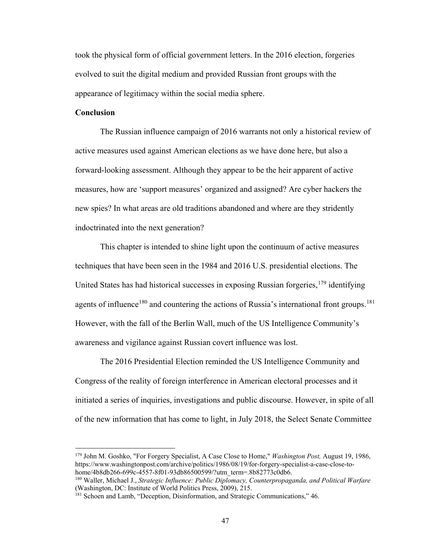took the physical form of official government letters. In the 2016 election, forgeries evolved to suit the digital medium and provided Russian front groups with the appearance of legitimacy within the social media sphere.

# **Conclusion**

 $\overline{a}$ 

The Russian influence campaign of 2016 warrants not only a historical review of active measures used against American elections as we have done here, but also a forward-looking assessment. Although they appear to be the heir apparent of active measures, how are 'support measures' organized and assigned? Are cyber hackers the new spies? In what areas are old traditions abandoned and where are they stridently indoctrinated into the next generation?

 This chapter is intended to shine light upon the continuum of active measures techniques that have been seen in the 1984 and 2016 U.S. presidential elections. The United States has had historical successes in exposing Russian forgeries,  $179$  identifying agents of influence<sup>180</sup> and countering the actions of Russia's international front groups.<sup>[181](#page-51-2)</sup> However, with the fall of the Berlin Wall, much of the US Intelligence Community's awareness and vigilance against Russian covert influence was lost.

The 2016 Presidential Election reminded the US Intelligence Community and Congress of the reality of foreign interference in American electoral processes and it initiated a series of inquiries, investigations and public discourse. However, in spite of all of the new information that has come to light, in July 2018, the Select Senate Committee

<span id="page-51-0"></span><sup>179</sup> John M. Goshko, "For Forgery Specialist, A Case Close to Home," *Washington Post,* August 19, 1986, https://www.washingtonpost.com/archive/politics/1986/08/19/for-forgery-specialist-a-case-close-tohome/4b8db266-699c-4557-8f01-93db86500599/?utm\_term=.8b82773c0db6.

<span id="page-51-1"></span><sup>180</sup> Waller, Michael J., *Strategic Influence: Public Diplomacy, Counterpropaganda, and Political Warfare*  (Washington, DC: Institute of World Politics Press, 2009), 215.

<span id="page-51-2"></span><sup>&</sup>lt;sup>181</sup> Schoen and Lamb, "Deception, Disinformation, and Strategic Communications," 46.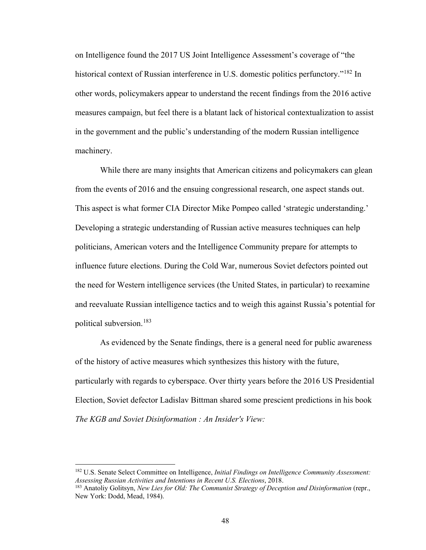on Intelligence found the 2017 US Joint Intelligence Assessment's coverage of "the historical context of Russian interference in U.S. domestic politics perfunctory."<sup>182</sup> In other words, policymakers appear to understand the recent findings from the 2016 active measures campaign, but feel there is a blatant lack of historical contextualization to assist in the government and the public's understanding of the modern Russian intelligence machinery.

While there are many insights that American citizens and policymakers can glean from the events of 2016 and the ensuing congressional research, one aspect stands out. This aspect is what former CIA Director Mike Pompeo called 'strategic understanding.' Developing a strategic understanding of Russian active measures techniques can help politicians, American voters and the Intelligence Community prepare for attempts to influence future elections. During the Cold War, numerous Soviet defectors pointed out the need for Western intelligence services (the United States, in particular) to reexamine and reevaluate Russian intelligence tactics and to weigh this against Russia's potential for political subversion.[183](#page-52-1)

As evidenced by the Senate findings, there is a general need for public awareness of the history of active measures which synthesizes this history with the future, particularly with regards to cyberspace. Over thirty years before the 2016 US Presidential Election, Soviet defector Ladislav Bittman shared some prescient predictions in his book *The KGB and Soviet Disinformation : An Insider's View:* 

<span id="page-52-0"></span><sup>182</sup> U.S. Senate Select Committee on Intelligence, *Initial Findings on Intelligence Community Assessment: Assessing Russian Activities and Intentions in Recent U.S. Elections*, 2018.

<span id="page-52-1"></span><sup>183</sup> Anatoliy Golitsyn, *New Lies for Old: The Communist Strategy of Deception and Disinformation* (repr., New York: Dodd, Mead, 1984).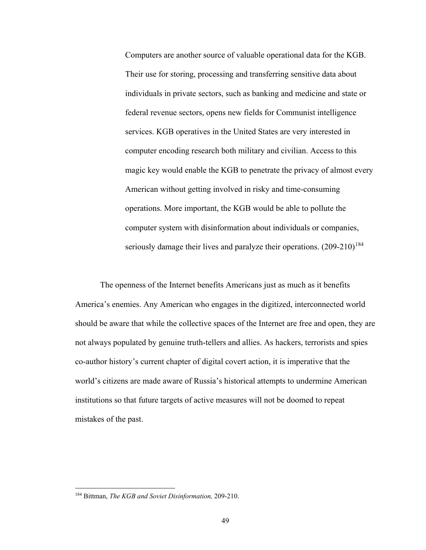Computers are another source of valuable operational data for the KGB. Their use for storing, processing and transferring sensitive data about individuals in private sectors, such as banking and medicine and state or federal revenue sectors, opens new fields for Communist intelligence services. KGB operatives in the United States are very interested in computer encoding research both military and civilian. Access to this magic key would enable the KGB to penetrate the privacy of almost every American without getting involved in risky and time-consuming operations. More important, the KGB would be able to pollute the computer system with disinformation about individuals or companies, seriously damage their lives and paralyze their operations.  $(209-210)^{184}$  $(209-210)^{184}$  $(209-210)^{184}$ 

The openness of the Internet benefits Americans just as much as it benefits America's enemies. Any American who engages in the digitized, interconnected world should be aware that while the collective spaces of the Internet are free and open, they are not always populated by genuine truth-tellers and allies. As hackers, terrorists and spies co-author history's current chapter of digital covert action, it is imperative that the world's citizens are made aware of Russia's historical attempts to undermine American institutions so that future targets of active measures will not be doomed to repeat mistakes of the past.

<span id="page-53-0"></span><sup>184</sup> Bittman, *The KGB and Soviet Disinformation,* 209-210.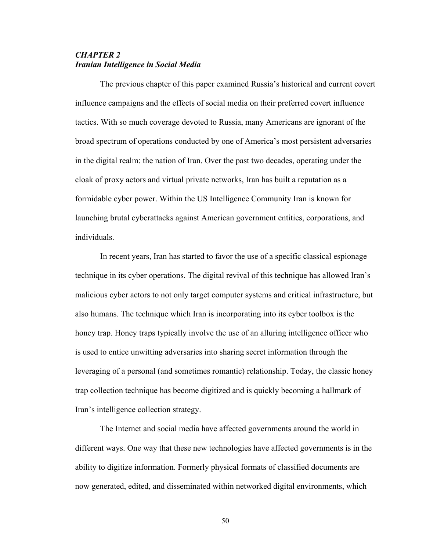# *CHAPTER 2 Iranian Intelligence in Social Media*

The previous chapter of this paper examined Russia's historical and current covert influence campaigns and the effects of social media on their preferred covert influence tactics. With so much coverage devoted to Russia, many Americans are ignorant of the broad spectrum of operations conducted by one of America's most persistent adversaries in the digital realm: the nation of Iran. Over the past two decades, operating under the cloak of proxy actors and virtual private networks, Iran has built a reputation as a formidable cyber power. Within the US Intelligence Community Iran is known for launching brutal cyberattacks against American government entities, corporations, and individuals.

In recent years, Iran has started to favor the use of a specific classical espionage technique in its cyber operations. The digital revival of this technique has allowed Iran's malicious cyber actors to not only target computer systems and critical infrastructure, but also humans. The technique which Iran is incorporating into its cyber toolbox is the honey trap. Honey traps typically involve the use of an alluring intelligence officer who is used to entice unwitting adversaries into sharing secret information through the leveraging of a personal (and sometimes romantic) relationship. Today, the classic honey trap collection technique has become digitized and is quickly becoming a hallmark of Iran's intelligence collection strategy.

The Internet and social media have affected governments around the world in different ways. One way that these new technologies have affected governments is in the ability to digitize information. Formerly physical formats of classified documents are now generated, edited, and disseminated within networked digital environments, which

50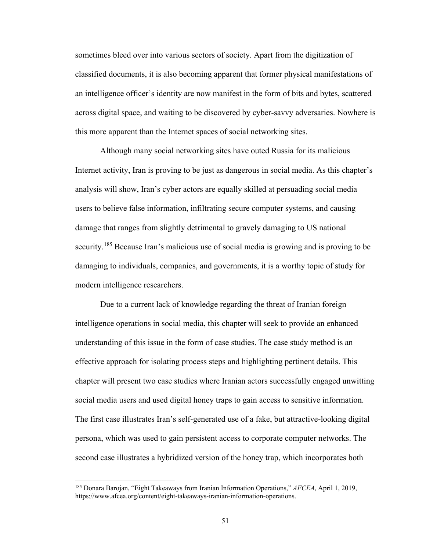sometimes bleed over into various sectors of society. Apart from the digitization of classified documents, it is also becoming apparent that former physical manifestations of an intelligence officer's identity are now manifest in the form of bits and bytes, scattered across digital space, and waiting to be discovered by cyber-savvy adversaries. Nowhere is this more apparent than the Internet spaces of social networking sites.

Although many social networking sites have outed Russia for its malicious Internet activity, Iran is proving to be just as dangerous in social media. As this chapter's analysis will show, Iran's cyber actors are equally skilled at persuading social media users to believe false information, infiltrating secure computer systems, and causing damage that ranges from slightly detrimental to gravely damaging to US national security.<sup>185</sup> Because Iran's malicious use of social media is growing and is proving to be damaging to individuals, companies, and governments, it is a worthy topic of study for modern intelligence researchers.

Due to a current lack of knowledge regarding the threat of Iranian foreign intelligence operations in social media, this chapter will seek to provide an enhanced understanding of this issue in the form of case studies. The case study method is an effective approach for isolating process steps and highlighting pertinent details. This chapter will present two case studies where Iranian actors successfully engaged unwitting social media users and used digital honey traps to gain access to sensitive information. The first case illustrates Iran's self-generated use of a fake, but attractive-looking digital persona, which was used to gain persistent access to corporate computer networks. The second case illustrates a hybridized version of the honey trap, which incorporates both

<span id="page-55-0"></span><sup>185</sup> Donara Barojan, "Eight Takeaways from Iranian Information Operations," *AFCEA*, April 1, 2019, https://www.afcea.org/content/eight-takeaways-iranian-information-operations.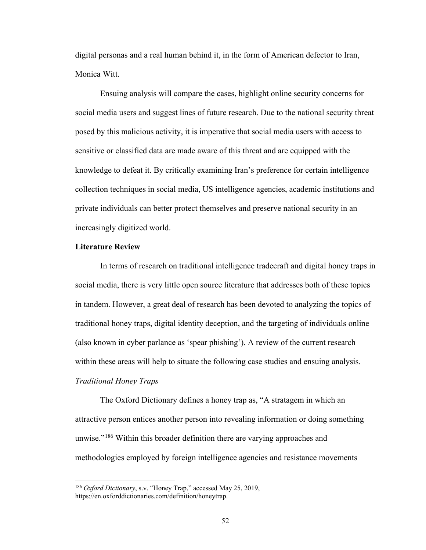digital personas and a real human behind it, in the form of American defector to Iran, Monica Witt.

Ensuing analysis will compare the cases, highlight online security concerns for social media users and suggest lines of future research. Due to the national security threat posed by this malicious activity, it is imperative that social media users with access to sensitive or classified data are made aware of this threat and are equipped with the knowledge to defeat it. By critically examining Iran's preference for certain intelligence collection techniques in social media, US intelligence agencies, academic institutions and private individuals can better protect themselves and preserve national security in an increasingly digitized world.

### **Literature Review**

 $\overline{a}$ 

In terms of research on traditional intelligence tradecraft and digital honey traps in social media, there is very little open source literature that addresses both of these topics in tandem. However, a great deal of research has been devoted to analyzing the topics of traditional honey traps, digital identity deception, and the targeting of individuals online (also known in cyber parlance as 'spear phishing'). A review of the current research within these areas will help to situate the following case studies and ensuing analysis. *Traditional Honey Traps*

The Oxford Dictionary defines a honey trap as, "A stratagem in which an attractive person entices another person into revealing information or doing something unwise."<sup>186</sup> Within this broader definition there are varying approaches and methodologies employed by foreign intelligence agencies and resistance movements

<span id="page-56-0"></span><sup>186</sup> *Oxford Dictionary*, s.v. "Honey Trap," accessed May 25, 2019, https://en.oxforddictionaries.com/definition/honeytrap.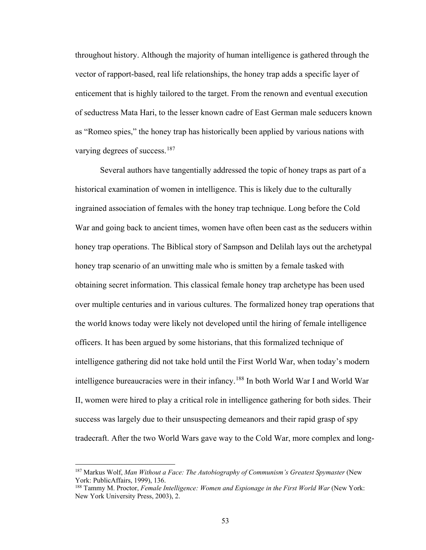throughout history. Although the majority of human intelligence is gathered through the vector of rapport-based, real life relationships, the honey trap adds a specific layer of enticement that is highly tailored to the target. From the renown and eventual execution of seductress Mata Hari, to the lesser known cadre of East German male seducers known as "Romeo spies," the honey trap has historically been applied by various nations with varying degrees of success.<sup>187</sup>

 Several authors have tangentially addressed the topic of honey traps as part of a historical examination of women in intelligence. This is likely due to the culturally ingrained association of females with the honey trap technique. Long before the Cold War and going back to ancient times, women have often been cast as the seducers within honey trap operations. The Biblical story of Sampson and Delilah lays out the archetypal honey trap scenario of an unwitting male who is smitten by a female tasked with obtaining secret information. This classical female honey trap archetype has been used over multiple centuries and in various cultures. The formalized honey trap operations that the world knows today were likely not developed until the hiring of female intelligence officers. It has been argued by some historians, that this formalized technique of intelligence gathering did not take hold until the First World War, when today's modern intelligence bureaucracies were in their infancy.[188](#page-57-1) In both World War I and World War II, women were hired to play a critical role in intelligence gathering for both sides. Their success was largely due to their unsuspecting demeanors and their rapid grasp of spy tradecraft. After the two World Wars gave way to the Cold War, more complex and long-

<span id="page-57-0"></span><sup>&</sup>lt;sup>187</sup> Markus Wolf, Man Without a Face: The Autobiography of Communism's Greatest Spymaster (New York: PublicAffairs, 1999), 136.

<span id="page-57-1"></span><sup>188</sup> Tammy M. Proctor, *Female Intelligence: Women and Espionage in the First World War* (New York: New York University Press, 2003), 2.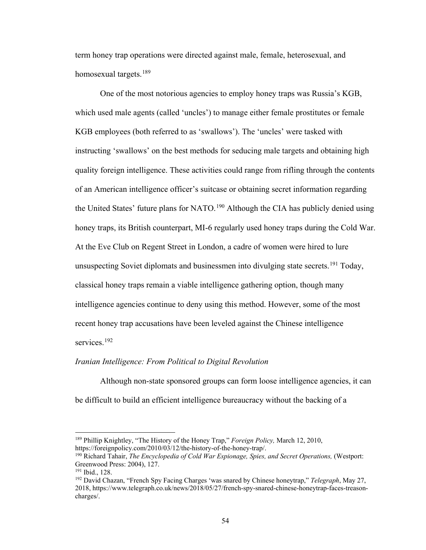term honey trap operations were directed against male, female, heterosexual, and homosexual targets.<sup>189</sup>

One of the most notorious agencies to employ honey traps was Russia's KGB, which used male agents (called 'uncles') to manage either female prostitutes or female KGB employees (both referred to as 'swallows'). The 'uncles' were tasked with instructing 'swallows' on the best methods for seducing male targets and obtaining high quality foreign intelligence. These activities could range from rifling through the contents of an American intelligence officer's suitcase or obtaining secret information regarding the United States' future plans for NATO.<sup>190</sup> Although the CIA has publicly denied using honey traps, its British counterpart, MI-6 regularly used honey traps during the Cold War. At the Eve Club on Regent Street in London, a cadre of women were hired to lure unsuspecting Soviet diplomats and businessmen into divulging state secrets.<sup>[191](#page-58-2)</sup> Today, classical honey traps remain a viable intelligence gathering option, though many intelligence agencies continue to deny using this method. However, some of the most recent honey trap accusations have been leveled against the Chinese intelligence services.<sup>[192](#page-58-3)</sup>

### *Iranian Intelligence: From Political to Digital Revolution*

 Although non-state sponsored groups can form loose intelligence agencies, it can be difficult to build an efficient intelligence bureaucracy without the backing of a

<span id="page-58-0"></span><sup>189</sup> Phillip Knightley, "The History of the Honey Trap," *Foreign Policy,* March 12, 2010, https://foreignpolicy.com/2010/03/12/the-history-of-the-honey-trap/.

<span id="page-58-1"></span><sup>190</sup> Richard Tahair, *The Encyclopedia of Cold War Espionage, Spies, and Secret Operations,* (Westport: Greenwood Press: 2004), 127.

<span id="page-58-2"></span><sup>191</sup> Ibid., 128.

<span id="page-58-3"></span><sup>192</sup> David Chazan, "French Spy Facing Charges 'was snared by Chinese honeytrap," *Telegraph*, May 27, 2018, https://www.telegraph.co.uk/news/2018/05/27/french-spy-snared-chinese-honeytrap-faces-treasoncharges/.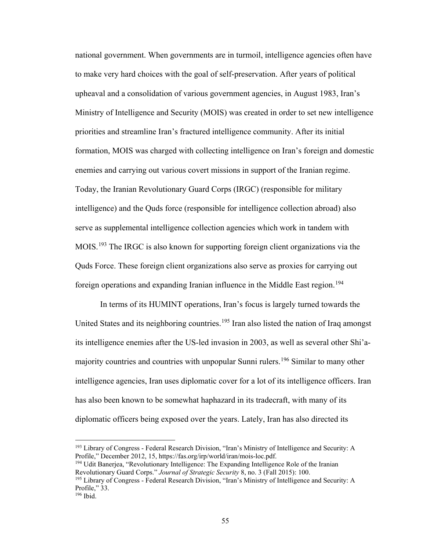national government. When governments are in turmoil, intelligence agencies often have to make very hard choices with the goal of self-preservation. After years of political upheaval and a consolidation of various government agencies, in August 1983, Iran's Ministry of Intelligence and Security (MOIS) was created in order to set new intelligence priorities and streamline Iran's fractured intelligence community. After its initial formation, MOIS was charged with collecting intelligence on Iran's foreign and domestic enemies and carrying out various covert missions in support of the Iranian regime. Today, the Iranian Revolutionary Guard Corps (IRGC) (responsible for military intelligence) and the Quds force (responsible for intelligence collection abroad) also serve as supplemental intelligence collection agencies which work in tandem with MOIS.<sup>193</sup> The IRGC is also known for supporting foreign client organizations via the Quds Force. These foreign client organizations also serve as proxies for carrying out foreign operations and expanding Iranian influence in the Middle East region.<sup>[194](#page-59-1)</sup>

 In terms of its HUMINT operations, Iran's focus is largely turned towards the United States and its neighboring countries.<sup>[195](#page-59-2)</sup> Iran also listed the nation of Iraq amongst its intelligence enemies after the US-led invasion in 2003, as well as several other Shi'a-majority countries and countries with unpopular Sunni rulers.<sup>[196](#page-59-3)</sup> Similar to many other intelligence agencies, Iran uses diplomatic cover for a lot of its intelligence officers. Iran has also been known to be somewhat haphazard in its tradecraft, with many of its diplomatic officers being exposed over the years. Lately, Iran has also directed its

<span id="page-59-0"></span><sup>193</sup> Library of Congress - Federal Research Division, "Iran's Ministry of Intelligence and Security: A Profile," December 2012, 15, https://fas.org/irp/world/iran/mois-loc.pdf.

<span id="page-59-1"></span><sup>&</sup>lt;sup>194</sup> Udit Banerjea, "Revolutionary Intelligence: The Expanding Intelligence Role of the Iranian Revolutionary Guard Corps." *Journal of Strategic Security* 8, no. 3 (Fall 2015): 100.

<span id="page-59-2"></span><sup>195</sup> Library of Congress - Federal Research Division, "Iran's Ministry of Intelligence and Security: A Profile," 33.

<span id="page-59-3"></span><sup>196</sup> Ibid.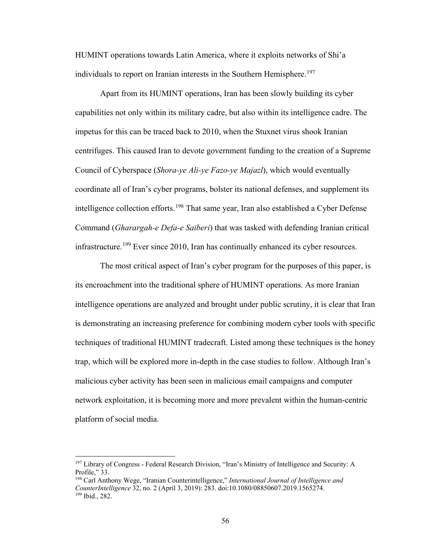HUMINT operations towards Latin America, where it exploits networks of Shi'a individuals to report on Iranian interests in the Southern Hemisphere.<sup>[197](#page-60-0)</sup>

 Apart from its HUMINT operations, Iran has been slowly building its cyber capabilities not only within its military cadre, but also within its intelligence cadre. The impetus for this can be traced back to 2010, when the Stuxnet virus shook Iranian centrifuges. This caused Iran to devote government funding to the creation of a Supreme Council of Cyberspace (*Shora-ye Ali-ye Fazo-ye Majazl*), which would eventually coordinate all of Iran's cyber programs, bolster its national defenses, and supplement its intelligence collection efforts.<sup>[198](#page-60-1)</sup> That same year, Iran also established a Cyber Defense Command (*Gharargah-e Defa-e Saiberi*) that was tasked with defending Iranian critical infrastructure.<sup>[199](#page-60-2)</sup> Ever since 2010, Iran has continually enhanced its cyber resources.

The most critical aspect of Iran's cyber program for the purposes of this paper, is its encroachment into the traditional sphere of HUMINT operations. As more Iranian intelligence operations are analyzed and brought under public scrutiny, it is clear that Iran is demonstrating an increasing preference for combining modern cyber tools with specific techniques of traditional HUMINT tradecraft. Listed among these techniques is the honey trap, which will be explored more in-depth in the case studies to follow. Although Iran's malicious cyber activity has been seen in malicious email campaigns and computer network exploitation, it is becoming more and more prevalent within the human-centric platform of social media.

<span id="page-60-0"></span><sup>&</sup>lt;sup>197</sup> Library of Congress - Federal Research Division, "Iran's Ministry of Intelligence and Security: A Profile," 33.

<span id="page-60-2"></span><span id="page-60-1"></span><sup>198</sup> Carl Anthony Wege, "Iranian Counterintelligence," *International Journal of Intelligence and CounterIntelligence* 32, no. 2 (April 3, 2019): 283. doi:10.1080/08850607.2019.1565274. <sup>199</sup> Ibid., 282.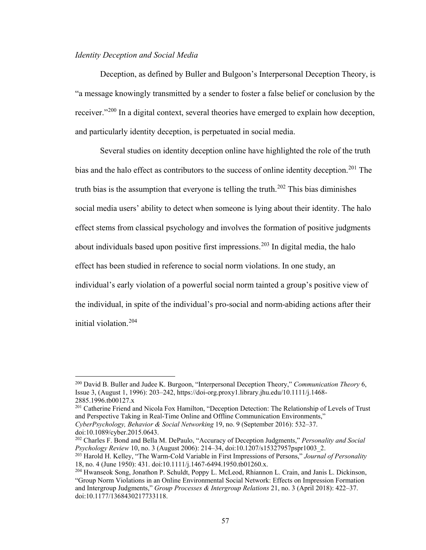# *Identity Deception and Social Media*

Deception, as defined by Buller and Bulgoon's Interpersonal Deception Theory, is "a message knowingly transmitted by a sender to foster a false belief or conclusion by the receiver."[200](#page-61-0) In a digital context, several theories have emerged to explain how deception, and particularly identity deception, is perpetuated in social media.

Several studies on identity deception online have highlighted the role of the truth bias and the halo effect as contributors to the success of online identity deception.<sup>[201](#page-61-1)</sup> The truth bias is the assumption that everyone is telling the truth.<sup>[202](#page-61-2)</sup> This bias diminishes social media users' ability to detect when someone is lying about their identity. The halo effect stems from classical psychology and involves the formation of positive judgments about individuals based upon positive first impressions.<sup>203</sup> In digital media, the halo effect has been studied in reference to social norm violations. In one study, an individual's early violation of a powerful social norm tainted a group's positive view of the individual, in spite of the individual's pro-social and norm-abiding actions after their initial violation.[204](#page-61-4)

<span id="page-61-1"></span><sup>201</sup> Catherine Friend and Nicola Fox Hamilton, "Deception Detection: The Relationship of Levels of Trust and Perspective Taking in Real-Time Online and Offline Communication Environments," *CyberPsychology, Behavior & Social Networking* 19, no. 9 (September 2016): 532–37.

<span id="page-61-0"></span><sup>200</sup> David B. Buller and Judee K. Burgoon, "Interpersonal Deception Theory," *Communication Theory* 6, Issue 3, (August 1, 1996): 203–242, https://doi-org.proxy1.library.jhu.edu/10.1111/j.1468- 2885.1996.tb00127.x

doi:10.1089/cyber.2015.0643.

<span id="page-61-2"></span><sup>202</sup> Charles F. Bond and Bella M. DePaulo, "Accuracy of Deception Judgments," *Personality and Social Psychology Review* 10, no. 3 (August 2006): 214–34, doi:10.1207/s15327957pspr1003\_2.

<span id="page-61-3"></span><sup>203</sup> Harold H. Kelley, "The Warm-Cold Variable in First Impressions of Persons," *Journal of Personality* 18, no. 4 (June 1950): 431. doi:10.1111/j.1467-6494.1950.tb01260.x.

<span id="page-61-4"></span><sup>204</sup> Hwanseok Song, Jonathon P. Schuldt, Poppy L. McLeod, Rhiannon L. Crain, and Janis L. Dickinson, "Group Norm Violations in an Online Environmental Social Network: Effects on Impression Formation and Intergroup Judgments," *Group Processes & Intergroup Relations* 21, no. 3 (April 2018): 422–37. doi:10.1177/1368430217733118.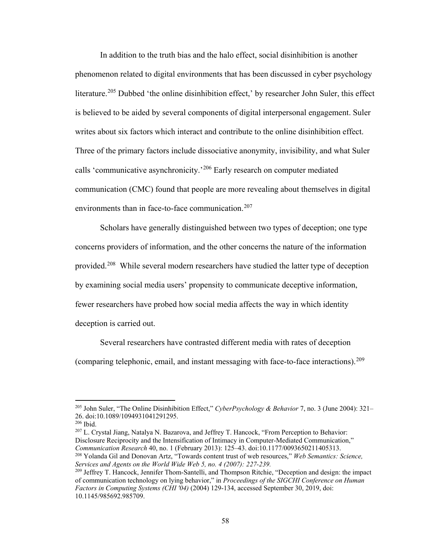In addition to the truth bias and the halo effect, social disinhibition is another phenomenon related to digital environments that has been discussed in cyber psychology literature.<sup>205</sup> Dubbed 'the online disinhibition effect,' by researcher John Suler, this effect is believed to be aided by several components of digital interpersonal engagement. Suler writes about six factors which interact and contribute to the online disinhibition effect. Three of the primary factors include dissociative anonymity, invisibility, and what Suler calls 'communicative asynchronicity.'[206](#page-62-1) Early research on computer mediated communication (CMC) found that people are more revealing about themselves in digital environments than in face-to-face communication.<sup>207</sup>

Scholars have generally distinguished between two types of deception; one type concerns providers of information, and the other concerns the nature of the information provided.[208](#page-62-3) While several modern researchers have studied the latter type of deception by examining social media users' propensity to communicate deceptive information, fewer researchers have probed how social media affects the way in which identity deception is carried out.

Several researchers have contrasted different media with rates of deception (comparing telephonic, email, and instant messaging with face-to-face interactions). $^{209}$  $^{209}$  $^{209}$ 

 $\overline{a}$ 

<span id="page-62-2"></span><sup>207</sup> L. Crystal Jiang, Natalya N. Bazarova, and Jeffrey T. Hancock, "From Perception to Behavior: Disclosure Reciprocity and the Intensification of Intimacy in Computer-Mediated Communication," *Communication Research* 40, no. 1 (February 2013): 125–43. doi:10.1177/0093650211405313. <sup>208</sup> Yolanda Gil and Donovan Artz, "Towards content trust of web resources," *Web Semantics: Science,* 

<span id="page-62-0"></span><sup>205</sup> John Suler, "The Online Disinhibition Effect," *CyberPsychology & Behavior* 7, no. 3 (June 2004): 321– 26. doi:10.1089/1094931041291295.

<span id="page-62-1"></span><sup>206</sup> Ibid.

<span id="page-62-3"></span>*Services and Agents on the World Wide Web 5, no. 4 (2007): 227-239.*

<span id="page-62-4"></span><sup>&</sup>lt;sup>209</sup> Jeffrey T. Hancock, Jennifer Thom-Santelli, and Thompson Ritchie, "Deception and design: the impact of communication technology on lying behavior," in *Proceedings of the SIGCHI Conference on Human Factors in Computing Systems (CHI '04)* (2004) 129-134, accessed September 30, 2019, doi: 10.1145/985692.985709.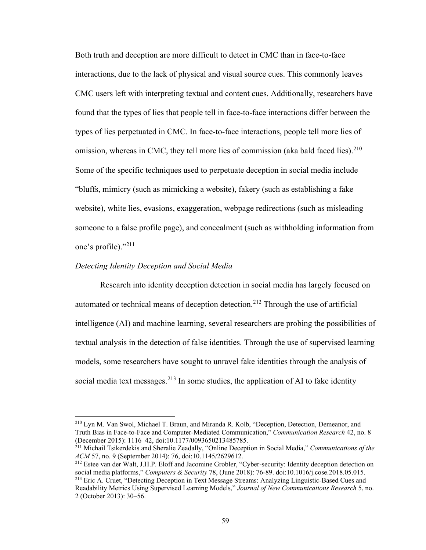Both truth and deception are more difficult to detect in CMC than in face-to-face interactions, due to the lack of physical and visual source cues. This commonly leaves CMC users left with interpreting textual and content cues. Additionally, researchers have found that the types of lies that people tell in face-to-face interactions differ between the types of lies perpetuated in CMC. In face-to-face interactions, people tell more lies of omission, whereas in CMC, they tell more lies of commission (aka bald faced lies). $210$ Some of the specific techniques used to perpetuate deception in social media include "bluffs, mimicry (such as mimicking a website), fakery (such as establishing a fake website), white lies, evasions, exaggeration, webpage redirections (such as misleading someone to a false profile page), and concealment (such as withholding information from one's profile)."[211](#page-63-1)

# *Detecting Identity Deception and Social Media*

 $\overline{a}$ 

Research into identity deception detection in social media has largely focused on automated or technical means of deception detection.<sup>[212](#page-63-2)</sup> Through the use of artificial intelligence (AI) and machine learning, several researchers are probing the possibilities of textual analysis in the detection of false identities. Through the use of supervised learning models, some researchers have sought to unravel fake identities through the analysis of social media text messages.<sup>[213](#page-63-3)</sup> In some studies, the application of AI to fake identity

<span id="page-63-0"></span><sup>210</sup> Lyn M. Van Swol, Michael T. Braun, and Miranda R. Kolb, "Deception, Detection, Demeanor, and Truth Bias in Face-to-Face and Computer-Mediated Communication," *Communication Research* 42, no. 8 (December 2015): 1116–42, doi:10.1177/0093650213485785.

<span id="page-63-1"></span><sup>211</sup> Michail Tsikerdekis and Sheralie Zeadally, "Online Deception in Social Media," *Communications of the ACM* 57, no. 9 (September 2014): 76, doi:10.1145/2629612.

<span id="page-63-3"></span><span id="page-63-2"></span><sup>212</sup> Estee van der Walt, J.H.P. Eloff and Jacomine Grobler, "Cyber-security: Identity deception detection on social media platforms," *Computers & Security* 78, (June 2018): 76-89. doi:10.1016/j.cose.2018.05.015. <sup>213</sup> Eric A. Cruet, "Detecting Deception in Text Message Streams: Analyzing Linguistic-Based Cues and Readability Metrics Using Supervised Learning Models," *Journal of New Communications Research* 5, no. 2 (October 2013): 30–56.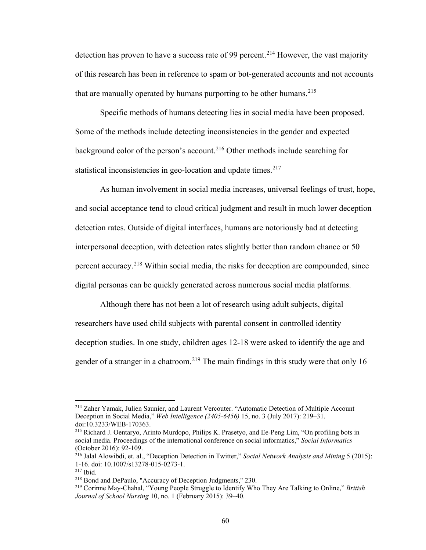detection has proven to have a success rate of 99 percent.<sup>[214](#page-64-0)</sup> However, the vast majority of this research has been in reference to spam or bot-generated accounts and not accounts that are manually operated by humans purporting to be other humans.  $215$ 

Specific methods of humans detecting lies in social media have been proposed. Some of the methods include detecting inconsistencies in the gender and expected background color of the person's account.[216](#page-64-2) Other methods include searching for statistical inconsistencies in geo-location and update times. $217$ 

As human involvement in social media increases, universal feelings of trust, hope, and social acceptance tend to cloud critical judgment and result in much lower deception detection rates. Outside of digital interfaces, humans are notoriously bad at detecting interpersonal deception, with detection rates slightly better than random chance or 50 percent accuracy.<sup>[218](#page-64-4)</sup> Within social media, the risks for deception are compounded, since digital personas can be quickly generated across numerous social media platforms.

Although there has not been a lot of research using adult subjects, digital researchers have used child subjects with parental consent in controlled identity deception studies. In one study, children ages 12-18 were asked to identify the age and gender of a stranger in a chatroom.<sup>[219](#page-64-5)</sup> The main findings in this study were that only 16

<span id="page-64-0"></span><sup>214</sup> Zaher Yamak, Julien Saunier, and Laurent Vercouter. "Automatic Detection of Multiple Account Deception in Social Media," *Web Intelligence (2405-6456)* 15, no. 3 (July 2017): 219–31. doi:10.3233/WEB-170363.

<span id="page-64-1"></span><sup>215</sup> Richard J. Oentaryo, Arinto Murdopo, Philips K. Prasetyo, and Ee-Peng Lim, "On profiling bots in social media. Proceedings of the international conference on social informatics," *Social Informatics*  (October 2016): 92-109.

<span id="page-64-2"></span><sup>216</sup> Jalal Alowibdi, et. al., "Deception Detection in Twitter," *Social Network Analysis and Mining* 5 (2015): 1-16. doi: 10.1007/s13278-015-0273-1.<br><sup>217</sup> Ibid. 218 Bond and DePaulo, "Accuracy of Deception Judgments," 230.

<span id="page-64-4"></span><span id="page-64-3"></span>

<span id="page-64-5"></span><sup>219</sup> Corinne May-Chahal, "Young People Struggle to Identify Who They Are Talking to Online," *British Journal of School Nursing* 10, no. 1 (February 2015): 39–40.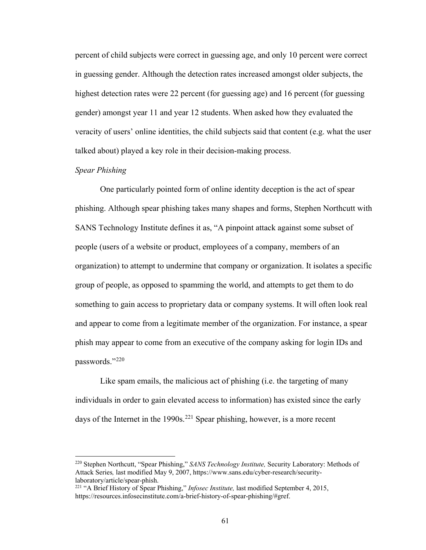percent of child subjects were correct in guessing age, and only 10 percent were correct in guessing gender. Although the detection rates increased amongst older subjects, the highest detection rates were 22 percent (for guessing age) and 16 percent (for guessing gender) amongst year 11 and year 12 students. When asked how they evaluated the veracity of users' online identities, the child subjects said that content (e.g. what the user talked about) played a key role in their decision-making process.

# *Spear Phishing*

 $\overline{a}$ 

One particularly pointed form of online identity deception is the act of spear phishing. Although spear phishing takes many shapes and forms, Stephen Northcutt with SANS Technology Institute defines it as, "A pinpoint attack against some subset of people (users of a website or product, employees of a company, members of an organization) to attempt to undermine that company or organization. It isolates a specific group of people, as opposed to spamming the world, and attempts to get them to do something to gain access to proprietary data or company systems. It will often look real and appear to come from a legitimate member of the organization. For instance, a spear phish may appear to come from an executive of the company asking for login IDs and passwords."[220](#page-65-0)

Like spam emails, the malicious act of phishing (i.e. the targeting of many individuals in order to gain elevated access to information) has existed since the early days of the Internet in the 1990s.<sup>[221](#page-65-1)</sup> Spear phishing, however, is a more recent

<span id="page-65-0"></span><sup>220</sup> Stephen Northcutt, "Spear Phishing," *SANS Technology Institute,* Security Laboratory: Methods of Attack Series*,* last modified May 9, 2007, https://www.sans.edu/cyber-research/securitylaboratory/article/spear-phish.

<span id="page-65-1"></span><sup>221</sup> "A Brief History of Spear Phishing," *Infosec Institute,* last modified September 4, 2015, https://resources.infosecinstitute.com/a-brief-history-of-spear-phishing/#gref.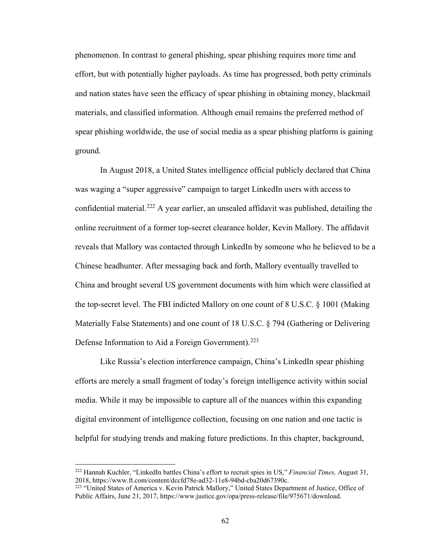phenomenon. In contrast to general phishing, spear phishing requires more time and effort, but with potentially higher payloads. As time has progressed, both petty criminals and nation states have seen the efficacy of spear phishing in obtaining money, blackmail materials, and classified information. Although email remains the preferred method of spear phishing worldwide, the use of social media as a spear phishing platform is gaining ground.

 In August 2018, a United States intelligence official publicly declared that China was waging a "super aggressive" campaign to target LinkedIn users with access to confidential material.<sup>[222](#page-66-0)</sup> A year earlier, an unsealed affidavit was published, detailing the online recruitment of a former top-secret clearance holder, Kevin Mallory. The affidavit reveals that Mallory was contacted through LinkedIn by someone who he believed to be a Chinese headhunter. After messaging back and forth, Mallory eventually travelled to China and brought several US government documents with him which were classified at the top-secret level. The FBI indicted Mallory on one count of 8 U.S.C. § 1001 (Making Materially False Statements) and one count of 18 U.S.C. § 794 (Gathering or Delivering Defense Information to Aid a Foreign Government).<sup>[223](#page-66-1)</sup>

 Like Russia's election interference campaign, China's LinkedIn spear phishing efforts are merely a small fragment of today's foreign intelligence activity within social media. While it may be impossible to capture all of the nuances within this expanding digital environment of intelligence collection, focusing on one nation and one tactic is helpful for studying trends and making future predictions. In this chapter, background,

<span id="page-66-0"></span><sup>222</sup> Hannah Kuchler, "LinkedIn battles China's effort to recruit spies in US," *Financial Times,* August 31, 2018, https://www.ft.com/content/dccfd78e-ad32-11e8-94bd-cba20d67390c.

<span id="page-66-1"></span><sup>&</sup>lt;sup>223</sup> "United States of America v. Kevin Patrick Mallory," United States Department of Justice, Office of Public Affairs, June 21, 2017, https://www.justice.gov/opa/press-release/file/975671/download.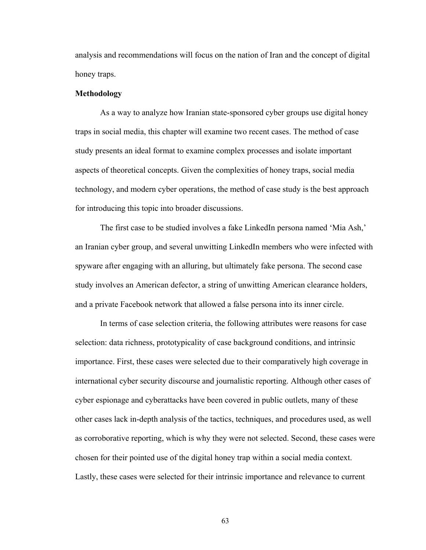analysis and recommendations will focus on the nation of Iran and the concept of digital honey traps.

#### **Methodology**

As a way to analyze how Iranian state-sponsored cyber groups use digital honey traps in social media, this chapter will examine two recent cases. The method of case study presents an ideal format to examine complex processes and isolate important aspects of theoretical concepts. Given the complexities of honey traps, social media technology, and modern cyber operations, the method of case study is the best approach for introducing this topic into broader discussions.

The first case to be studied involves a fake LinkedIn persona named 'Mia Ash,' an Iranian cyber group, and several unwitting LinkedIn members who were infected with spyware after engaging with an alluring, but ultimately fake persona. The second case study involves an American defector, a string of unwitting American clearance holders, and a private Facebook network that allowed a false persona into its inner circle.

In terms of case selection criteria, the following attributes were reasons for case selection: data richness, prototypicality of case background conditions, and intrinsic importance. First, these cases were selected due to their comparatively high coverage in international cyber security discourse and journalistic reporting. Although other cases of cyber espionage and cyberattacks have been covered in public outlets, many of these other cases lack in-depth analysis of the tactics, techniques, and procedures used, as well as corroborative reporting, which is why they were not selected. Second, these cases were chosen for their pointed use of the digital honey trap within a social media context. Lastly, these cases were selected for their intrinsic importance and relevance to current

63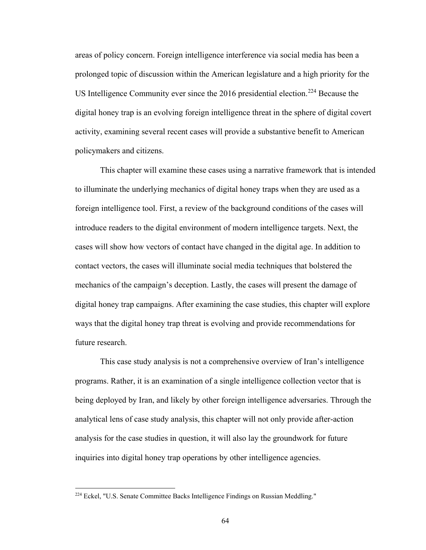areas of policy concern. Foreign intelligence interference via social media has been a prolonged topic of discussion within the American legislature and a high priority for the US Intelligence Community ever since the 2016 presidential election.<sup>[224](#page-68-0)</sup> Because the digital honey trap is an evolving foreign intelligence threat in the sphere of digital covert activity, examining several recent cases will provide a substantive benefit to American policymakers and citizens.

This chapter will examine these cases using a narrative framework that is intended to illuminate the underlying mechanics of digital honey traps when they are used as a foreign intelligence tool. First, a review of the background conditions of the cases will introduce readers to the digital environment of modern intelligence targets. Next, the cases will show how vectors of contact have changed in the digital age. In addition to contact vectors, the cases will illuminate social media techniques that bolstered the mechanics of the campaign's deception. Lastly, the cases will present the damage of digital honey trap campaigns. After examining the case studies, this chapter will explore ways that the digital honey trap threat is evolving and provide recommendations for future research.

This case study analysis is not a comprehensive overview of Iran's intelligence programs. Rather, it is an examination of a single intelligence collection vector that is being deployed by Iran, and likely by other foreign intelligence adversaries. Through the analytical lens of case study analysis, this chapter will not only provide after-action analysis for the case studies in question, it will also lay the groundwork for future inquiries into digital honey trap operations by other intelligence agencies.

<span id="page-68-0"></span><sup>224</sup> Eckel, "U.S. Senate Committee Backs Intelligence Findings on Russian Meddling."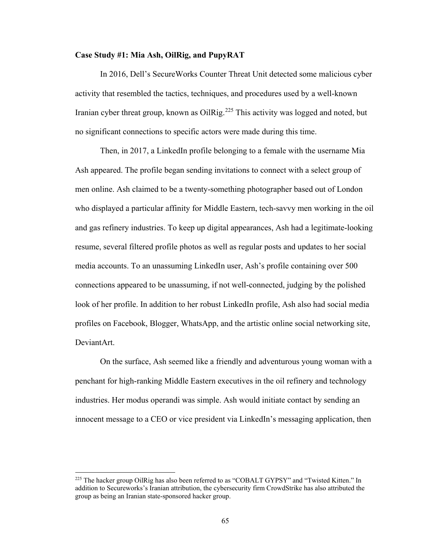# **Case Study #1: Mia Ash, OilRig, and PupyRAT**

 In 2016, Dell's SecureWorks Counter Threat Unit detected some malicious cyber activity that resembled the tactics, techniques, and procedures used by a well-known Iranian cyber threat group, known as OilRig.<sup>225</sup> This activity was logged and noted, but no significant connections to specific actors were made during this time.

Then, in 2017, a LinkedIn profile belonging to a female with the username Mia Ash appeared. The profile began sending invitations to connect with a select group of men online. Ash claimed to be a twenty-something photographer based out of London who displayed a particular affinity for Middle Eastern, tech-savvy men working in the oil and gas refinery industries. To keep up digital appearances, Ash had a legitimate-looking resume, several filtered profile photos as well as regular posts and updates to her social media accounts. To an unassuming LinkedIn user, Ash's profile containing over 500 connections appeared to be unassuming, if not well-connected, judging by the polished look of her profile. In addition to her robust LinkedIn profile, Ash also had social media profiles on Facebook, Blogger, WhatsApp, and the artistic online social networking site, DeviantArt.

On the surface, Ash seemed like a friendly and adventurous young woman with a penchant for high-ranking Middle Eastern executives in the oil refinery and technology industries. Her modus operandi was simple. Ash would initiate contact by sending an innocent message to a CEO or vice president via LinkedIn's messaging application, then

<span id="page-69-0"></span><sup>&</sup>lt;sup>225</sup> The hacker group OilRig has also been referred to as "COBALT GYPSY" and "Twisted Kitten." In addition to Secureworks's Iranian attribution, the cybersecurity firm CrowdStrike has also attributed the group as being an Iranian state-sponsored hacker group.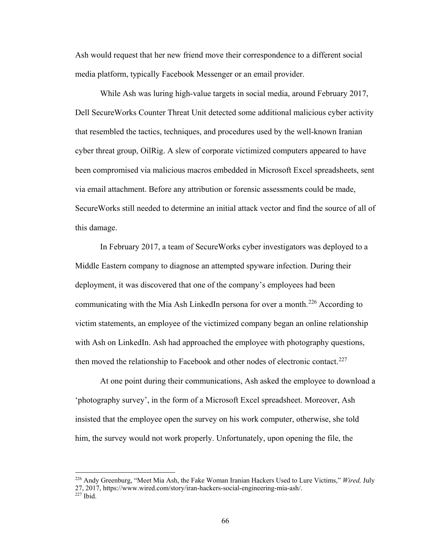Ash would request that her new friend move their correspondence to a different social media platform, typically Facebook Messenger or an email provider.

While Ash was luring high-value targets in social media, around February 2017, Dell SecureWorks Counter Threat Unit detected some additional malicious cyber activity that resembled the tactics, techniques, and procedures used by the well-known Iranian cyber threat group, OilRig. A slew of corporate victimized computers appeared to have been compromised via malicious macros embedded in Microsoft Excel spreadsheets, sent via email attachment. Before any attribution or forensic assessments could be made, SecureWorks still needed to determine an initial attack vector and find the source of all of this damage.

 In February 2017, a team of SecureWorks cyber investigators was deployed to a Middle Eastern company to diagnose an attempted spyware infection. During their deployment, it was discovered that one of the company's employees had been communicating with the Mia Ash LinkedIn persona for over a month.<sup>226</sup> According to victim statements, an employee of the victimized company began an online relationship with Ash on LinkedIn. Ash had approached the employee with photography questions, then moved the relationship to Facebook and other nodes of electronic contact.<sup>[227](#page-70-1)</sup>

 At one point during their communications, Ash asked the employee to download a 'photography survey', in the form of a Microsoft Excel spreadsheet. Moreover, Ash insisted that the employee open the survey on his work computer, otherwise, she told him, the survey would not work properly. Unfortunately, upon opening the file, the

<span id="page-70-1"></span><span id="page-70-0"></span><sup>226</sup> Andy Greenburg, "Meet Mia Ash, the Fake Woman Iranian Hackers Used to Lure Victims," *Wired,* July 27, 2017, https://www.wired.com/story/iran-hackers-social-engineering-mia-ash/.  $227$  Ibid.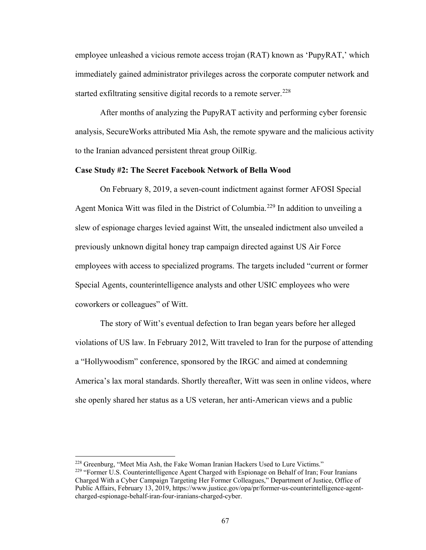employee unleashed a vicious remote access trojan (RAT) known as 'PupyRAT,' which immediately gained administrator privileges across the corporate computer network and started exfiltrating sensitive digital records to a remote server.<sup>[228](#page-71-0)</sup>

 After months of analyzing the PupyRAT activity and performing cyber forensic analysis, SecureWorks attributed Mia Ash, the remote spyware and the malicious activity to the Iranian advanced persistent threat group OilRig.

#### **Case Study #2: The Secret Facebook Network of Bella Wood**

 On February 8, 2019, a seven-count indictment against former AFOSI Special Agent Monica Witt was filed in the District of Columbia.<sup>229</sup> In addition to unveiling a slew of espionage charges levied against Witt, the unsealed indictment also unveiled a previously unknown digital honey trap campaign directed against US Air Force employees with access to specialized programs. The targets included "current or former Special Agents, counterintelligence analysts and other USIC employees who were coworkers or colleagues" of Witt.

The story of Witt's eventual defection to Iran began years before her alleged violations of US law. In February 2012, Witt traveled to Iran for the purpose of attending a "Hollywoodism" conference, sponsored by the IRGC and aimed at condemning America's lax moral standards. Shortly thereafter, Witt was seen in online videos, where she openly shared her status as a US veteran, her anti-American views and a public

<span id="page-71-1"></span><span id="page-71-0"></span>

<sup>&</sup>lt;sup>228</sup> Greenburg, "Meet Mia Ash, the Fake Woman Iranian Hackers Used to Lure Victims."  $229$  "Former U.S. Counterintelligence Agent Charged with Espionage on Behalf of Iran; Four Iranians Charged With a Cyber Campaign Targeting Her Former Colleagues," Department of Justice, Office of Public Affairs, February 13, 2019, https://www.justice.gov/opa/pr/former-us-counterintelligence-agentcharged-espionage-behalf-iran-four-iranians-charged-cyber.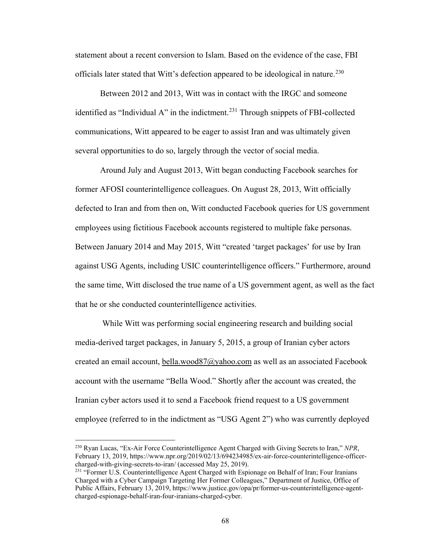statement about a recent conversion to Islam. Based on the evidence of the case, FBI officials later stated that Witt's defection appeared to be ideological in nature.<sup>[230](#page-72-0)</sup>

Between 2012 and 2013, Witt was in contact with the IRGC and someone identified as "Individual A" in the indictment.<sup>231</sup> Through snippets of FBI-collected communications, Witt appeared to be eager to assist Iran and was ultimately given several opportunities to do so, largely through the vector of social media.

 Around July and August 2013, Witt began conducting Facebook searches for former AFOSI counterintelligence colleagues. On August 28, 2013, Witt officially defected to Iran and from then on, Witt conducted Facebook queries for US government employees using fictitious Facebook accounts registered to multiple fake personas. Between January 2014 and May 2015, Witt "created 'target packages' for use by Iran against USG Agents, including USIC counterintelligence officers." Furthermore, around the same time, Witt disclosed the true name of a US government agent, as well as the fact that he or she conducted counterintelligence activities.

While Witt was performing social engineering research and building social media-derived target packages, in January 5, 2015, a group of Iranian cyber actors created an email account, bella.wood87@yahoo.com as well as an associated Facebook account with the username "Bella Wood." Shortly after the account was created, the Iranian cyber actors used it to send a Facebook friend request to a US government employee (referred to in the indictment as "USG Agent 2") who was currently deployed

<span id="page-72-0"></span><sup>230</sup> Ryan Lucas, "Ex-Air Force Counterintelligence Agent Charged with Giving Secrets to Iran," *NPR*, February 13, 2019, https://www.npr.org/2019/02/13/694234985/ex-air-force-counterintelligence-officercharged-with-giving-secrets-to-iran/ (accessed May 25, 2019).

<span id="page-72-1"></span><sup>&</sup>lt;sup>231</sup> "Former U.S. Counterintelligence Agent Charged with Espionage on Behalf of Iran; Four Iranians Charged with a Cyber Campaign Targeting Her Former Colleagues," Department of Justice, Office of Public Affairs, February 13, 2019, https://www.justice.gov/opa/pr/former-us-counterintelligence-agentcharged-espionage-behalf-iran-four-iranians-charged-cyber.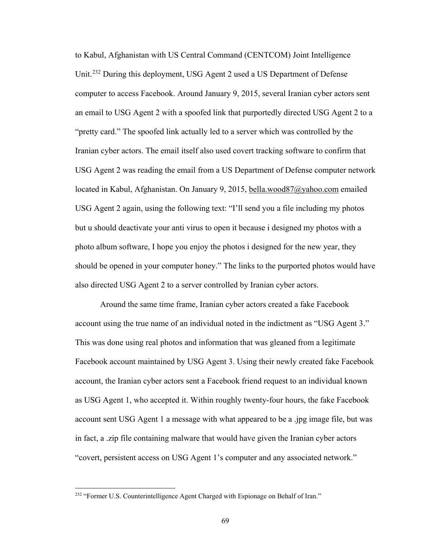to Kabul, Afghanistan with US Central Command (CENTCOM) Joint Intelligence Unit.<sup>232</sup> During this deployment, USG Agent 2 used a US Department of Defense computer to access Facebook. Around January 9, 2015, several Iranian cyber actors sent an email to USG Agent 2 with a spoofed link that purportedly directed USG Agent 2 to a "pretty card." The spoofed link actually led to a server which was controlled by the Iranian cyber actors. The email itself also used covert tracking software to confirm that USG Agent 2 was reading the email from a US Department of Defense computer network located in Kabul, Afghanistan. On January 9, 2015, bella.wood87@yahoo.com emailed USG Agent 2 again, using the following text: "I'll send you a file including my photos but u should deactivate your anti virus to open it because i designed my photos with a photo album software, I hope you enjoy the photos i designed for the new year, they should be opened in your computer honey." The links to the purported photos would have also directed USG Agent 2 to a server controlled by Iranian cyber actors.

Around the same time frame, Iranian cyber actors created a fake Facebook account using the true name of an individual noted in the indictment as "USG Agent 3." This was done using real photos and information that was gleaned from a legitimate Facebook account maintained by USG Agent 3. Using their newly created fake Facebook account, the Iranian cyber actors sent a Facebook friend request to an individual known as USG Agent 1, who accepted it. Within roughly twenty-four hours, the fake Facebook account sent USG Agent 1 a message with what appeared to be a .jpg image file, but was in fact, a .zip file containing malware that would have given the Iranian cyber actors "covert, persistent access on USG Agent 1's computer and any associated network."

<span id="page-73-0"></span><sup>&</sup>lt;sup>232</sup> "Former U.S. Counterintelligence Agent Charged with Espionage on Behalf of Iran."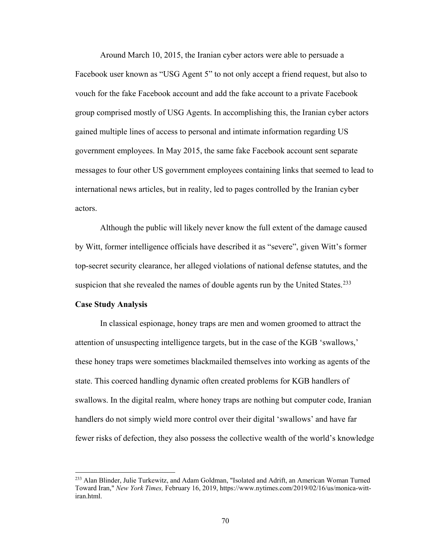Around March 10, 2015, the Iranian cyber actors were able to persuade a Facebook user known as "USG Agent 5" to not only accept a friend request, but also to vouch for the fake Facebook account and add the fake account to a private Facebook group comprised mostly of USG Agents. In accomplishing this, the Iranian cyber actors gained multiple lines of access to personal and intimate information regarding US government employees. In May 2015, the same fake Facebook account sent separate messages to four other US government employees containing links that seemed to lead to international news articles, but in reality, led to pages controlled by the Iranian cyber actors.

Although the public will likely never know the full extent of the damage caused by Witt, former intelligence officials have described it as "severe", given Witt's former top-secret security clearance, her alleged violations of national defense statutes, and the suspicion that she revealed the names of double agents run by the United States.<sup>[233](#page-74-0)</sup>

#### **Case Study Analysis**

 $\overline{a}$ 

 In classical espionage, honey traps are men and women groomed to attract the attention of unsuspecting intelligence targets, but in the case of the KGB 'swallows,' these honey traps were sometimes blackmailed themselves into working as agents of the state. This coerced handling dynamic often created problems for KGB handlers of swallows. In the digital realm, where honey traps are nothing but computer code, Iranian handlers do not simply wield more control over their digital 'swallows' and have far fewer risks of defection, they also possess the collective wealth of the world's knowledge

<span id="page-74-0"></span><sup>233</sup> Alan Blinder, Julie Turkewitz, and Adam Goldman, "Isolated and Adrift, an American Woman Turned Toward Iran," *New York Times,* February 16, 2019, https://www.nytimes.com/2019/02/16/us/monica-wittiran.html.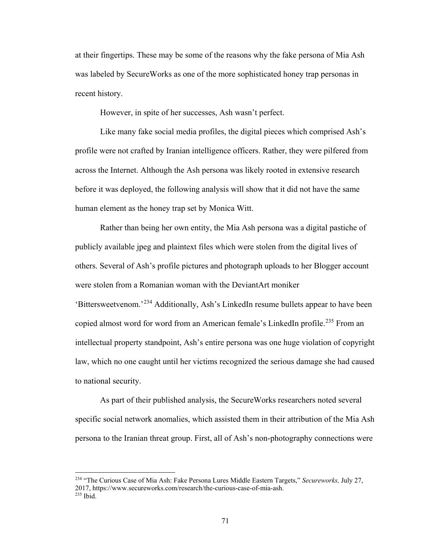at their fingertips. These may be some of the reasons why the fake persona of Mia Ash was labeled by SecureWorks as one of the more sophisticated honey trap personas in recent history.

However, in spite of her successes, Ash wasn't perfect.

Like many fake social media profiles, the digital pieces which comprised Ash's profile were not crafted by Iranian intelligence officers. Rather, they were pilfered from across the Internet. Although the Ash persona was likely rooted in extensive research before it was deployed, the following analysis will show that it did not have the same human element as the honey trap set by Monica Witt.

Rather than being her own entity, the Mia Ash persona was a digital pastiche of publicly available jpeg and plaintext files which were stolen from the digital lives of others. Several of Ash's profile pictures and photograph uploads to her Blogger account were stolen from a Romanian woman with the DeviantArt moniker 'Bittersweetvenom.'[234](#page-75-0) Additionally, Ash's LinkedIn resume bullets appear to have been copied almost word for word from an American female's LinkedIn profile.<sup>[235](#page-75-1)</sup> From an intellectual property standpoint, Ash's entire persona was one huge violation of copyright law, which no one caught until her victims recognized the serious damage she had caused to national security.

As part of their published analysis, the SecureWorks researchers noted several specific social network anomalies, which assisted them in their attribution of the Mia Ash persona to the Iranian threat group. First, all of Ash's non-photography connections were

<span id="page-75-1"></span><span id="page-75-0"></span><sup>234</sup> "The Curious Case of Mia Ash: Fake Persona Lures Middle Eastern Targets," *Secureworks,* July 27, 2017, https://www.secureworks.com/research/the-curious-case-of-mia-ash. <sup>235</sup> Ibid.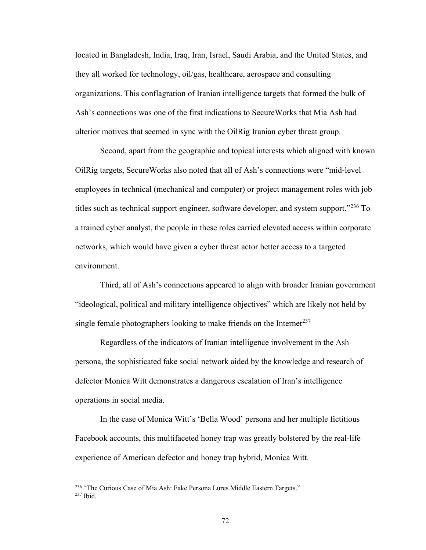located in Bangladesh, India, Iraq, Iran, Israel, Saudi Arabia, and the United States, and they all worked for technology, oil/gas, healthcare, aerospace and consulting organizations. This conflagration of Iranian intelligence targets that formed the bulk of Ash's connections was one of the first indications to SecureWorks that Mia Ash had ulterior motives that seemed in sync with the OilRig Iranian cyber threat group.

Second, apart from the geographic and topical interests which aligned with known OilRig targets, SecureWorks also noted that all of Ash's connections were "mid-level employees in technical (mechanical and computer) or project management roles with job titles such as technical support engineer, software developer, and system support."<sup>[236](#page-76-0)</sup> To a trained cyber analyst, the people in these roles carried elevated access within corporate networks, which would have given a cyber threat actor better access to a targeted environment.

Third, all of Ash's connections appeared to align with broader Iranian government "ideological, political and military intelligence objectives" which are likely not held by single female photographers looking to make friends on the Internet<sup>[237](#page-76-1)</sup>

Regardless of the indicators of Iranian intelligence involvement in the Ash persona, the sophisticated fake social network aided by the knowledge and research of defector Monica Witt demonstrates a dangerous escalation of Iran's intelligence operations in social media.

In the case of Monica Witt's 'Bella Wood' persona and her multiple fictitious Facebook accounts, this multifaceted honey trap was greatly bolstered by the real-life experience of American defector and honey trap hybrid, Monica Witt.

<span id="page-76-1"></span><span id="page-76-0"></span> $^{236}$  "The Curious Case of Mia Ash: Fake Persona Lures Middle Eastern Targets."  $^{237}$  Ibid.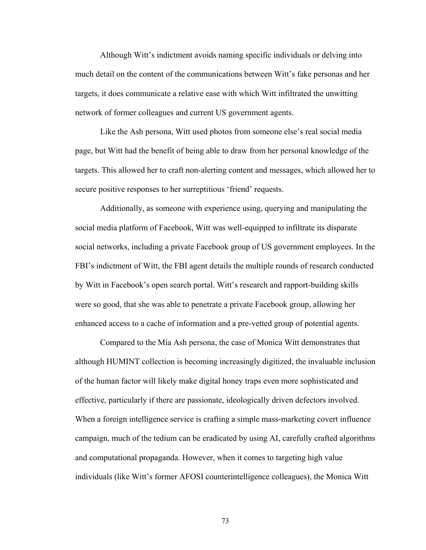Although Witt's indictment avoids naming specific individuals or delving into much detail on the content of the communications between Witt's fake personas and her targets, it does communicate a relative ease with which Witt infiltrated the unwitting network of former colleagues and current US government agents.

Like the Ash persona, Witt used photos from someone else's real social media page, but Witt had the benefit of being able to draw from her personal knowledge of the targets. This allowed her to craft non-alerting content and messages, which allowed her to secure positive responses to her surreptitious 'friend' requests.

Additionally, as someone with experience using, querying and manipulating the social media platform of Facebook, Witt was well-equipped to infiltrate its disparate social networks, including a private Facebook group of US government employees. In the FBI's indictment of Witt, the FBI agent details the multiple rounds of research conducted by Witt in Facebook's open search portal. Witt's research and rapport-building skills were so good, that she was able to penetrate a private Facebook group, allowing her enhanced access to a cache of information and a pre-vetted group of potential agents.

Compared to the Mia Ash persona, the case of Monica Witt demonstrates that although HUMINT collection is becoming increasingly digitized, the invaluable inclusion of the human factor will likely make digital honey traps even more sophisticated and effective, particularly if there are passionate, ideologically driven defectors involved. When a foreign intelligence service is crafting a simple mass-marketing covert influence campaign, much of the tedium can be eradicated by using AI, carefully crafted algorithms and computational propaganda. However, when it comes to targeting high value individuals (like Witt's former AFOSI counterintelligence colleagues), the Monica Witt

73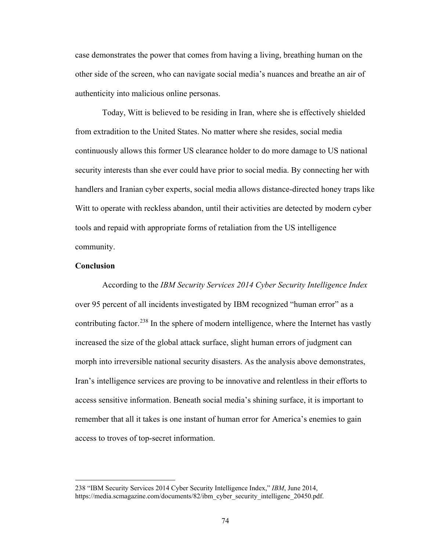case demonstrates the power that comes from having a living, breathing human on the other side of the screen, who can navigate social media's nuances and breathe an air of authenticity into malicious online personas.

 Today, Witt is believed to be residing in Iran, where she is effectively shielded from extradition to the United States. No matter where she resides, social media continuously allows this former US clearance holder to do more damage to US national security interests than she ever could have prior to social media. By connecting her with handlers and Iranian cyber experts, social media allows distance-directed honey traps like Witt to operate with reckless abandon, until their activities are detected by modern cyber tools and repaid with appropriate forms of retaliation from the US intelligence community.

# **Conclusion**

 $\overline{a}$ 

 According to the *IBM Security Services 2014 Cyber Security Intelligence Index*  over 95 percent of all incidents investigated by IBM recognized "human error" as a contributing factor.<sup>[238](#page-78-0)</sup> In the sphere of modern intelligence, where the Internet has vastly increased the size of the global attack surface, slight human errors of judgment can morph into irreversible national security disasters. As the analysis above demonstrates, Iran's intelligence services are proving to be innovative and relentless in their efforts to access sensitive information. Beneath social media's shining surface, it is important to remember that all it takes is one instant of human error for America's enemies to gain access to troves of top-secret information.

<span id="page-78-0"></span><sup>238</sup> "IBM Security Services 2014 Cyber Security Intelligence Index," *IBM*, June 2014, https://media.scmagazine.com/documents/82/ibm\_cyber\_security\_intelligenc\_20450.pdf.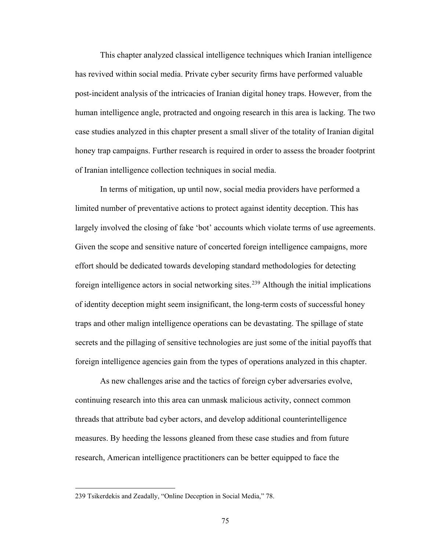This chapter analyzed classical intelligence techniques which Iranian intelligence has revived within social media. Private cyber security firms have performed valuable post-incident analysis of the intricacies of Iranian digital honey traps. However, from the human intelligence angle, protracted and ongoing research in this area is lacking. The two case studies analyzed in this chapter present a small sliver of the totality of Iranian digital honey trap campaigns. Further research is required in order to assess the broader footprint of Iranian intelligence collection techniques in social media.

In terms of mitigation, up until now, social media providers have performed a limited number of preventative actions to protect against identity deception. This has largely involved the closing of fake 'bot' accounts which violate terms of use agreements. Given the scope and sensitive nature of concerted foreign intelligence campaigns, more effort should be dedicated towards developing standard methodologies for detecting foreign intelligence actors in social networking sites.<sup>[239](#page-79-0)</sup> Although the initial implications of identity deception might seem insignificant, the long-term costs of successful honey traps and other malign intelligence operations can be devastating. The spillage of state secrets and the pillaging of sensitive technologies are just some of the initial payoffs that foreign intelligence agencies gain from the types of operations analyzed in this chapter.

As new challenges arise and the tactics of foreign cyber adversaries evolve, continuing research into this area can unmask malicious activity, connect common threads that attribute bad cyber actors, and develop additional counterintelligence measures. By heeding the lessons gleaned from these case studies and from future research, American intelligence practitioners can be better equipped to face the

<span id="page-79-0"></span><sup>239</sup> Tsikerdekis and Zeadally, "Online Deception in Social Media," 78.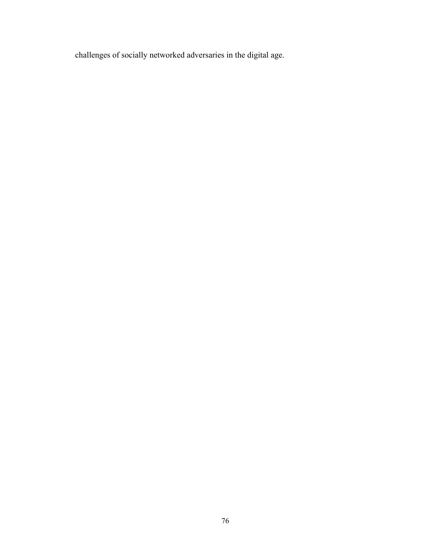challenges of socially networked adversaries in the digital age.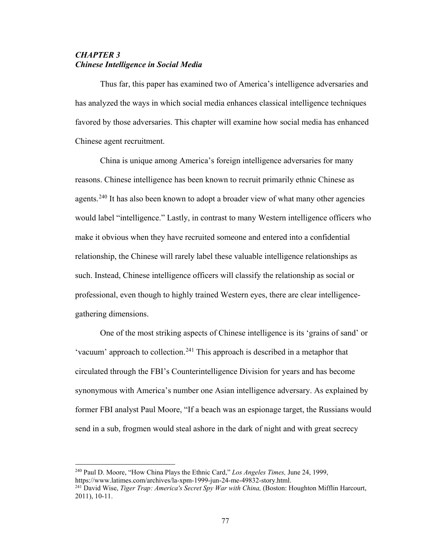# *CHAPTER 3 Chinese Intelligence in Social Media*

Thus far, this paper has examined two of America's intelligence adversaries and has analyzed the ways in which social media enhances classical intelligence techniques favored by those adversaries. This chapter will examine how social media has enhanced Chinese agent recruitment.

China is unique among America's foreign intelligence adversaries for many reasons. Chinese intelligence has been known to recruit primarily ethnic Chinese as agents.<sup>[240](#page-81-0)</sup> It has also been known to adopt a broader view of what many other agencies would label "intelligence." Lastly, in contrast to many Western intelligence officers who make it obvious when they have recruited someone and entered into a confidential relationship, the Chinese will rarely label these valuable intelligence relationships as such. Instead, Chinese intelligence officers will classify the relationship as social or professional, even though to highly trained Western eyes, there are clear intelligencegathering dimensions.

One of the most striking aspects of Chinese intelligence is its 'grains of sand' or 'vacuum' approach to collection.<sup>[241](#page-81-1)</sup> This approach is described in a metaphor that circulated through the FBI's Counterintelligence Division for years and has become synonymous with America's number one Asian intelligence adversary. As explained by former FBI analyst Paul Moore, "If a beach was an espionage target, the Russians would send in a sub, frogmen would steal ashore in the dark of night and with great secrecy

<span id="page-81-0"></span><sup>240</sup> Paul D. Moore, "How China Plays the Ethnic Card," *Los Angeles Times,* June 24, 1999, https://www.latimes.com/archives/la-xpm-1999-jun-24-me-49832-story.html.

<span id="page-81-1"></span><sup>241</sup> David Wise, *Tiger Trap: America's Secret Spy War with China,* (Boston: Houghton Mifflin Harcourt, 2011), 10-11.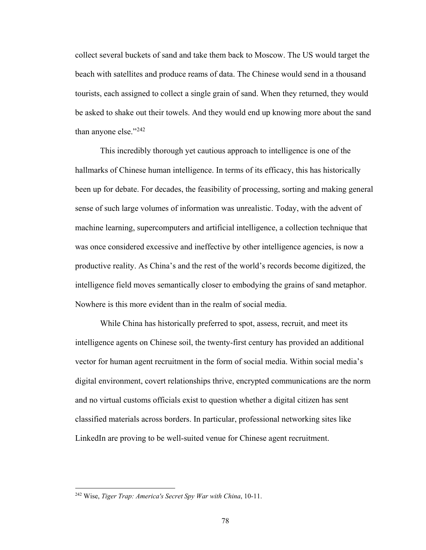collect several buckets of sand and take them back to Moscow. The US would target the beach with satellites and produce reams of data. The Chinese would send in a thousand tourists, each assigned to collect a single grain of sand. When they returned, they would be asked to shake out their towels. And they would end up knowing more about the sand than anyone else." $^{242}$ 

This incredibly thorough yet cautious approach to intelligence is one of the hallmarks of Chinese human intelligence. In terms of its efficacy, this has historically been up for debate. For decades, the feasibility of processing, sorting and making general sense of such large volumes of information was unrealistic. Today, with the advent of machine learning, supercomputers and artificial intelligence, a collection technique that was once considered excessive and ineffective by other intelligence agencies, is now a productive reality. As China's and the rest of the world's records become digitized, the intelligence field moves semantically closer to embodying the grains of sand metaphor. Nowhere is this more evident than in the realm of social media.

While China has historically preferred to spot, assess, recruit, and meet its intelligence agents on Chinese soil, the twenty-first century has provided an additional vector for human agent recruitment in the form of social media. Within social media's digital environment, covert relationships thrive, encrypted communications are the norm and no virtual customs officials exist to question whether a digital citizen has sent classified materials across borders. In particular, professional networking sites like LinkedIn are proving to be well-suited venue for Chinese agent recruitment.

<span id="page-82-0"></span><sup>242</sup> Wise, *Tiger Trap: America's Secret Spy War with China*, 10-11.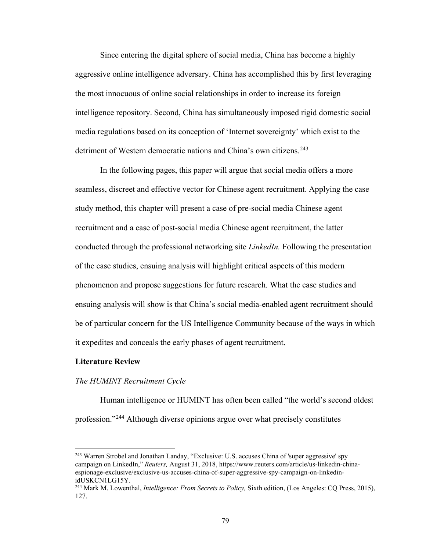Since entering the digital sphere of social media, China has become a highly aggressive online intelligence adversary. China has accomplished this by first leveraging the most innocuous of online social relationships in order to increase its foreign intelligence repository. Second, China has simultaneously imposed rigid domestic social media regulations based on its conception of 'Internet sovereignty' which exist to the detriment of Western democratic nations and China's own citizens.<sup>[243](#page-83-0)</sup>

In the following pages, this paper will argue that social media offers a more seamless, discreet and effective vector for Chinese agent recruitment. Applying the case study method, this chapter will present a case of pre-social media Chinese agent recruitment and a case of post-social media Chinese agent recruitment, the latter conducted through the professional networking site *LinkedIn.* Following the presentation of the case studies, ensuing analysis will highlight critical aspects of this modern phenomenon and propose suggestions for future research. What the case studies and ensuing analysis will show is that China's social media-enabled agent recruitment should be of particular concern for the US Intelligence Community because of the ways in which it expedites and conceals the early phases of agent recruitment.

#### **Literature Review**

 $\overline{a}$ 

#### *The HUMINT Recruitment Cycle*

Human intelligence or HUMINT has often been called "the world's second oldest profession."[244](#page-83-1) Although diverse opinions argue over what precisely constitutes

<span id="page-83-0"></span><sup>243</sup> Warren Strobel and Jonathan Landay, "Exclusive: U.S. accuses China of 'super aggressive' spy campaign on LinkedIn," *Reuters,* August 31, 2018, https://www.reuters.com/article/us-linkedin-chinaespionage-exclusive/exclusive-us-accuses-china-of-super-aggressive-spy-campaign-on-linkedinidUSKCN1LG15Y.

<span id="page-83-1"></span><sup>244</sup> Mark M. Lowenthal, *Intelligence: From Secrets to Policy,* Sixth edition, (Los Angeles: CQ Press, 2015), 127.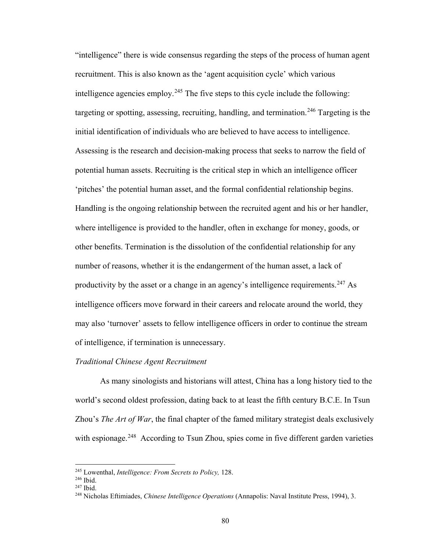"intelligence" there is wide consensus regarding the steps of the process of human agent recruitment. This is also known as the 'agent acquisition cycle' which various intelligence agencies employ.<sup>245</sup> The five steps to this cycle include the following: targeting or spotting, assessing, recruiting, handling, and termination.<sup>[246](#page-84-1)</sup> Targeting is the initial identification of individuals who are believed to have access to intelligence. Assessing is the research and decision-making process that seeks to narrow the field of potential human assets. Recruiting is the critical step in which an intelligence officer 'pitches' the potential human asset, and the formal confidential relationship begins. Handling is the ongoing relationship between the recruited agent and his or her handler, where intelligence is provided to the handler, often in exchange for money, goods, or other benefits. Termination is the dissolution of the confidential relationship for any number of reasons, whether it is the endangerment of the human asset, a lack of productivity by the asset or a change in an agency's intelligence requirements.<sup>[247](#page-84-2)</sup> As intelligence officers move forward in their careers and relocate around the world, they may also 'turnover' assets to fellow intelligence officers in order to continue the stream of intelligence, if termination is unnecessary.

# *Traditional Chinese Agent Recruitment*

As many sinologists and historians will attest, China has a long history tied to the world's second oldest profession, dating back to at least the fifth century B.C.E. In Tsun Zhou's *The Art of War*, the final chapter of the famed military strategist deals exclusively with espionage.<sup>248</sup> According to Tsun Zhou, spies come in five different garden varieties

<span id="page-84-0"></span><sup>245</sup> Lowenthal, *Intelligence: From Secrets to Policy,* 128.

<span id="page-84-1"></span><sup>246</sup> Ibid.

 $247$  Ibid.

<span id="page-84-3"></span><span id="page-84-2"></span><sup>248</sup> Nicholas Eftimiades, *Chinese Intelligence Operations* (Annapolis: Naval Institute Press, 1994), 3.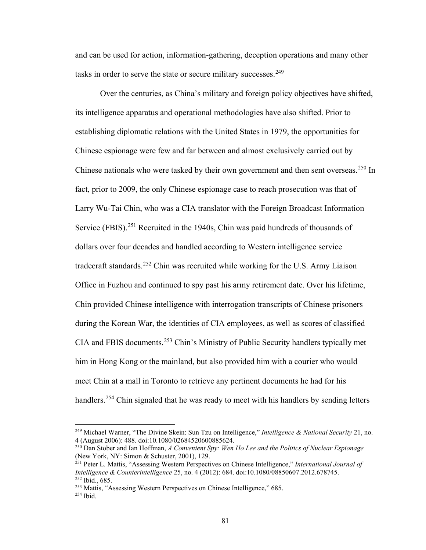and can be used for action, information-gathering, deception operations and many other tasks in order to serve the state or secure military successes.<sup>[249](#page-85-0)</sup>

Over the centuries, as China's military and foreign policy objectives have shifted, its intelligence apparatus and operational methodologies have also shifted. Prior to establishing diplomatic relations with the United States in 1979, the opportunities for Chinese espionage were few and far between and almost exclusively carried out by Chinese nationals who were tasked by their own government and then sent overseas.<sup>[250](#page-85-1)</sup> In fact, prior to 2009, the only Chinese espionage case to reach prosecution was that of Larry Wu-Tai Chin, who was a CIA translator with the Foreign Broadcast Information Service (FBIS).<sup>251</sup> Recruited in the 1940s, Chin was paid hundreds of thousands of dollars over four decades and handled according to Western intelligence service tradecraft standards.<sup>252</sup> Chin was recruited while working for the U.S. Army Liaison Office in Fuzhou and continued to spy past his army retirement date. Over his lifetime, Chin provided Chinese intelligence with interrogation transcripts of Chinese prisoners during the Korean War, the identities of CIA employees, as well as scores of classified CIA and FBIS documents.[253](#page-85-4) Chin's Ministry of Public Security handlers typically met him in Hong Kong or the mainland, but also provided him with a courier who would meet Chin at a mall in Toronto to retrieve any pertinent documents he had for his handlers.<sup>[254](#page-85-5)</sup> Chin signaled that he was ready to meet with his handlers by sending letters

<span id="page-85-0"></span><sup>249</sup> Michael Warner, "The Divine Skein: Sun Tzu on Intelligence," *Intelligence & National Security* 21, no. 4 (August 2006): 488. doi:10.1080/02684520600885624.

<span id="page-85-1"></span><sup>250</sup> Dan Stober and Ian Hoffman, *A Convenient Spy: Wen Ho Lee and the Politics of Nuclear Espionage* (New York, NY: Simon & Schuster, 2001), 129.

<span id="page-85-2"></span><sup>251</sup> Peter L. Mattis, "Assessing Western Perspectives on Chinese Intelligence," *International Journal of Intelligence & Counterintelligence* 25, no. 4 (2012): 684. doi:10.1080/08850607.2012.678745. <sup>252</sup> Ibid., 685.

<span id="page-85-4"></span><span id="page-85-3"></span><sup>253</sup> Mattis, "Assessing Western Perspectives on Chinese Intelligence," 685.

<span id="page-85-5"></span><sup>254</sup> Ibid.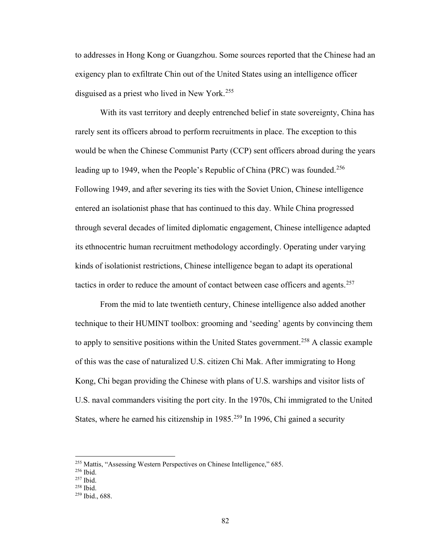to addresses in Hong Kong or Guangzhou. Some sources reported that the Chinese had an exigency plan to exfiltrate Chin out of the United States using an intelligence officer disguised as a priest who lived in New York.<sup>[255](#page-86-0)</sup>

With its vast territory and deeply entrenched belief in state sovereignty, China has rarely sent its officers abroad to perform recruitments in place. The exception to this would be when the Chinese Communist Party (CCP) sent officers abroad during the years leading up to 1949, when the People's Republic of China (PRC) was founded.<sup>[256](#page-86-1)</sup> Following 1949, and after severing its ties with the Soviet Union, Chinese intelligence entered an isolationist phase that has continued to this day. While China progressed through several decades of limited diplomatic engagement, Chinese intelligence adapted its ethnocentric human recruitment methodology accordingly. Operating under varying kinds of isolationist restrictions, Chinese intelligence began to adapt its operational tactics in order to reduce the amount of contact between case officers and agents.<sup>257</sup>

From the mid to late twentieth century, Chinese intelligence also added another technique to their HUMINT toolbox: grooming and 'seeding' agents by convincing them to apply to sensitive positions within the United States government.<sup>[258](#page-86-3)</sup> A classic example of this was the case of naturalized U.S. citizen Chi Mak. After immigrating to Hong Kong, Chi began providing the Chinese with plans of U.S. warships and visitor lists of U.S. naval commanders visiting the port city. In the 1970s, Chi immigrated to the United States, where he earned his citizenship in  $1985$ <sup>[259](#page-86-4)</sup> In 1996, Chi gained a security

<span id="page-86-0"></span><sup>255</sup> Mattis, "Assessing Western Perspectives on Chinese Intelligence," 685.

<sup>256</sup> Ibid.

<span id="page-86-3"></span><span id="page-86-2"></span><span id="page-86-1"></span><sup>257</sup> Ibid.

<sup>258</sup> Ibid.

<span id="page-86-4"></span><sup>259</sup> Ibid., 688.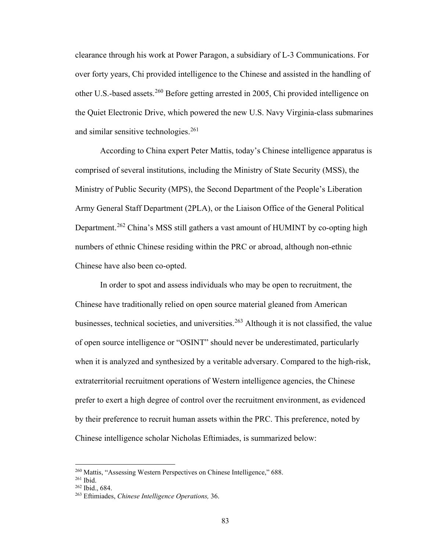clearance through his work at Power Paragon, a subsidiary of L-3 Communications. For over forty years, Chi provided intelligence to the Chinese and assisted in the handling of other U.S.-based assets.<sup>260</sup> Before getting arrested in 2005, Chi provided intelligence on the Quiet Electronic Drive, which powered the new U.S. Navy Virginia-class submarines and similar sensitive technologies.<sup>[261](#page-87-1)</sup>

According to China expert Peter Mattis, today's Chinese intelligence apparatus is comprised of several institutions, including the Ministry of State Security (MSS), the Ministry of Public Security (MPS), the Second Department of the People's Liberation Army General Staff Department (2PLA), or the Liaison Office of the General Political Department.<sup>[262](#page-87-2)</sup> China's MSS still gathers a vast amount of HUMINT by co-opting high numbers of ethnic Chinese residing within the PRC or abroad, although non-ethnic Chinese have also been co-opted.

In order to spot and assess individuals who may be open to recruitment, the Chinese have traditionally relied on open source material gleaned from American businesses, technical societies, and universities.<sup>263</sup> Although it is not classified, the value of open source intelligence or "OSINT" should never be underestimated, particularly when it is analyzed and synthesized by a veritable adversary. Compared to the high-risk, extraterritorial recruitment operations of Western intelligence agencies, the Chinese prefer to exert a high degree of control over the recruitment environment, as evidenced by their preference to recruit human assets within the PRC. This preference, noted by Chinese intelligence scholar Nicholas Eftimiades, is summarized below:

<span id="page-87-0"></span><sup>&</sup>lt;sup>260</sup> Mattis, "Assessing Western Perspectives on Chinese Intelligence," 688.

<span id="page-87-1"></span><sup>261</sup> Ibid.

<span id="page-87-2"></span><sup>262</sup> Ibid., 684.

<span id="page-87-3"></span><sup>263</sup> Eftimiades, *Chinese Intelligence Operations,* 36.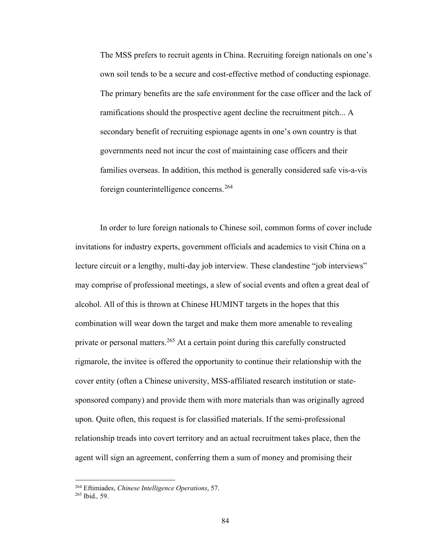The MSS prefers to recruit agents in China. Recruiting foreign nationals on one's own soil tends to be a secure and cost-effective method of conducting espionage. The primary benefits are the safe environment for the case officer and the lack of ramifications should the prospective agent decline the recruitment pitch... A secondary benefit of recruiting espionage agents in one's own country is that governments need not incur the cost of maintaining case officers and their families overseas. In addition, this method is generally considered safe vis-a-vis foreign counterintelligence concerns.[264](#page-88-0) 

In order to lure foreign nationals to Chinese soil, common forms of cover include invitations for industry experts, government officials and academics to visit China on a lecture circuit or a lengthy, multi-day job interview. These clandestine "job interviews" may comprise of professional meetings, a slew of social events and often a great deal of alcohol. All of this is thrown at Chinese HUMINT targets in the hopes that this combination will wear down the target and make them more amenable to revealing private or personal matters.<sup>265</sup> At a certain point during this carefully constructed rigmarole, the invitee is offered the opportunity to continue their relationship with the cover entity (often a Chinese university, MSS-affiliated research institution or statesponsored company) and provide them with more materials than was originally agreed upon. Quite often, this request is for classified materials. If the semi-professional relationship treads into covert territory and an actual recruitment takes place, then the agent will sign an agreement, conferring them a sum of money and promising their

<span id="page-88-0"></span><sup>264</sup> Eftimiades, *Chinese Intelligence Operations*, 57.

<span id="page-88-1"></span><sup>265</sup> Ibid.*,* 59.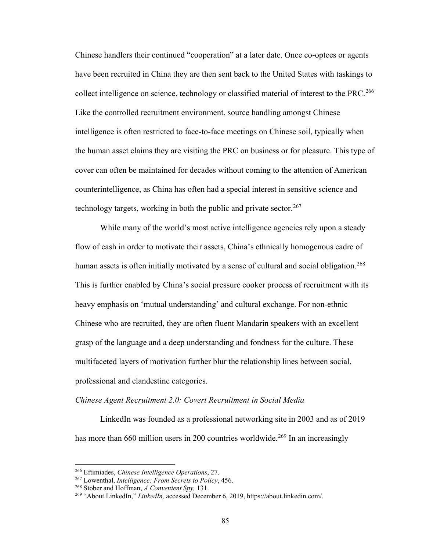Chinese handlers their continued "cooperation" at a later date. Once co-optees or agents have been recruited in China they are then sent back to the United States with taskings to collect intelligence on science, technology or classified material of interest to the PRC.<sup>[266](#page-89-0)</sup> Like the controlled recruitment environment, source handling amongst Chinese intelligence is often restricted to face-to-face meetings on Chinese soil, typically when the human asset claims they are visiting the PRC on business or for pleasure. This type of cover can often be maintained for decades without coming to the attention of American counterintelligence, as China has often had a special interest in sensitive science and technology targets, working in both the public and private sector.  $267$ 

While many of the world's most active intelligence agencies rely upon a steady flow of cash in order to motivate their assets, China's ethnically homogenous cadre of human assets is often initially motivated by a sense of cultural and social obligation.<sup>[268](#page-89-2)</sup> This is further enabled by China's social pressure cooker process of recruitment with its heavy emphasis on 'mutual understanding' and cultural exchange. For non-ethnic Chinese who are recruited, they are often fluent Mandarin speakers with an excellent grasp of the language and a deep understanding and fondness for the culture. These multifaceted layers of motivation further blur the relationship lines between social, professional and clandestine categories.

### *Chinese Agent Recruitment 2.0: Covert Recruitment in Social Media*

LinkedIn was founded as a professional networking site in 2003 and as of 2019 has more than 660 million users in 200 countries worldwide.<sup>269</sup> In an increasingly

<span id="page-89-0"></span><sup>266</sup> Eftimiades, *Chinese Intelligence Operations*, 27.

<span id="page-89-1"></span><sup>267</sup> Lowenthal, *Intelligence: From Secrets to Policy*, 456.

<span id="page-89-2"></span><sup>268</sup> Stober and Hoffman, *A Convenient Spy,* 131.

<span id="page-89-3"></span><sup>269</sup> "About LinkedIn," *LinkedIn,* accessed December 6, 2019, https://about.linkedin.com/.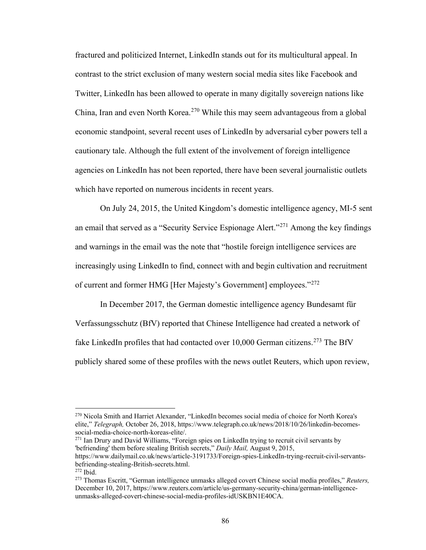fractured and politicized Internet, LinkedIn stands out for its multicultural appeal. In contrast to the strict exclusion of many western social media sites like Facebook and Twitter, LinkedIn has been allowed to operate in many digitally sovereign nations like China, Iran and even North Korea.<sup>270</sup> While this may seem advantageous from a global economic standpoint, several recent uses of LinkedIn by adversarial cyber powers tell a cautionary tale. Although the full extent of the involvement of foreign intelligence agencies on LinkedIn has not been reported, there have been several journalistic outlets which have reported on numerous incidents in recent years.

 On July 24, 2015, the United Kingdom's domestic intelligence agency, MI-5 sent an email that served as a "Security Service Espionage Alert."[271](#page-90-1) Among the key findings and warnings in the email was the note that "hostile foreign intelligence services are increasingly using LinkedIn to find, connect with and begin cultivation and recruitment of current and former HMG [Her Majesty's Government] employees."[272](#page-90-2)

In December 2017, the German domestic intelligence agency Bundesamt für Verfassungsschutz (BfV) reported that Chinese Intelligence had created a network of fake LinkedIn profiles that had contacted over  $10,000$  German citizens.<sup>[273](#page-90-3)</sup> The BfV publicly shared some of these profiles with the news outlet Reuters, which upon review,

<span id="page-90-1"></span><sup>271</sup> Ian Drury and David Williams, "Foreign spies on LinkedIn trying to recruit civil servants by 'befriending' them before stealing British secrets," *Daily Mail,* August 9, 2015, https://www.dailymail.co.uk/news/article-3191733/Foreign-spies-LinkedIn-trying-recruit-civil-servantsbefriending-stealing-British-secrets.html.

<span id="page-90-0"></span><sup>270</sup> Nicola Smith and Harriet Alexander, "LinkedIn becomes social media of choice for North Korea's elite," *Telegraph*, October 26, 2018, https://www.telegraph.co.uk/news/2018/10/26/linkedin-becomes-<br>social-media-choice-north-koreas-elite/.

<sup>272</sup> Ibid.

<span id="page-90-3"></span><span id="page-90-2"></span><sup>273</sup> Thomas Escritt, "German intelligence unmasks alleged covert Chinese social media profiles," *Reuters,*  December 10, 2017, https://www.reuters.com/article/us-germany-security-china/german-intelligenceunmasks-alleged-covert-chinese-social-media-profiles-idUSKBN1E40CA.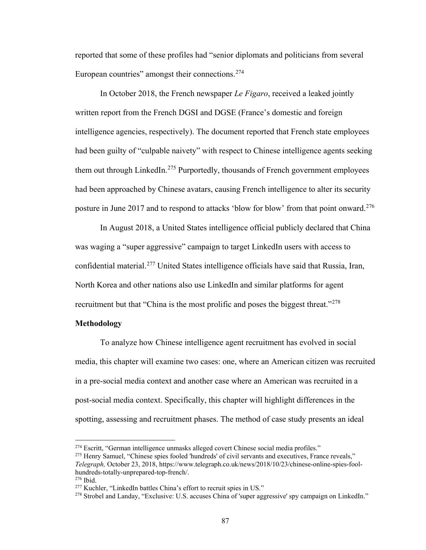reported that some of these profiles had "senior diplomats and politicians from several European countries" amongst their connections.<sup>274</sup>

In October 2018, the French newspaper *Le Figaro*, received a leaked jointly written report from the French DGSI and DGSE (France's domestic and foreign intelligence agencies, respectively). The document reported that French state employees had been guilty of "culpable naivety" with respect to Chinese intelligence agents seeking them out through LinkedIn.<sup>[275](#page-91-1)</sup> Purportedly, thousands of French government employees had been approached by Chinese avatars, causing French intelligence to alter its security posture in June 2017 and to respond to attacks 'blow for blow' from that point onward.<sup>[276](#page-91-2)</sup>

In August 2018, a United States intelligence official publicly declared that China was waging a "super aggressive" campaign to target LinkedIn users with access to confidential material.[277](#page-91-3) United States intelligence officials have said that Russia, Iran, North Korea and other nations also use LinkedIn and similar platforms for agent recruitment but that "China is the most prolific and poses the biggest threat."<sup>[278](#page-91-4)</sup>

## **Methodology**

To analyze how Chinese intelligence agent recruitment has evolved in social media, this chapter will examine two cases: one, where an American citizen was recruited in a pre-social media context and another case where an American was recruited in a post-social media context. Specifically, this chapter will highlight differences in the spotting, assessing and recruitment phases. The method of case study presents an ideal

<span id="page-91-0"></span><sup>&</sup>lt;sup>274</sup> Escritt, "German intelligence unmasks alleged covert Chinese social media profiles."

<span id="page-91-1"></span><sup>&</sup>lt;sup>275</sup> Henry Samuel, "Chinese spies fooled 'hundreds' of civil servants and executives, France reveals," *Telegraph,* October 23, 2018, https://www.telegraph.co.uk/news/2018/10/23/chinese-online-spies-foolhundreds-totally-unprepared-top-french/.

<span id="page-91-3"></span><span id="page-91-2"></span>

<sup>&</sup>lt;sup>276</sup> Ibid.<br><sup>277</sup> Kuchler, "LinkedIn battles China's effort to recruit spies in US."

<span id="page-91-4"></span><sup>&</sup>lt;sup>278</sup> Strobel and Landay, "Exclusive: U.S. accuses China of 'super aggressive' spy campaign on LinkedIn."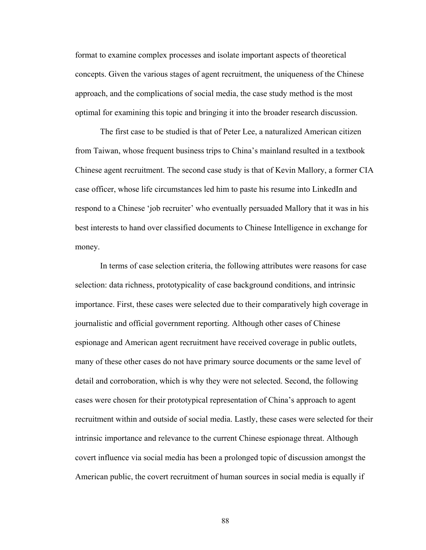format to examine complex processes and isolate important aspects of theoretical concepts. Given the various stages of agent recruitment, the uniqueness of the Chinese approach, and the complications of social media, the case study method is the most optimal for examining this topic and bringing it into the broader research discussion.

The first case to be studied is that of Peter Lee, a naturalized American citizen from Taiwan, whose frequent business trips to China's mainland resulted in a textbook Chinese agent recruitment. The second case study is that of Kevin Mallory, a former CIA case officer, whose life circumstances led him to paste his resume into LinkedIn and respond to a Chinese 'job recruiter' who eventually persuaded Mallory that it was in his best interests to hand over classified documents to Chinese Intelligence in exchange for money.

In terms of case selection criteria, the following attributes were reasons for case selection: data richness, prototypicality of case background conditions, and intrinsic importance. First, these cases were selected due to their comparatively high coverage in journalistic and official government reporting. Although other cases of Chinese espionage and American agent recruitment have received coverage in public outlets, many of these other cases do not have primary source documents or the same level of detail and corroboration, which is why they were not selected. Second, the following cases were chosen for their prototypical representation of China's approach to agent recruitment within and outside of social media. Lastly, these cases were selected for their intrinsic importance and relevance to the current Chinese espionage threat. Although covert influence via social media has been a prolonged topic of discussion amongst the American public, the covert recruitment of human sources in social media is equally if

88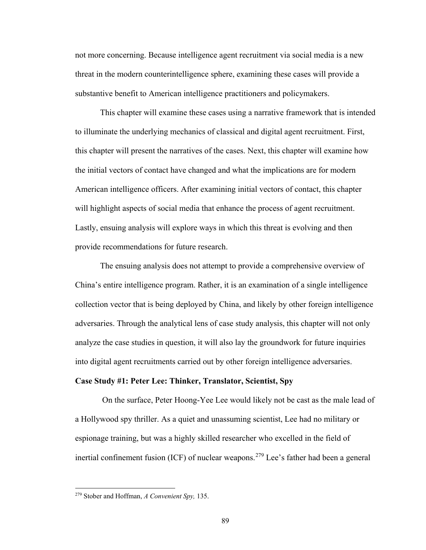not more concerning. Because intelligence agent recruitment via social media is a new threat in the modern counterintelligence sphere, examining these cases will provide a substantive benefit to American intelligence practitioners and policymakers.

This chapter will examine these cases using a narrative framework that is intended to illuminate the underlying mechanics of classical and digital agent recruitment. First, this chapter will present the narratives of the cases. Next, this chapter will examine how the initial vectors of contact have changed and what the implications are for modern American intelligence officers. After examining initial vectors of contact, this chapter will highlight aspects of social media that enhance the process of agent recruitment. Lastly, ensuing analysis will explore ways in which this threat is evolving and then provide recommendations for future research.

The ensuing analysis does not attempt to provide a comprehensive overview of China's entire intelligence program. Rather, it is an examination of a single intelligence collection vector that is being deployed by China, and likely by other foreign intelligence adversaries. Through the analytical lens of case study analysis, this chapter will not only analyze the case studies in question, it will also lay the groundwork for future inquiries into digital agent recruitments carried out by other foreign intelligence adversaries.

### **Case Study #1: Peter Lee: Thinker, Translator, Scientist, Spy**

 On the surface, Peter Hoong-Yee Lee would likely not be cast as the male lead of a Hollywood spy thriller. As a quiet and unassuming scientist, Lee had no military or espionage training, but was a highly skilled researcher who excelled in the field of inertial confinement fusion (ICF) of nuclear weapons.<sup>[279](#page-93-0)</sup> Lee's father had been a general

<span id="page-93-0"></span><sup>279</sup> Stober and Hoffman, *A Convenient Spy,* 135.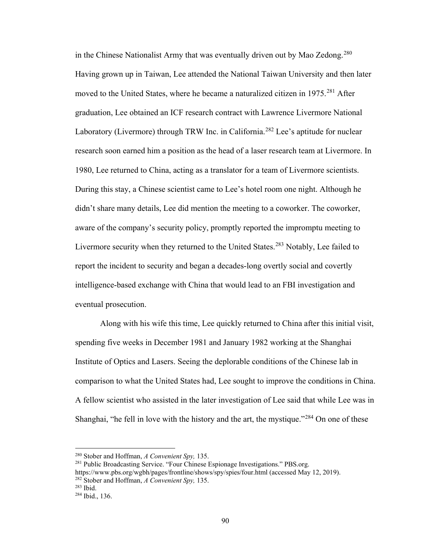in the Chinese Nationalist Army that was eventually driven out by Mao Zedong.<sup>[280](#page-94-0)</sup> Having grown up in Taiwan, Lee attended the National Taiwan University and then later moved to the United States, where he became a naturalized citizen in 1975.<sup>[281](#page-94-1)</sup> After graduation, Lee obtained an ICF research contract with Lawrence Livermore National Laboratory (Livermore) through TRW Inc. in California.<sup>[282](#page-94-2)</sup> Lee's aptitude for nuclear research soon earned him a position as the head of a laser research team at Livermore. In 1980, Lee returned to China, acting as a translator for a team of Livermore scientists. During this stay, a Chinese scientist came to Lee's hotel room one night. Although he didn't share many details, Lee did mention the meeting to a coworker. The coworker, aware of the company's security policy, promptly reported the impromptu meeting to Livermore security when they returned to the United States.<sup>[283](#page-94-3)</sup> Notably, Lee failed to report the incident to security and began a decades-long overtly social and covertly intelligence-based exchange with China that would lead to an FBI investigation and eventual prosecution.

Along with his wife this time, Lee quickly returned to China after this initial visit, spending five weeks in December 1981 and January 1982 working at the Shanghai Institute of Optics and Lasers. Seeing the deplorable conditions of the Chinese lab in comparison to what the United States had, Lee sought to improve the conditions in China. A fellow scientist who assisted in the later investigation of Lee said that while Lee was in Shanghai, "he fell in love with the history and the art, the mystique."<sup>284</sup> On one of these

<span id="page-94-0"></span><sup>280</sup> Stober and Hoffman, *A Convenient Spy,* 135.

<span id="page-94-1"></span><sup>281</sup> Public Broadcasting Service. "Four Chinese Espionage Investigations." PBS.org. https://www.pbs.org/wgbh/pages/frontline/shows/spy/spies/four.html (accessed May 12, 2019). <sup>282</sup> Stober and Hoffman, *A Convenient Spy,* 135.

<span id="page-94-3"></span><span id="page-94-2"></span> $283$  Ibid.

<span id="page-94-4"></span><sup>284</sup> Ibid., 136.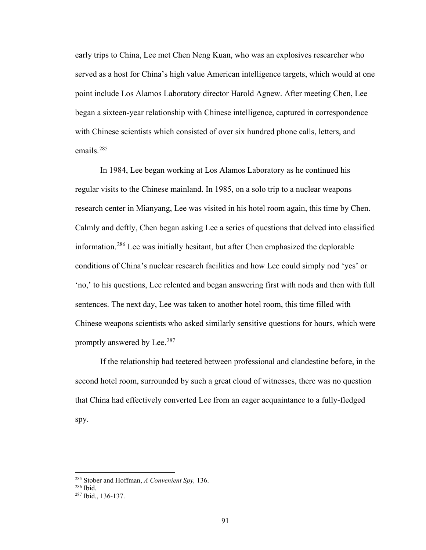early trips to China, Lee met Chen Neng Kuan, who was an explosives researcher who served as a host for China's high value American intelligence targets, which would at one point include Los Alamos Laboratory director Harold Agnew. After meeting Chen, Lee began a sixteen-year relationship with Chinese intelligence, captured in correspondence with Chinese scientists which consisted of over six hundred phone calls, letters, and emails.[285](#page-95-0) 

In 1984, Lee began working at Los Alamos Laboratory as he continued his regular visits to the Chinese mainland. In 1985, on a solo trip to a nuclear weapons research center in Mianyang, Lee was visited in his hotel room again, this time by Chen. Calmly and deftly, Chen began asking Lee a series of questions that delved into classified information.[286](#page-95-1) Lee was initially hesitant, but after Chen emphasized the deplorable conditions of China's nuclear research facilities and how Lee could simply nod 'yes' or 'no,' to his questions, Lee relented and began answering first with nods and then with full sentences. The next day, Lee was taken to another hotel room, this time filled with Chinese weapons scientists who asked similarly sensitive questions for hours, which were promptly answered by Lee.<sup>287</sup>

If the relationship had teetered between professional and clandestine before, in the second hotel room, surrounded by such a great cloud of witnesses, there was no question that China had effectively converted Lee from an eager acquaintance to a fully-fledged spy.

<span id="page-95-0"></span><sup>285</sup> Stober and Hoffman, *A Convenient Spy,* 136. 286 Ibid.

<span id="page-95-1"></span>

<span id="page-95-2"></span><sup>287</sup> Ibid., 136-137.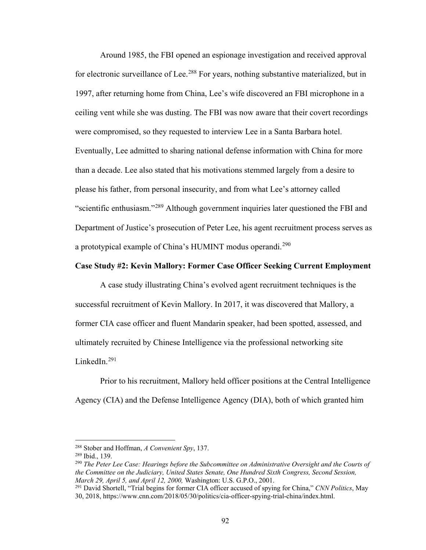Around 1985, the FBI opened an espionage investigation and received approval for electronic surveillance of Lee.<sup>288</sup> For years, nothing substantive materialized, but in 1997, after returning home from China, Lee's wife discovered an FBI microphone in a ceiling vent while she was dusting. The FBI was now aware that their covert recordings were compromised, so they requested to interview Lee in a Santa Barbara hotel. Eventually, Lee admitted to sharing national defense information with China for more than a decade. Lee also stated that his motivations stemmed largely from a desire to please his father, from personal insecurity, and from what Lee's attorney called "scientific enthusiasm."[289](#page-96-1) Although government inquiries later questioned the FBI and Department of Justice's prosecution of Peter Lee, his agent recruitment process serves as a prototypical example of China's HUMINT modus operandi.<sup>290</sup>

## **Case Study #2: Kevin Mallory: Former Case Officer Seeking Current Employment**

A case study illustrating China's evolved agent recruitment techniques is the successful recruitment of Kevin Mallory. In 2017, it was discovered that Mallory, a former CIA case officer and fluent Mandarin speaker, had been spotted, assessed, and ultimately recruited by Chinese Intelligence via the professional networking site LinkedIn.<sup>291</sup>

Prior to his recruitment, Mallory held officer positions at the Central Intelligence Agency (CIA) and the Defense Intelligence Agency (DIA), both of which granted him

<sup>288</sup> Stober and Hoffman, *A Convenient Spy*, 137.

<span id="page-96-1"></span><span id="page-96-0"></span><sup>289</sup> Ibid., 139.

<span id="page-96-2"></span><sup>290</sup> *The Peter Lee Case: Hearings before the Subcommittee on Administrative Oversight and the Courts of the Committee on the Judiciary, United States Senate, One Hundred Sixth Congress, Second Session, March 29, April 5, and April 12, 2000,* Washington: U.S. G.P.O., 2001.

<span id="page-96-3"></span><sup>291</sup> David Shortell, "Trial begins for former CIA officer accused of spying for China," *CNN Politics*, May 30, 2018, https://www.cnn.com/2018/05/30/politics/cia-officer-spying-trial-china/index.html.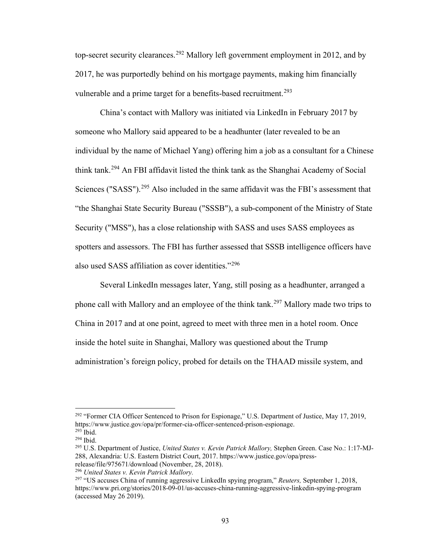top-secret security clearances.<sup>292</sup> Mallory left government employment in 2012, and by 2017, he was purportedly behind on his mortgage payments, making him financially vulnerable and a prime target for a benefits-based recruitment.<sup>[293](#page-97-1)</sup>

China's contact with Mallory was initiated via LinkedIn in February 2017 by someone who Mallory said appeared to be a headhunter (later revealed to be an individual by the name of Michael Yang) offering him a job as a consultant for a Chinese think tank.[294](#page-97-2) An FBI affidavit listed the think tank as the Shanghai Academy of Social Sciences ("SASS").<sup>[295](#page-97-3)</sup> Also included in the same affidavit was the FBI's assessment that "the Shanghai State Security Bureau ("SSSB"), a sub-component of the Ministry of State Security ("MSS"), has a close relationship with SASS and uses SASS employees as spotters and assessors. The FBI has further assessed that SSSB intelligence officers have also used SASS affiliation as cover identities."[296](#page-97-4) 

Several LinkedIn messages later, Yang, still posing as a headhunter, arranged a phone call with Mallory and an employee of the think tank.<sup>[297](#page-97-5)</sup> Mallory made two trips to China in 2017 and at one point, agreed to meet with three men in a hotel room. Once inside the hotel suite in Shanghai, Mallory was questioned about the Trump administration's foreign policy, probed for details on the THAAD missile system, and

<span id="page-97-0"></span><sup>&</sup>lt;sup>292</sup> "Former CIA Officer Sentenced to Prison for Espionage," U.S. Department of Justice, May 17, 2019, https://www.justice.gov/opa/pr/former-cia-officer-sentenced-prison-espionage. <sup>293</sup> Ibid.

<span id="page-97-2"></span><span id="page-97-1"></span><sup>294</sup> Ibid.

<span id="page-97-3"></span><sup>295</sup> U.S. Department of Justice, *United States v. Kevin Patrick Mallory,* Stephen Green. Case No.: 1:17-MJ-288, Alexandria: U.S. Eastern District Court, 2017. https://www.justice.gov/opa/pressrelease/file/975671/download (November, 28, 2018).

<span id="page-97-4"></span><sup>296</sup> *United States v. Kevin Patrick Mallory.*

<span id="page-97-5"></span><sup>297</sup> "US accuses China of running aggressive LinkedIn spying program," *Reuters,* September 1, 2018, https://www.pri.org/stories/2018-09-01/us-accuses-china-running-aggressive-linkedin-spying-program (accessed May 26 2019).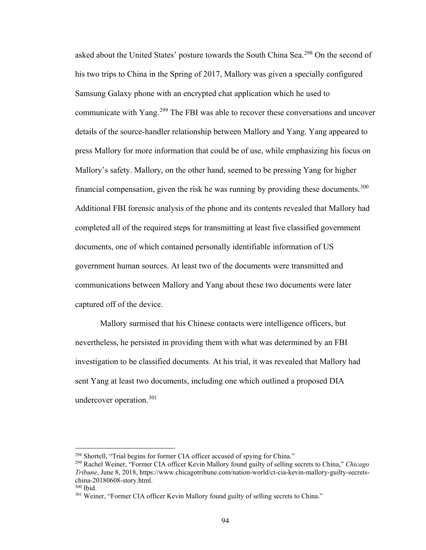asked about the United States' posture towards the South China Sea.<sup>298</sup> On the second of his two trips to China in the Spring of 2017, Mallory was given a specially configured Samsung Galaxy phone with an encrypted chat application which he used to communicate with Yang.[299](#page-98-1) The FBI was able to recover these conversations and uncover details of the source-handler relationship between Mallory and Yang. Yang appeared to press Mallory for more information that could be of use, while emphasizing his focus on Mallory's safety. Mallory, on the other hand, seemed to be pressing Yang for higher financial compensation, given the risk he was running by providing these documents.<sup>[300](#page-98-2)</sup> Additional FBI forensic analysis of the phone and its contents revealed that Mallory had completed all of the required steps for transmitting at least five classified government documents, one of which contained personally identifiable information of US government human sources. At least two of the documents were transmitted and communications between Mallory and Yang about these two documents were later captured off of the device.

Mallory surmised that his Chinese contacts were intelligence officers, but nevertheless, he persisted in providing them with what was determined by an FBI investigation to be classified documents. At his trial, it was revealed that Mallory had sent Yang at least two documents, including one which outlined a proposed DIA undercover operation.<sup>301</sup>

<span id="page-98-1"></span><span id="page-98-0"></span><sup>298</sup> Shortell, "Trial begins for former CIA officer accused of spying for China." 299 Rachel Weiner, "Former CIA officer Kevin Mallory found guilty of selling secrets to China," *Chicago Tribune*, June 8, 2018, https://www.chicagotribune.com/nation-world/ct-cia-kevin-mallory-guilty-secretschina-20180608-story.html.<br><sup>300</sup> Ibid.<br><sup>301</sup> Weiner, "Former CIA officer Kevin Mallory found guilty of selling secrets to China."

<span id="page-98-2"></span>

<span id="page-98-3"></span>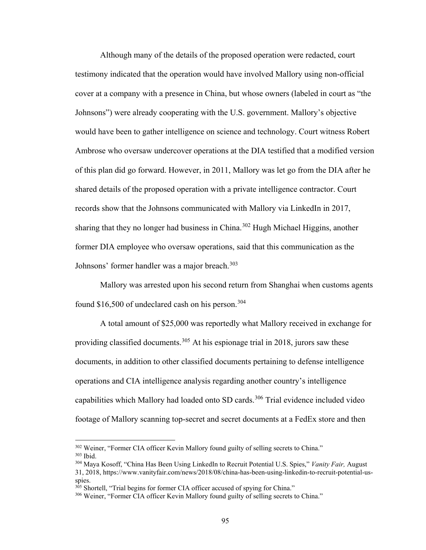Although many of the details of the proposed operation were redacted, court testimony indicated that the operation would have involved Mallory using non-official cover at a company with a presence in China, but whose owners (labeled in court as "the Johnsons") were already cooperating with the U.S. government. Mallory's objective would have been to gather intelligence on science and technology. Court witness Robert Ambrose who oversaw undercover operations at the DIA testified that a modified version of this plan did go forward. However, in 2011, Mallory was let go from the DIA after he shared details of the proposed operation with a private intelligence contractor. Court records show that the Johnsons communicated with Mallory via LinkedIn in 2017, sharing that they no longer had business in China.<sup>[302](#page-99-0)</sup> Hugh Michael Higgins, another former DIA employee who oversaw operations, said that this communication as the Johnsons' former handler was a major breach.<sup>[303](#page-99-1)</sup>

Mallory was arrested upon his second return from Shanghai when customs agents found  $$16,500$  of undeclared cash on his person.<sup>[304](#page-99-2)</sup>

A total amount of \$25,000 was reportedly what Mallory received in exchange for providing classified documents.<sup>305</sup> At his espionage trial in 2018, jurors saw these documents, in addition to other classified documents pertaining to defense intelligence operations and CIA intelligence analysis regarding another country's intelligence capabilities which Mallory had loaded onto SD cards.<sup>[306](#page-99-4)</sup> Trial evidence included video footage of Mallory scanning top-secret and secret documents at a FedEx store and then

<span id="page-99-1"></span><span id="page-99-0"></span><sup>&</sup>lt;sup>302</sup> Weiner, "Former CIA officer Kevin Mallory found guilty of selling secrets to China." <sup>303</sup> Ibid.

<span id="page-99-2"></span><sup>304</sup> Maya Kosoff, "China Has Been Using LinkedIn to Recruit Potential U.S. Spies," *Vanity Fair,* August 31, 2018, https://www.vanityfair.com/news/2018/08/china-has-been-using-linkedin-to-recruit-potential-usspies.<br><sup>305</sup> Shortell, "Trial begins for former CIA officer accused of spying for China."

<span id="page-99-4"></span><span id="page-99-3"></span><sup>306</sup> Weiner, "Former CIA officer Kevin Mallory found guilty of selling secrets to China."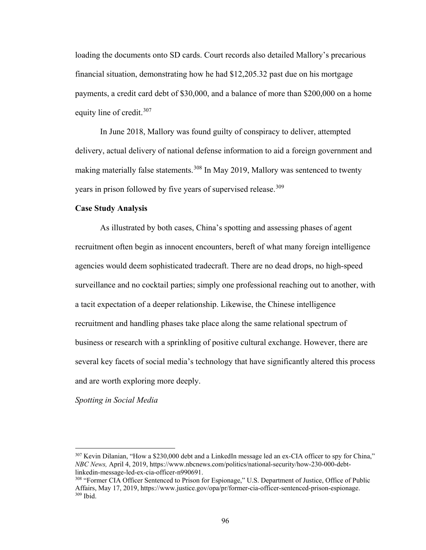loading the documents onto SD cards. Court records also detailed Mallory's precarious financial situation, demonstrating how he had \$12,205.32 past due on his mortgage payments, a credit card debt of \$30,000, and a balance of more than \$200,000 on a home equity line of credit.<sup>[307](#page-100-0)</sup>

In June 2018, Mallory was found guilty of conspiracy to deliver, attempted delivery, actual delivery of national defense information to aid a foreign government and making materially false statements.<sup>308</sup> In May 2019, Mallory was sentenced to twenty years in prison followed by five years of supervised release.<sup>[309](#page-100-2)</sup>

#### **Case Study Analysis**

As illustrated by both cases, China's spotting and assessing phases of agent recruitment often begin as innocent encounters, bereft of what many foreign intelligence agencies would deem sophisticated tradecraft. There are no dead drops, no high-speed surveillance and no cocktail parties; simply one professional reaching out to another, with a tacit expectation of a deeper relationship. Likewise, the Chinese intelligence recruitment and handling phases take place along the same relational spectrum of business or research with a sprinkling of positive cultural exchange. However, there are several key facets of social media's technology that have significantly altered this process and are worth exploring more deeply.

#### *Spotting in Social Media*

<span id="page-100-0"></span><sup>307</sup> Kevin Dilanian, "How a \$230,000 debt and a LinkedIn message led an ex-CIA officer to spy for China," *NBC News,* April 4, 2019, https://www.nbcnews.com/politics/national-security/how-230-000-debtlinkedin-message-led-ex-cia-officer-n990691.<br><sup>308</sup> "Former CIA Officer Sentenced to Prison for Espionage," U.S. Department of Justice, Office of Public

<span id="page-100-2"></span><span id="page-100-1"></span>Affairs, May 17, 2019, https://www.justice.gov/opa/pr/former-cia-officer-sentenced-prison-espionage. <sup>309</sup> Ibid.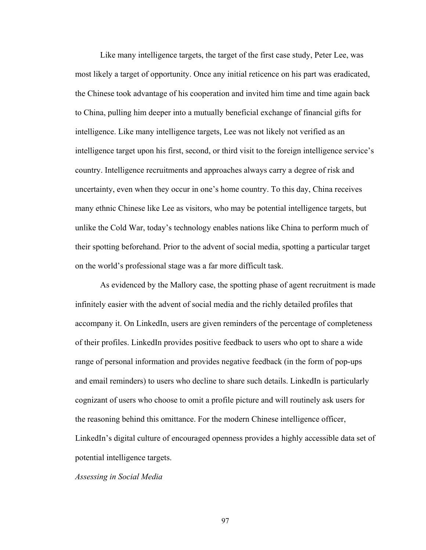Like many intelligence targets, the target of the first case study, Peter Lee, was most likely a target of opportunity. Once any initial reticence on his part was eradicated, the Chinese took advantage of his cooperation and invited him time and time again back to China, pulling him deeper into a mutually beneficial exchange of financial gifts for intelligence. Like many intelligence targets, Lee was not likely not verified as an intelligence target upon his first, second, or third visit to the foreign intelligence service's country. Intelligence recruitments and approaches always carry a degree of risk and uncertainty, even when they occur in one's home country. To this day, China receives many ethnic Chinese like Lee as visitors, who may be potential intelligence targets, but unlike the Cold War, today's technology enables nations like China to perform much of their spotting beforehand. Prior to the advent of social media, spotting a particular target on the world's professional stage was a far more difficult task.

As evidenced by the Mallory case, the spotting phase of agent recruitment is made infinitely easier with the advent of social media and the richly detailed profiles that accompany it. On LinkedIn, users are given reminders of the percentage of completeness of their profiles. LinkedIn provides positive feedback to users who opt to share a wide range of personal information and provides negative feedback (in the form of pop-ups and email reminders) to users who decline to share such details. LinkedIn is particularly cognizant of users who choose to omit a profile picture and will routinely ask users for the reasoning behind this omittance. For the modern Chinese intelligence officer, LinkedIn's digital culture of encouraged openness provides a highly accessible data set of potential intelligence targets.

### *Assessing in Social Media*

97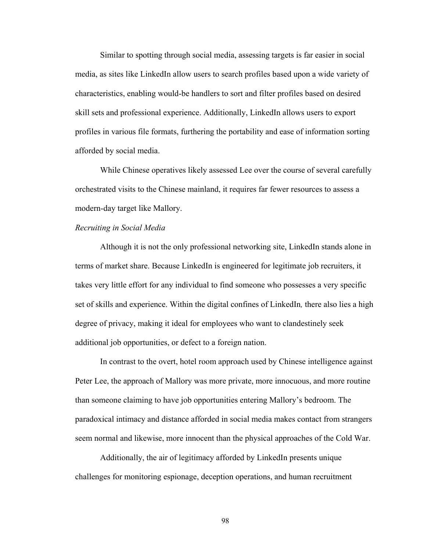Similar to spotting through social media, assessing targets is far easier in social media, as sites like LinkedIn allow users to search profiles based upon a wide variety of characteristics, enabling would-be handlers to sort and filter profiles based on desired skill sets and professional experience. Additionally, LinkedIn allows users to export profiles in various file formats, furthering the portability and ease of information sorting afforded by social media.

While Chinese operatives likely assessed Lee over the course of several carefully orchestrated visits to the Chinese mainland, it requires far fewer resources to assess a modern-day target like Mallory.

### *Recruiting in Social Media*

Although it is not the only professional networking site, LinkedIn stands alone in terms of market share. Because LinkedIn is engineered for legitimate job recruiters, it takes very little effort for any individual to find someone who possesses a very specific set of skills and experience. Within the digital confines of LinkedIn*,* there also lies a high degree of privacy, making it ideal for employees who want to clandestinely seek additional job opportunities, or defect to a foreign nation.

In contrast to the overt, hotel room approach used by Chinese intelligence against Peter Lee, the approach of Mallory was more private, more innocuous, and more routine than someone claiming to have job opportunities entering Mallory's bedroom. The paradoxical intimacy and distance afforded in social media makes contact from strangers seem normal and likewise, more innocent than the physical approaches of the Cold War.

Additionally, the air of legitimacy afforded by LinkedIn presents unique challenges for monitoring espionage, deception operations, and human recruitment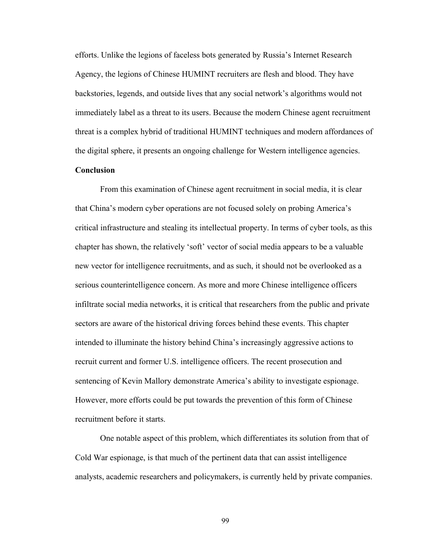efforts. Unlike the legions of faceless bots generated by Russia's Internet Research Agency, the legions of Chinese HUMINT recruiters are flesh and blood. They have backstories, legends, and outside lives that any social network's algorithms would not immediately label as a threat to its users. Because the modern Chinese agent recruitment threat is a complex hybrid of traditional HUMINT techniques and modern affordances of the digital sphere, it presents an ongoing challenge for Western intelligence agencies.

# **Conclusion**

From this examination of Chinese agent recruitment in social media, it is clear that China's modern cyber operations are not focused solely on probing America's critical infrastructure and stealing its intellectual property. In terms of cyber tools, as this chapter has shown, the relatively 'soft' vector of social media appears to be a valuable new vector for intelligence recruitments, and as such, it should not be overlooked as a serious counterintelligence concern. As more and more Chinese intelligence officers infiltrate social media networks, it is critical that researchers from the public and private sectors are aware of the historical driving forces behind these events. This chapter intended to illuminate the history behind China's increasingly aggressive actions to recruit current and former U.S. intelligence officers. The recent prosecution and sentencing of Kevin Mallory demonstrate America's ability to investigate espionage. However, more efforts could be put towards the prevention of this form of Chinese recruitment before it starts.

 One notable aspect of this problem, which differentiates its solution from that of Cold War espionage, is that much of the pertinent data that can assist intelligence analysts, academic researchers and policymakers, is currently held by private companies.

99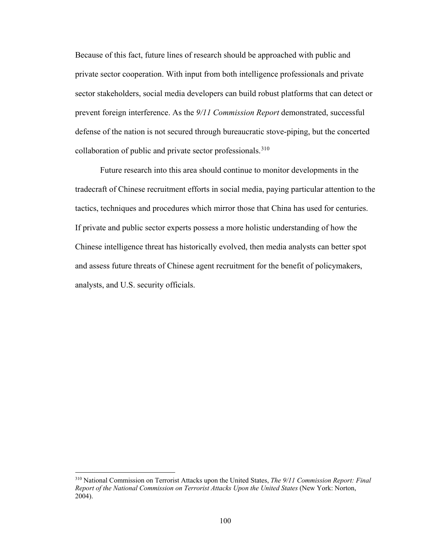Because of this fact, future lines of research should be approached with public and private sector cooperation. With input from both intelligence professionals and private sector stakeholders, social media developers can build robust platforms that can detect or prevent foreign interference. As the *9/11 Commission Report* demonstrated, successful defense of the nation is not secured through bureaucratic stove-piping, but the concerted collaboration of public and private sector professionals.<sup>[310](#page-104-0)</sup>

Future research into this area should continue to monitor developments in the tradecraft of Chinese recruitment efforts in social media, paying particular attention to the tactics, techniques and procedures which mirror those that China has used for centuries. If private and public sector experts possess a more holistic understanding of how the Chinese intelligence threat has historically evolved, then media analysts can better spot and assess future threats of Chinese agent recruitment for the benefit of policymakers, analysts, and U.S. security officials.

<span id="page-104-0"></span><sup>310</sup> National Commission on Terrorist Attacks upon the United States, *The 9/11 Commission Report: Final Report of the National Commission on Terrorist Attacks Upon the United States* (New York: Norton, 2004).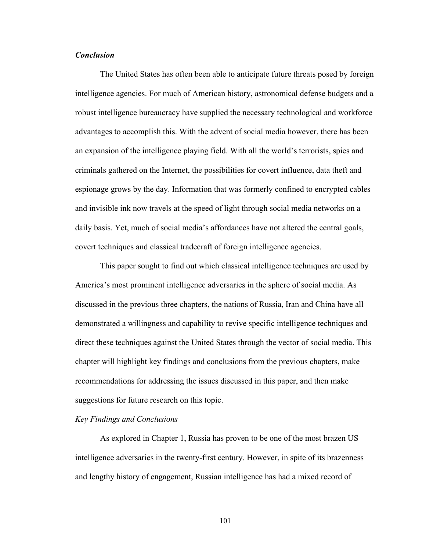# *Conclusion*

The United States has often been able to anticipate future threats posed by foreign intelligence agencies. For much of American history, astronomical defense budgets and a robust intelligence bureaucracy have supplied the necessary technological and workforce advantages to accomplish this. With the advent of social media however, there has been an expansion of the intelligence playing field. With all the world's terrorists, spies and criminals gathered on the Internet, the possibilities for covert influence, data theft and espionage grows by the day. Information that was formerly confined to encrypted cables and invisible ink now travels at the speed of light through social media networks on a daily basis. Yet, much of social media's affordances have not altered the central goals, covert techniques and classical tradecraft of foreign intelligence agencies.

 This paper sought to find out which classical intelligence techniques are used by America's most prominent intelligence adversaries in the sphere of social media. As discussed in the previous three chapters, the nations of Russia, Iran and China have all demonstrated a willingness and capability to revive specific intelligence techniques and direct these techniques against the United States through the vector of social media. This chapter will highlight key findings and conclusions from the previous chapters, make recommendations for addressing the issues discussed in this paper, and then make suggestions for future research on this topic.

### *Key Findings and Conclusions*

As explored in Chapter 1, Russia has proven to be one of the most brazen US intelligence adversaries in the twenty-first century. However, in spite of its brazenness and lengthy history of engagement, Russian intelligence has had a mixed record of

101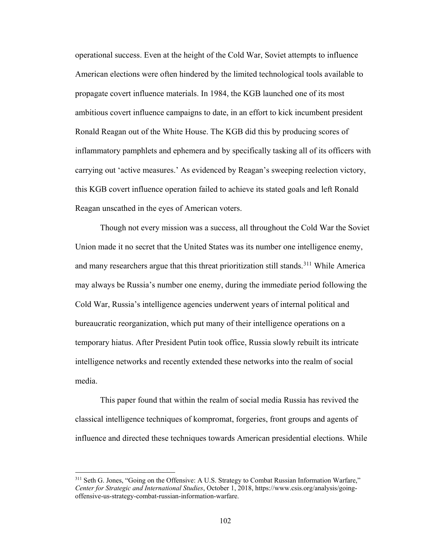operational success. Even at the height of the Cold War, Soviet attempts to influence American elections were often hindered by the limited technological tools available to propagate covert influence materials. In 1984, the KGB launched one of its most ambitious covert influence campaigns to date, in an effort to kick incumbent president Ronald Reagan out of the White House. The KGB did this by producing scores of inflammatory pamphlets and ephemera and by specifically tasking all of its officers with carrying out 'active measures.' As evidenced by Reagan's sweeping reelection victory, this KGB covert influence operation failed to achieve its stated goals and left Ronald Reagan unscathed in the eyes of American voters.

Though not every mission was a success, all throughout the Cold War the Soviet Union made it no secret that the United States was its number one intelligence enemy, and many researchers argue that this threat prioritization still stands.<sup>[311](#page-106-0)</sup> While America may always be Russia's number one enemy, during the immediate period following the Cold War, Russia's intelligence agencies underwent years of internal political and bureaucratic reorganization, which put many of their intelligence operations on a temporary hiatus. After President Putin took office, Russia slowly rebuilt its intricate intelligence networks and recently extended these networks into the realm of social media.

This paper found that within the realm of social media Russia has revived the classical intelligence techniques of kompromat, forgeries, front groups and agents of influence and directed these techniques towards American presidential elections. While

<span id="page-106-0"></span><sup>&</sup>lt;sup>311</sup> Seth G. Jones, "Going on the Offensive: A U.S. Strategy to Combat Russian Information Warfare," *Center for Strategic and International Studies*, October 1, 2018, https://www.csis.org/analysis/goingoffensive-us-strategy-combat-russian-information-warfare.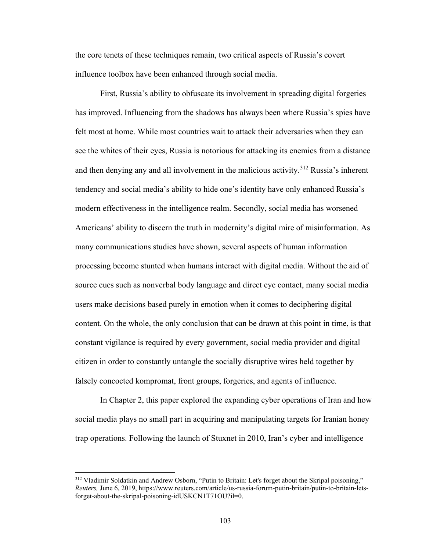the core tenets of these techniques remain, two critical aspects of Russia's covert influence toolbox have been enhanced through social media.

First, Russia's ability to obfuscate its involvement in spreading digital forgeries has improved. Influencing from the shadows has always been where Russia's spies have felt most at home. While most countries wait to attack their adversaries when they can see the whites of their eyes, Russia is notorious for attacking its enemies from a distance and then denying any and all involvement in the malicious activity.<sup>[312](#page-107-0)</sup> Russia's inherent tendency and social media's ability to hide one's identity have only enhanced Russia's modern effectiveness in the intelligence realm. Secondly, social media has worsened Americans' ability to discern the truth in modernity's digital mire of misinformation. As many communications studies have shown, several aspects of human information processing become stunted when humans interact with digital media. Without the aid of source cues such as nonverbal body language and direct eye contact, many social media users make decisions based purely in emotion when it comes to deciphering digital content. On the whole, the only conclusion that can be drawn at this point in time, is that constant vigilance is required by every government, social media provider and digital citizen in order to constantly untangle the socially disruptive wires held together by falsely concocted kompromat, front groups, forgeries, and agents of influence.

In Chapter 2, this paper explored the expanding cyber operations of Iran and how social media plays no small part in acquiring and manipulating targets for Iranian honey trap operations. Following the launch of Stuxnet in 2010, Iran's cyber and intelligence

<span id="page-107-0"></span><sup>&</sup>lt;sup>312</sup> Vladimir Soldatkin and Andrew Osborn, "Putin to Britain: Let's forget about the Skripal poisoning," *Reuters,* June 6, 2019, https://www.reuters.com/article/us-russia-forum-putin-britain/putin-to-britain-letsforget-about-the-skripal-poisoning-idUSKCN1T71OU?il=0.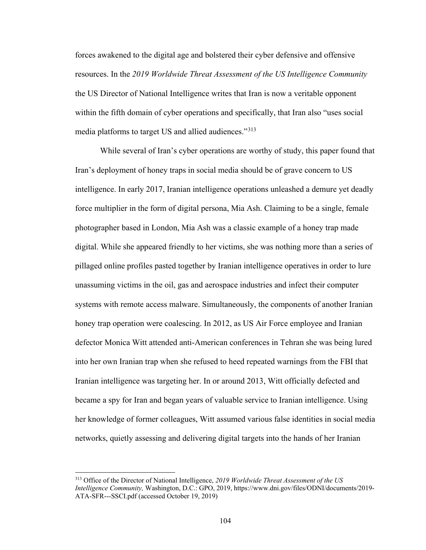forces awakened to the digital age and bolstered their cyber defensive and offensive resources. In the *2019 Worldwide Threat Assessment of the US Intelligence Community*  the US Director of National Intelligence writes that Iran is now a veritable opponent within the fifth domain of cyber operations and specifically, that Iran also "uses social media platforms to target US and allied audiences."<sup>[313](#page-108-0)</sup>

While several of Iran's cyber operations are worthy of study, this paper found that Iran's deployment of honey traps in social media should be of grave concern to US intelligence. In early 2017, Iranian intelligence operations unleashed a demure yet deadly force multiplier in the form of digital persona, Mia Ash. Claiming to be a single, female photographer based in London, Mia Ash was a classic example of a honey trap made digital. While she appeared friendly to her victims, she was nothing more than a series of pillaged online profiles pasted together by Iranian intelligence operatives in order to lure unassuming victims in the oil, gas and aerospace industries and infect their computer systems with remote access malware. Simultaneously, the components of another Iranian honey trap operation were coalescing. In 2012, as US Air Force employee and Iranian defector Monica Witt attended anti-American conferences in Tehran she was being lured into her own Iranian trap when she refused to heed repeated warnings from the FBI that Iranian intelligence was targeting her. In or around 2013, Witt officially defected and became a spy for Iran and began years of valuable service to Iranian intelligence. Using her knowledge of former colleagues, Witt assumed various false identities in social media networks, quietly assessing and delivering digital targets into the hands of her Iranian

<span id="page-108-0"></span><sup>313</sup> Office of the Director of National Intelligence, *2019 Worldwide Threat Assessment of the US Intelligence Community,* Washington, D.C.: GPO, 2019, https://www.dni.gov/files/ODNI/documents/2019- ATA-SFR---SSCI.pdf (accessed October 19, 2019)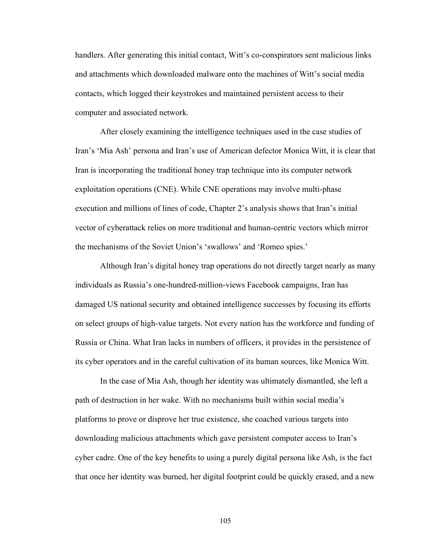handlers. After generating this initial contact, Witt's co-conspirators sent malicious links and attachments which downloaded malware onto the machines of Witt's social media contacts, which logged their keystrokes and maintained persistent access to their computer and associated network.

After closely examining the intelligence techniques used in the case studies of Iran's 'Mia Ash' persona and Iran's use of American defector Monica Witt, it is clear that Iran is incorporating the traditional honey trap technique into its computer network exploitation operations (CNE). While CNE operations may involve multi-phase execution and millions of lines of code, Chapter 2's analysis shows that Iran's initial vector of cyberattack relies on more traditional and human-centric vectors which mirror the mechanisms of the Soviet Union's 'swallows' and 'Romeo spies.'

Although Iran's digital honey trap operations do not directly target nearly as many individuals as Russia's one-hundred-million-views Facebook campaigns, Iran has damaged US national security and obtained intelligence successes by focusing its efforts on select groups of high-value targets. Not every nation has the workforce and funding of Russia or China. What Iran lacks in numbers of officers, it provides in the persistence of its cyber operators and in the careful cultivation of its human sources, like Monica Witt.

In the case of Mia Ash, though her identity was ultimately dismantled, she left a path of destruction in her wake. With no mechanisms built within social media's platforms to prove or disprove her true existence, she coached various targets into downloading malicious attachments which gave persistent computer access to Iran's cyber cadre. One of the key benefits to using a purely digital persona like Ash, is the fact that once her identity was burned, her digital footprint could be quickly erased, and a new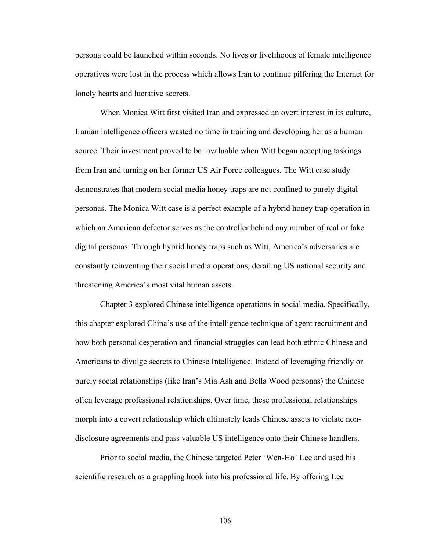persona could be launched within seconds. No lives or livelihoods of female intelligence operatives were lost in the process which allows Iran to continue pilfering the Internet for lonely hearts and lucrative secrets.

When Monica Witt first visited Iran and expressed an overt interest in its culture, Iranian intelligence officers wasted no time in training and developing her as a human source. Their investment proved to be invaluable when Witt began accepting taskings from Iran and turning on her former US Air Force colleagues. The Witt case study demonstrates that modern social media honey traps are not confined to purely digital personas. The Monica Witt case is a perfect example of a hybrid honey trap operation in which an American defector serves as the controller behind any number of real or fake digital personas. Through hybrid honey traps such as Witt, America's adversaries are constantly reinventing their social media operations, derailing US national security and threatening America's most vital human assets.

Chapter 3 explored Chinese intelligence operations in social media. Specifically, this chapter explored China's use of the intelligence technique of agent recruitment and how both personal desperation and financial struggles can lead both ethnic Chinese and Americans to divulge secrets to Chinese Intelligence. Instead of leveraging friendly or purely social relationships (like Iran's Mia Ash and Bella Wood personas) the Chinese often leverage professional relationships. Over time, these professional relationships morph into a covert relationship which ultimately leads Chinese assets to violate nondisclosure agreements and pass valuable US intelligence onto their Chinese handlers.

Prior to social media, the Chinese targeted Peter 'Wen-Ho' Lee and used his scientific research as a grappling hook into his professional life. By offering Lee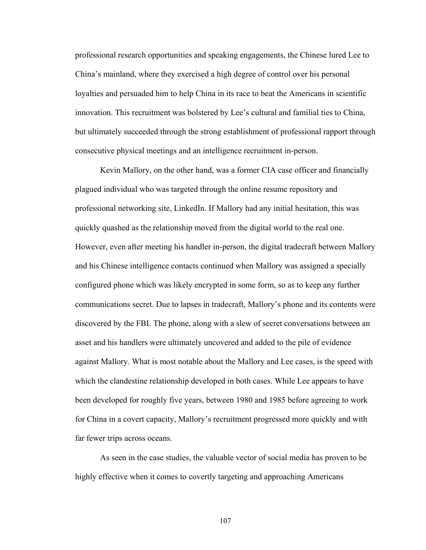professional research opportunities and speaking engagements, the Chinese lured Lee to China's mainland, where they exercised a high degree of control over his personal loyalties and persuaded him to help China in its race to beat the Americans in scientific innovation. This recruitment was bolstered by Lee's cultural and familial ties to China, but ultimately succeeded through the strong establishment of professional rapport through consecutive physical meetings and an intelligence recruitment in-person.

Kevin Mallory, on the other hand, was a former CIA case officer and financially plagued individual who was targeted through the online resume repository and professional networking site, LinkedIn. If Mallory had any initial hesitation, this was quickly quashed as the relationship moved from the digital world to the real one. However, even after meeting his handler in-person, the digital tradecraft between Mallory and his Chinese intelligence contacts continued when Mallory was assigned a specially configured phone which was likely encrypted in some form, so as to keep any further communications secret. Due to lapses in tradecraft, Mallory's phone and its contents were discovered by the FBI. The phone, along with a slew of secret conversations between an asset and his handlers were ultimately uncovered and added to the pile of evidence against Mallory. What is most notable about the Mallory and Lee cases, is the speed with which the clandestine relationship developed in both cases. While Lee appears to have been developed for roughly five years, between 1980 and 1985 before agreeing to work for China in a covert capacity, Mallory's recruitment progressed more quickly and with far fewer trips across oceans.

As seen in the case studies, the valuable vector of social media has proven to be highly effective when it comes to covertly targeting and approaching Americans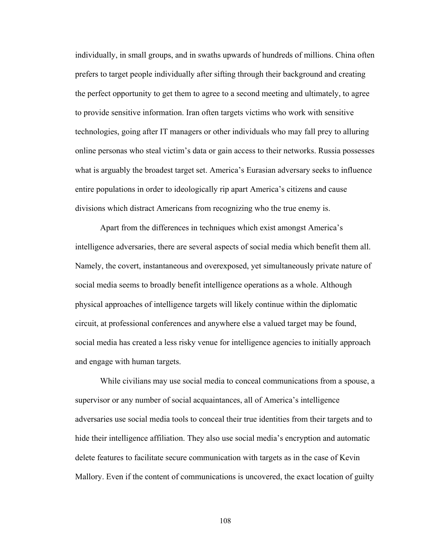individually, in small groups, and in swaths upwards of hundreds of millions. China often prefers to target people individually after sifting through their background and creating the perfect opportunity to get them to agree to a second meeting and ultimately, to agree to provide sensitive information. Iran often targets victims who work with sensitive technologies, going after IT managers or other individuals who may fall prey to alluring online personas who steal victim's data or gain access to their networks. Russia possesses what is arguably the broadest target set. America's Eurasian adversary seeks to influence entire populations in order to ideologically rip apart America's citizens and cause divisions which distract Americans from recognizing who the true enemy is.

Apart from the differences in techniques which exist amongst America's intelligence adversaries, there are several aspects of social media which benefit them all. Namely, the covert, instantaneous and overexposed, yet simultaneously private nature of social media seems to broadly benefit intelligence operations as a whole. Although physical approaches of intelligence targets will likely continue within the diplomatic circuit, at professional conferences and anywhere else a valued target may be found, social media has created a less risky venue for intelligence agencies to initially approach and engage with human targets.

While civilians may use social media to conceal communications from a spouse, a supervisor or any number of social acquaintances, all of America's intelligence adversaries use social media tools to conceal their true identities from their targets and to hide their intelligence affiliation. They also use social media's encryption and automatic delete features to facilitate secure communication with targets as in the case of Kevin Mallory. Even if the content of communications is uncovered, the exact location of guilty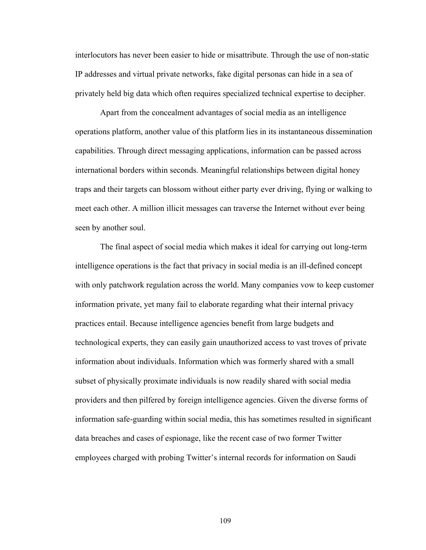interlocutors has never been easier to hide or misattribute. Through the use of non-static IP addresses and virtual private networks, fake digital personas can hide in a sea of privately held big data which often requires specialized technical expertise to decipher.

Apart from the concealment advantages of social media as an intelligence operations platform, another value of this platform lies in its instantaneous dissemination capabilities. Through direct messaging applications, information can be passed across international borders within seconds. Meaningful relationships between digital honey traps and their targets can blossom without either party ever driving, flying or walking to meet each other. A million illicit messages can traverse the Internet without ever being seen by another soul.

The final aspect of social media which makes it ideal for carrying out long-term intelligence operations is the fact that privacy in social media is an ill-defined concept with only patchwork regulation across the world. Many companies vow to keep customer information private, yet many fail to elaborate regarding what their internal privacy practices entail. Because intelligence agencies benefit from large budgets and technological experts, they can easily gain unauthorized access to vast troves of private information about individuals. Information which was formerly shared with a small subset of physically proximate individuals is now readily shared with social media providers and then pilfered by foreign intelligence agencies. Given the diverse forms of information safe-guarding within social media, this has sometimes resulted in significant data breaches and cases of espionage, like the recent case of two former Twitter employees charged with probing Twitter's internal records for information on Saudi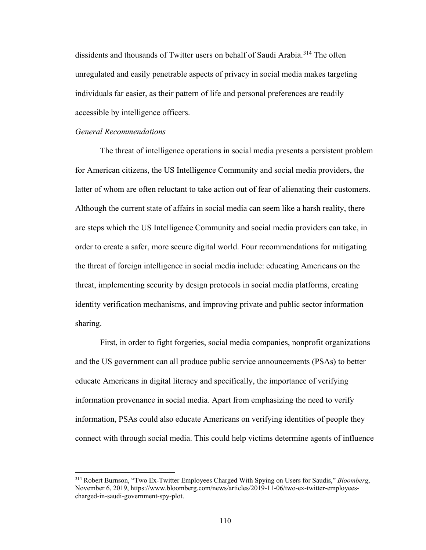dissidents and thousands of Twitter users on behalf of Saudi Arabia.<sup>[314](#page-114-0)</sup> The often unregulated and easily penetrable aspects of privacy in social media makes targeting individuals far easier, as their pattern of life and personal preferences are readily accessible by intelligence officers.

#### *General Recommendations*

 $\overline{a}$ 

The threat of intelligence operations in social media presents a persistent problem for American citizens, the US Intelligence Community and social media providers, the latter of whom are often reluctant to take action out of fear of alienating their customers. Although the current state of affairs in social media can seem like a harsh reality, there are steps which the US Intelligence Community and social media providers can take, in order to create a safer, more secure digital world. Four recommendations for mitigating the threat of foreign intelligence in social media include: educating Americans on the threat, implementing security by design protocols in social media platforms, creating identity verification mechanisms, and improving private and public sector information sharing.

First, in order to fight forgeries, social media companies, nonprofit organizations and the US government can all produce public service announcements (PSAs) to better educate Americans in digital literacy and specifically, the importance of verifying information provenance in social media. Apart from emphasizing the need to verify information, PSAs could also educate Americans on verifying identities of people they connect with through social media. This could help victims determine agents of influence

<span id="page-114-0"></span><sup>314</sup> Robert Burnson, "Two Ex-Twitter Employees Charged With Spying on Users for Saudis," *Bloomberg*, November 6, 2019, https://www.bloomberg.com/news/articles/2019-11-06/two-ex-twitter-employeescharged-in-saudi-government-spy-plot.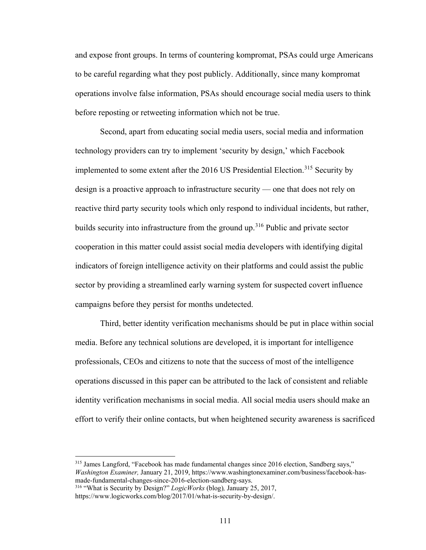and expose front groups. In terms of countering kompromat, PSAs could urge Americans to be careful regarding what they post publicly. Additionally, since many kompromat operations involve false information, PSAs should encourage social media users to think before reposting or retweeting information which not be true.

Second, apart from educating social media users, social media and information technology providers can try to implement 'security by design,' which Facebook implemented to some extent after the 2016 US Presidential Election.<sup>315</sup> Security by design is a proactive approach to infrastructure security — one that does not rely on reactive third party security tools which only respond to individual incidents, but rather, builds security into infrastructure from the ground up.<sup>[316](#page-115-1)</sup> Public and private sector cooperation in this matter could assist social media developers with identifying digital indicators of foreign intelligence activity on their platforms and could assist the public sector by providing a streamlined early warning system for suspected covert influence campaigns before they persist for months undetected.

Third, better identity verification mechanisms should be put in place within social media. Before any technical solutions are developed, it is important for intelligence professionals, CEOs and citizens to note that the success of most of the intelligence operations discussed in this paper can be attributed to the lack of consistent and reliable identity verification mechanisms in social media. All social media users should make an effort to verify their online contacts, but when heightened security awareness is sacrificed

<span id="page-115-0"></span><sup>&</sup>lt;sup>315</sup> James Langford, "Facebook has made fundamental changes since 2016 election, Sandberg says," *Washington Examiner,* January 21, 2019, https://www.washingtonexaminer.com/business/facebook-hasmade-fundamental-changes-since-2016-election-sandberg-says.

<span id="page-115-1"></span><sup>316</sup> "What is Security by Design?" *LogicWorks* (blog)*,* January 25, 2017,

https://www.logicworks.com/blog/2017/01/what-is-security-by-design/.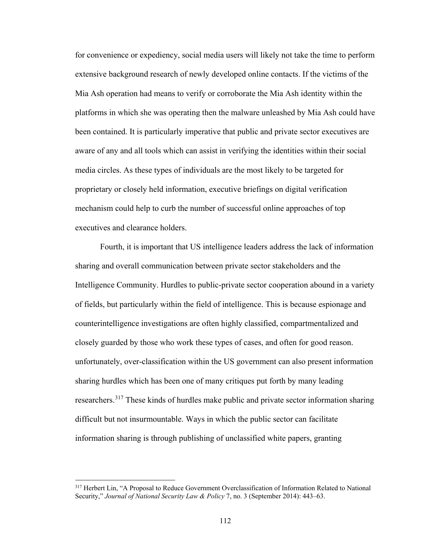for convenience or expediency, social media users will likely not take the time to perform extensive background research of newly developed online contacts. If the victims of the Mia Ash operation had means to verify or corroborate the Mia Ash identity within the platforms in which she was operating then the malware unleashed by Mia Ash could have been contained. It is particularly imperative that public and private sector executives are aware of any and all tools which can assist in verifying the identities within their social media circles. As these types of individuals are the most likely to be targeted for proprietary or closely held information, executive briefings on digital verification mechanism could help to curb the number of successful online approaches of top executives and clearance holders.

Fourth, it is important that US intelligence leaders address the lack of information sharing and overall communication between private sector stakeholders and the Intelligence Community. Hurdles to public-private sector cooperation abound in a variety of fields, but particularly within the field of intelligence. This is because espionage and counterintelligence investigations are often highly classified, compartmentalized and closely guarded by those who work these types of cases, and often for good reason. unfortunately, over-classification within the US government can also present information sharing hurdles which has been one of many critiques put forth by many leading researchers.[317](#page-116-0) These kinds of hurdles make public and private sector information sharing difficult but not insurmountable. Ways in which the public sector can facilitate information sharing is through publishing of unclassified white papers, granting

<span id="page-116-0"></span><sup>317</sup> Herbert Lin, "A Proposal to Reduce Government Overclassification of Information Related to National Security," *Journal of National Security Law & Policy* 7, no. 3 (September 2014): 443–63.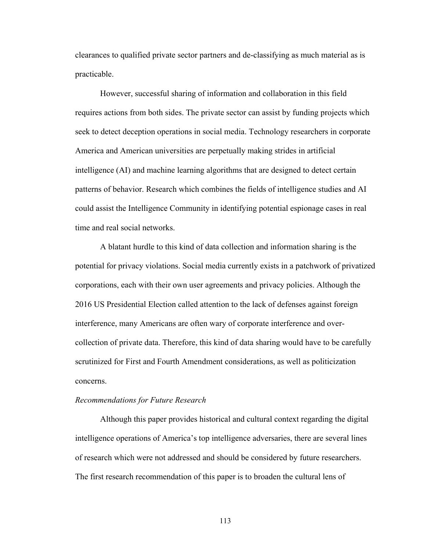clearances to qualified private sector partners and de-classifying as much material as is practicable.

However, successful sharing of information and collaboration in this field requires actions from both sides. The private sector can assist by funding projects which seek to detect deception operations in social media. Technology researchers in corporate America and American universities are perpetually making strides in artificial intelligence (AI) and machine learning algorithms that are designed to detect certain patterns of behavior. Research which combines the fields of intelligence studies and AI could assist the Intelligence Community in identifying potential espionage cases in real time and real social networks.

A blatant hurdle to this kind of data collection and information sharing is the potential for privacy violations. Social media currently exists in a patchwork of privatized corporations, each with their own user agreements and privacy policies. Although the 2016 US Presidential Election called attention to the lack of defenses against foreign interference, many Americans are often wary of corporate interference and overcollection of private data. Therefore, this kind of data sharing would have to be carefully scrutinized for First and Fourth Amendment considerations, as well as politicization concerns.

#### *Recommendations for Future Research*

Although this paper provides historical and cultural context regarding the digital intelligence operations of America's top intelligence adversaries, there are several lines of research which were not addressed and should be considered by future researchers. The first research recommendation of this paper is to broaden the cultural lens of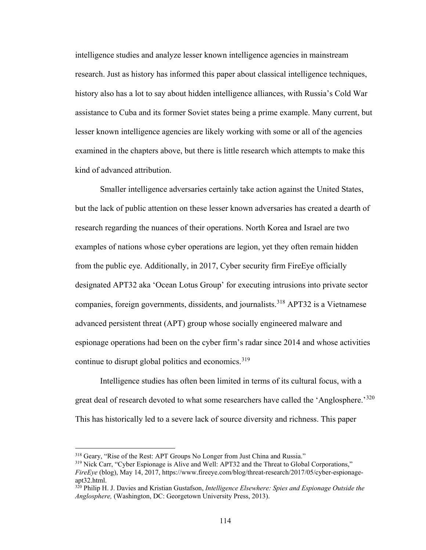intelligence studies and analyze lesser known intelligence agencies in mainstream research. Just as history has informed this paper about classical intelligence techniques, history also has a lot to say about hidden intelligence alliances, with Russia's Cold War assistance to Cuba and its former Soviet states being a prime example. Many current, but lesser known intelligence agencies are likely working with some or all of the agencies examined in the chapters above, but there is little research which attempts to make this kind of advanced attribution.

Smaller intelligence adversaries certainly take action against the United States, but the lack of public attention on these lesser known adversaries has created a dearth of research regarding the nuances of their operations. North Korea and Israel are two examples of nations whose cyber operations are legion, yet they often remain hidden from the public eye. Additionally, in 2017, Cyber security firm FireEye officially designated APT32 aka 'Ocean Lotus Group' for executing intrusions into private sector companies, foreign governments, dissidents, and journalists.<sup>[318](#page-118-0)</sup> APT32 is a Vietnamese advanced persistent threat (APT) group whose socially engineered malware and espionage operations had been on the cyber firm's radar since 2014 and whose activities continue to disrupt global politics and economics.  $319$ 

Intelligence studies has often been limited in terms of its cultural focus, with a great deal of research devoted to what some researchers have called the 'Anglosphere.'<sup>[320](#page-118-2)</sup> This has historically led to a severe lack of source diversity and richness. This paper

<span id="page-118-0"></span><sup>318</sup> Geary, "Rise of the Rest: APT Groups No Longer from Just China and Russia."

<span id="page-118-1"></span><sup>&</sup>lt;sup>319</sup> Nick Carr, "Cyber Espionage is Alive and Well: APT32 and the Threat to Global Corporations," *FireEye* (blog), May 14, 2017, https://www.fireeye.com/blog/threat-research/2017/05/cyber-espionageapt32.html.

<span id="page-118-2"></span><sup>320</sup> Philip H. J. Davies and Kristian Gustafson, *Intelligence Elsewhere: Spies and Espionage Outside the Anglosphere,* (Washington, DC: Georgetown University Press, 2013).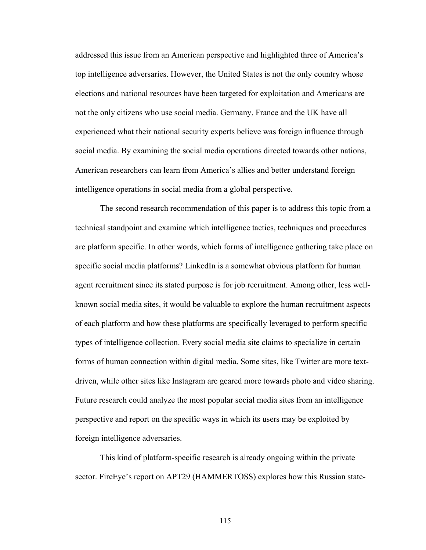addressed this issue from an American perspective and highlighted three of America's top intelligence adversaries. However, the United States is not the only country whose elections and national resources have been targeted for exploitation and Americans are not the only citizens who use social media. Germany, France and the UK have all experienced what their national security experts believe was foreign influence through social media. By examining the social media operations directed towards other nations, American researchers can learn from America's allies and better understand foreign intelligence operations in social media from a global perspective.

The second research recommendation of this paper is to address this topic from a technical standpoint and examine which intelligence tactics, techniques and procedures are platform specific. In other words, which forms of intelligence gathering take place on specific social media platforms? LinkedIn is a somewhat obvious platform for human agent recruitment since its stated purpose is for job recruitment. Among other, less wellknown social media sites, it would be valuable to explore the human recruitment aspects of each platform and how these platforms are specifically leveraged to perform specific types of intelligence collection. Every social media site claims to specialize in certain forms of human connection within digital media. Some sites, like Twitter are more textdriven, while other sites like Instagram are geared more towards photo and video sharing. Future research could analyze the most popular social media sites from an intelligence perspective and report on the specific ways in which its users may be exploited by foreign intelligence adversaries.

This kind of platform-specific research is already ongoing within the private sector. FireEye's report on APT29 (HAMMERTOSS) explores how this Russian state-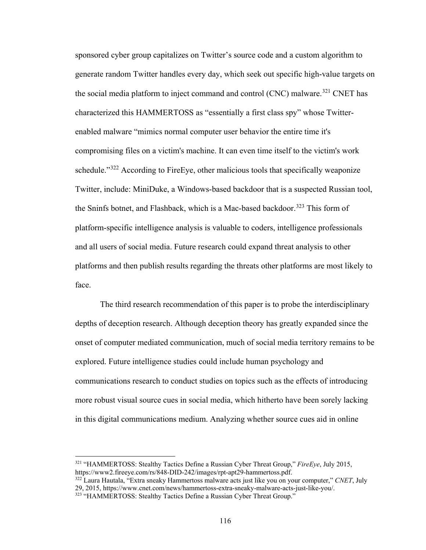sponsored cyber group capitalizes on Twitter's source code and a custom algorithm to generate random Twitter handles every day, which seek out specific high-value targets on the social media platform to inject command and control (CNC) malware.<sup>[321](#page-120-0)</sup> CNET has characterized this HAMMERTOSS as "essentially a first class spy" whose Twitterenabled malware "mimics normal computer user behavior the entire time it's compromising files on a victim's machine. It can even time itself to the victim's work schedule."<sup>[322](#page-120-1)</sup> According to FireEye, other malicious tools that specifically weaponize Twitter, include: MiniDuke, a Windows-based backdoor that is a suspected Russian tool, the Sninfs botnet, and Flashback, which is a Mac-based backdoor.<sup>[323](#page-120-2)</sup> This form of platform-specific intelligence analysis is valuable to coders, intelligence professionals and all users of social media. Future research could expand threat analysis to other platforms and then publish results regarding the threats other platforms are most likely to face.

The third research recommendation of this paper is to probe the interdisciplinary depths of deception research. Although deception theory has greatly expanded since the onset of computer mediated communication, much of social media territory remains to be explored. Future intelligence studies could include human psychology and communications research to conduct studies on topics such as the effects of introducing more robust visual source cues in social media, which hitherto have been sorely lacking in this digital communications medium. Analyzing whether source cues aid in online

<span id="page-120-0"></span><sup>321</sup> "HAMMERTOSS: Stealthy Tactics Define a Russian Cyber Threat Group," *FireEye*, July 2015, https://www2.fireeye.com/rs/848-DID-242/images/rpt-apt29-hammertoss.pdf.

<span id="page-120-2"></span><span id="page-120-1"></span><sup>322</sup> Laura Hautala, "Extra sneaky Hammertoss malware acts just like you on your computer," *CNET*, July 29, 2015, https://www.cnet.com/news/hammertoss-extra-sneaky-malware-acts-just-like-you/. 323 "HAMMERTOSS: Stealthy Tactics Define a Russian Cyber Threat Group."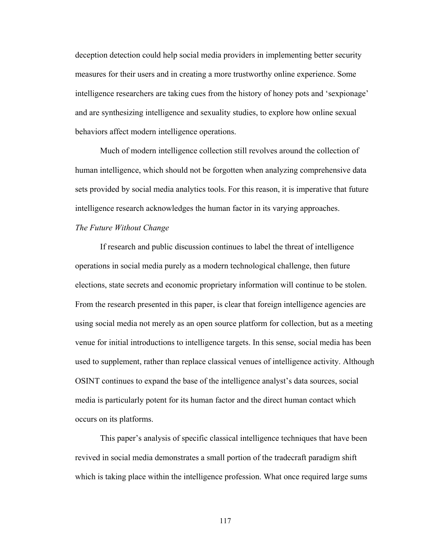deception detection could help social media providers in implementing better security measures for their users and in creating a more trustworthy online experience. Some intelligence researchers are taking cues from the history of honey pots and 'sexpionage' and are synthesizing intelligence and sexuality studies, to explore how online sexual behaviors affect modern intelligence operations.

Much of modern intelligence collection still revolves around the collection of human intelligence, which should not be forgotten when analyzing comprehensive data sets provided by social media analytics tools. For this reason, it is imperative that future intelligence research acknowledges the human factor in its varying approaches.

# *The Future Without Change*

If research and public discussion continues to label the threat of intelligence operations in social media purely as a modern technological challenge, then future elections, state secrets and economic proprietary information will continue to be stolen. From the research presented in this paper, is clear that foreign intelligence agencies are using social media not merely as an open source platform for collection, but as a meeting venue for initial introductions to intelligence targets. In this sense, social media has been used to supplement, rather than replace classical venues of intelligence activity. Although OSINT continues to expand the base of the intelligence analyst's data sources, social media is particularly potent for its human factor and the direct human contact which occurs on its platforms.

This paper's analysis of specific classical intelligence techniques that have been revived in social media demonstrates a small portion of the tradecraft paradigm shift which is taking place within the intelligence profession. What once required large sums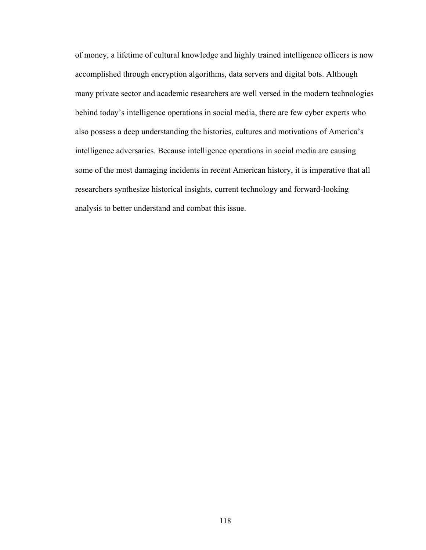of money, a lifetime of cultural knowledge and highly trained intelligence officers is now accomplished through encryption algorithms, data servers and digital bots. Although many private sector and academic researchers are well versed in the modern technologies behind today's intelligence operations in social media, there are few cyber experts who also possess a deep understanding the histories, cultures and motivations of America's intelligence adversaries. Because intelligence operations in social media are causing some of the most damaging incidents in recent American history, it is imperative that all researchers synthesize historical insights, current technology and forward-looking analysis to better understand and combat this issue.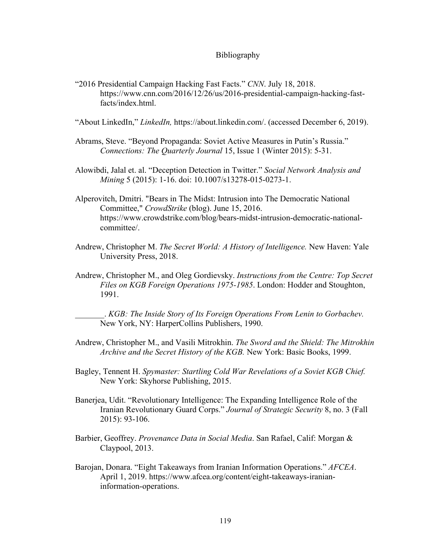### Bibliography

"2016 Presidential Campaign Hacking Fast Facts." *CNN*. July 18, 2018. https://www.cnn.com/2016/12/26/us/2016-presidential-campaign-hacking-fastfacts/index.html.

"About LinkedIn," *LinkedIn,* https://about.linkedin.com/. (accessed December 6, 2019).

- Abrams, Steve. "Beyond Propaganda: Soviet Active Measures in Putin's Russia." *Connections: The Quarterly Journal* 15, Issue 1 (Winter 2015): 5-31.
- Alowibdi, Jalal et. al. "Deception Detection in Twitter." *Social Network Analysis and Mining* 5 (2015): 1-16. doi: 10.1007/s13278-015-0273-1.
- Alperovitch, Dmitri. "Bears in The Midst: Intrusion into The Democratic National Committee," *CrowdStrike* (blog). June 15, 2016. https://www.crowdstrike.com/blog/bears-midst-intrusion-democratic-nationalcommittee/.
- Andrew, Christopher M. *The Secret World: A History of Intelligence.* New Haven: Yale University Press, 2018.
- Andrew, Christopher M., and Oleg Gordievsky. *Instructions from the Centre: Top Secret Files on KGB Foreign Operations 1975-1985*. London: Hodder and Stoughton, 1991.

\_\_\_\_\_\_\_. *KGB: The Inside Story of Its Foreign Operations From Lenin to Gorbachev.*  New York, NY: HarperCollins Publishers, 1990.

- Andrew, Christopher M., and Vasili Mitrokhin. *The Sword and the Shield: The Mitrokhin Archive and the Secret History of the KGB.* New York: Basic Books, 1999.
- Bagley, Tennent H. *Spymaster: Startling Cold War Revelations of a Soviet KGB Chief.*  New York: Skyhorse Publishing, 2015.
- Banerjea, Udit. "Revolutionary Intelligence: The Expanding Intelligence Role of the Iranian Revolutionary Guard Corps." *Journal of Strategic Security* 8, no. 3 (Fall 2015): 93-106.
- Barbier, Geoffrey. *Provenance Data in Social Media*. San Rafael, Calif: Morgan & Claypool, 2013.
- Barojan, Donara. "Eight Takeaways from Iranian Information Operations." *AFCEA*. April 1, 2019. https://www.afcea.org/content/eight-takeaways-iranianinformation-operations.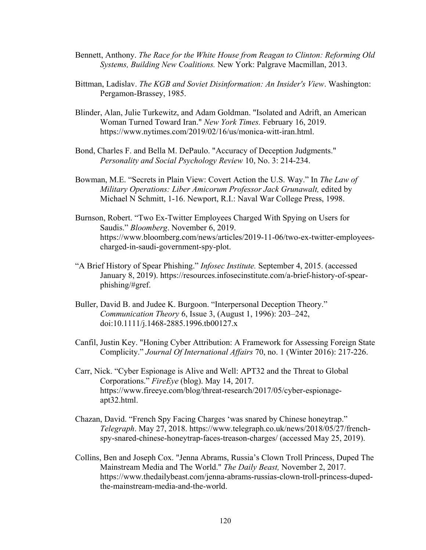- Bennett, Anthony. *The Race for the White House from Reagan to Clinton: Reforming Old Systems, Building New Coalitions.* New York: Palgrave Macmillan, 2013.
- Bittman, Ladislav. *The KGB and Soviet Disinformation: An Insider's View*. Washington: Pergamon-Brassey, 1985.
- Blinder, Alan, Julie Turkewitz, and Adam Goldman. "Isolated and Adrift, an American Woman Turned Toward Iran." *New York Times.* February 16, 2019. https://www.nytimes.com/2019/02/16/us/monica-witt-iran.html.
- Bond, Charles F. and Bella M. DePaulo. "Accuracy of Deception Judgments." *Personality and Social Psychology Review* 10, No. 3: 214-234.
- Bowman, M.E. "Secrets in Plain View: Covert Action the U.S. Way." In *The Law of Military Operations: Liber Amicorum Professor Jack Grunawalt,* edited by Michael N Schmitt, 1-16. Newport, R.I.: Naval War College Press, 1998.
- Burnson, Robert. "Two Ex-Twitter Employees Charged With Spying on Users for Saudis." *Bloomberg*. November 6, 2019. https://www.bloomberg.com/news/articles/2019-11-06/two-ex-twitter-employeescharged-in-saudi-government-spy-plot.
- "A Brief History of Spear Phishing." *Infosec Institute.* September 4, 2015. (accessed January 8, 2019). https://resources.infosecinstitute.com/a-brief-history-of-spearphishing/#gref.
- Buller, David B. and Judee K. Burgoon. "Interpersonal Deception Theory." *Communication Theory* 6, Issue 3, (August 1, 1996): 203–242, doi:10.1111/j.1468-2885.1996.tb00127.x
- Canfil, Justin Key. "Honing Cyber Attribution: A Framework for Assessing Foreign State Complicity." *Journal Of International Affairs* 70, no. 1 (Winter 2016): 217-226.
- Carr, Nick. "Cyber Espionage is Alive and Well: APT32 and the Threat to Global Corporations." *FireEye* (blog). May 14, 2017. https://www.fireeye.com/blog/threat-research/2017/05/cyber-espionageapt32.html.
- Chazan, David. "French Spy Facing Charges 'was snared by Chinese honeytrap." *Telegraph*. May 27, 2018. https://www.telegraph.co.uk/news/2018/05/27/frenchspy-snared-chinese-honeytrap-faces-treason-charges/ (accessed May 25, 2019).
- Collins, Ben and Joseph Cox. "Jenna Abrams, Russia's Clown Troll Princess, Duped The Mainstream Media and The World." *The Daily Beast,* November 2, 2017. https://www.thedailybeast.com/jenna-abrams-russias-clown-troll-princess-dupedthe-mainstream-media-and-the-world.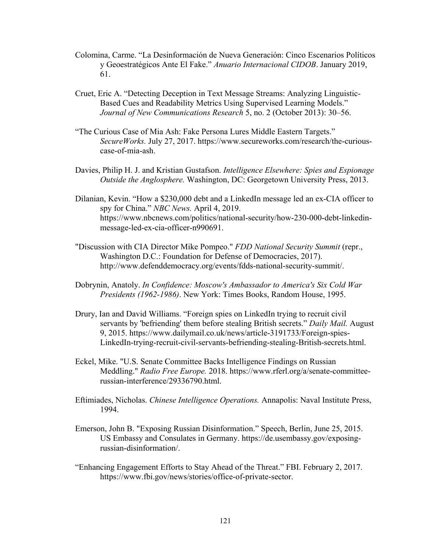- Colomina, Carme. "La Desinformación de Nueva Generación: Cinco Escenarios Políticos y Geoestratégicos Ante El Fake." *Anuario Internacional CIDOB*. January 2019, 61.
- Cruet, Eric A. "Detecting Deception in Text Message Streams: Analyzing Linguistic-Based Cues and Readability Metrics Using Supervised Learning Models." *Journal of New Communications Research* 5, no. 2 (October 2013): 30–56.
- "The Curious Case of Mia Ash: Fake Persona Lures Middle Eastern Targets." *SecureWorks.* July 27, 2017. https://www.secureworks.com/research/the-curiouscase-of-mia-ash.
- Davies, Philip H. J. and Kristian Gustafson. *Intelligence Elsewhere: Spies and Espionage Outside the Anglosphere.* Washington, DC: Georgetown University Press, 2013.
- Dilanian, Kevin. "How a \$230,000 debt and a LinkedIn message led an ex-CIA officer to spy for China." *NBC News.* April 4, 2019. https://www.nbcnews.com/politics/national-security/how-230-000-debt-linkedinmessage-led-ex-cia-officer-n990691.
- "Discussion with CIA Director Mike Pompeo." *FDD National Security Summit* (repr., Washington D.C.: Foundation for Defense of Democracies, 2017). http://www.defenddemocracy.org/events/fdds-national-security-summit/.
- Dobrynin, Anatoly. *In Confidence: Moscow's Ambassador to America's Six Cold War Presidents (1962-1986)*. New York: Times Books, Random House, 1995.
- Drury, Ian and David Williams. "Foreign spies on LinkedIn trying to recruit civil servants by 'befriending' them before stealing British secrets." *Daily Mail.* August 9, 2015. https://www.dailymail.co.uk/news/article-3191733/Foreign-spies-LinkedIn-trying-recruit-civil-servants-befriending-stealing-British-secrets.html.
- Eckel, Mike. "U.S. Senate Committee Backs Intelligence Findings on Russian Meddling." *Radio Free Europe.* 2018. https://www.rferl.org/a/senate-committeerussian-interference/29336790.html.
- Eftimiades, Nicholas. *Chinese Intelligence Operations.* Annapolis: Naval Institute Press, 1994.
- Emerson, John B. "Exposing Russian Disinformation." Speech, Berlin, June 25, 2015. US Embassy and Consulates in Germany. https://de.usembassy.gov/exposingrussian-disinformation/.
- "Enhancing Engagement Efforts to Stay Ahead of the Threat." FBI. February 2, 2017. https://www.fbi.gov/news/stories/office-of-private-sector.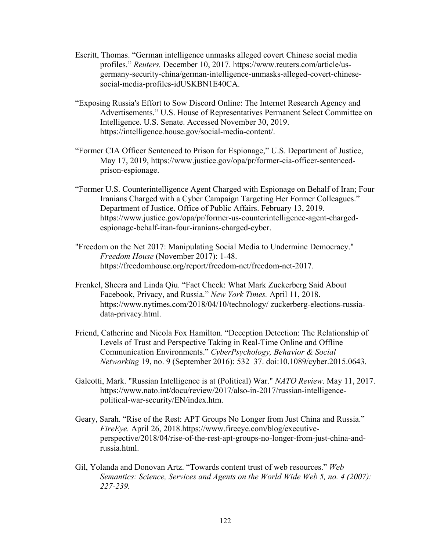- Escritt, Thomas. "German intelligence unmasks alleged covert Chinese social media profiles." *Reuters.* December 10, 2017. https://www.reuters.com/article/usgermany-security-china/german-intelligence-unmasks-alleged-covert-chinesesocial-media-profiles-idUSKBN1E40CA.
- "Exposing Russia's Effort to Sow Discord Online: The Internet Research Agency and Advertisements." U.S. House of Representatives Permanent Select Committee on Intelligence. U.S. Senate. Accessed November 30, 2019. https://intelligence.house.gov/social-media-content/.
- "Former CIA Officer Sentenced to Prison for Espionage," U.S. Department of Justice, May 17, 2019, https://www.justice.gov/opa/pr/former-cia-officer-sentencedprison-espionage.
- "Former U.S. Counterintelligence Agent Charged with Espionage on Behalf of Iran; Four Iranians Charged with a Cyber Campaign Targeting Her Former Colleagues." Department of Justice. Office of Public Affairs. February 13, 2019. https://www.justice.gov/opa/pr/former-us-counterintelligence-agent-chargedespionage-behalf-iran-four-iranians-charged-cyber.
- "Freedom on the Net 2017: Manipulating Social Media to Undermine Democracy." *Freedom House* (November 2017): 1-48. https://freedomhouse.org/report/freedom-net/freedom-net-2017.
- Frenkel, Sheera and Linda Qiu. "Fact Check: What Mark Zuckerberg Said About Facebook, Privacy, and Russia." *New York Times.* April 11, 2018. https://www.nytimes.com/2018/04/10/technology/ zuckerberg-elections-russiadata-privacy.html.
- Friend, Catherine and Nicola Fox Hamilton. "Deception Detection: The Relationship of Levels of Trust and Perspective Taking in Real-Time Online and Offline Communication Environments." *CyberPsychology, Behavior & Social Networking* 19, no. 9 (September 2016): 532–37. doi:10.1089/cyber.2015.0643.
- Galeotti, Mark. "Russian Intelligence is at (Political) War." *NATO Review*. May 11, 2017. https://www.nato.int/docu/review/2017/also-in-2017/russian-intelligencepolitical-war-security/EN/index.htm.
- Geary, Sarah. "Rise of the Rest: APT Groups No Longer from Just China and Russia." *FireEye.* April 26, 2018.https://www.fireeye.com/blog/executiveperspective/2018/04/rise-of-the-rest-apt-groups-no-longer-from-just-china-andrussia.html.
- Gil, Yolanda and Donovan Artz. "Towards content trust of web resources." *Web Semantics: Science, Services and Agents on the World Wide Web 5, no. 4 (2007): 227-239.*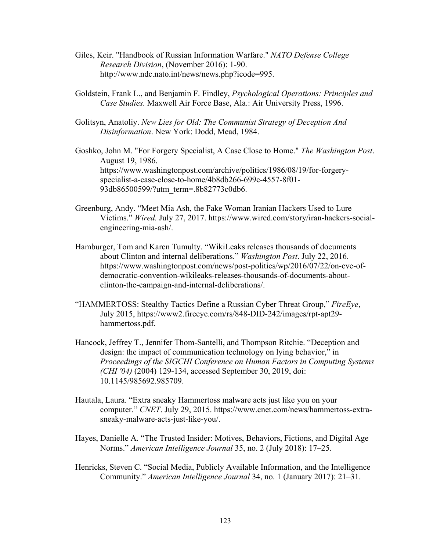- Giles, Keir. "Handbook of Russian Information Warfare." *NATO Defense College Research Division*, (November 2016): 1-90. http://www.ndc.nato.int/news/news.php?icode=995.
- Goldstein, Frank L., and Benjamin F. Findley, *Psychological Operations: Principles and Case Studies.* Maxwell Air Force Base, Ala.: Air University Press, 1996.
- Golitsyn, Anatoliy. *New Lies for Old: The Communist Strategy of Deception And Disinformation*. New York: Dodd, Mead, 1984.
- Goshko, John M. "For Forgery Specialist, A Case Close to Home." *The Washington Post*. August 19, 1986. https://www.washingtonpost.com/archive/politics/1986/08/19/for-forgeryspecialist-a-case-close-to-home/4b8db266-699c-4557-8f01- 93db86500599/?utm\_term=.8b82773c0db6.
- Greenburg, Andy. "Meet Mia Ash, the Fake Woman Iranian Hackers Used to Lure Victims." *Wired.* July 27, 2017. https://www.wired.com/story/iran-hackers-socialengineering-mia-ash/.
- Hamburger, Tom and Karen Tumulty. "WikiLeaks releases thousands of documents about Clinton and internal deliberations." *Washington Post*. July 22, 2016. https://www.washingtonpost.com/news/post-politics/wp/2016/07/22/on-eve-ofdemocratic-convention-wikileaks-releases-thousands-of-documents-aboutclinton-the-campaign-and-internal-deliberations/.
- "HAMMERTOSS: Stealthy Tactics Define a Russian Cyber Threat Group," *FireEye*, July 2015, https://www2.fireeye.com/rs/848-DID-242/images/rpt-apt29 hammertoss.pdf.
- Hancock, Jeffrey T., Jennifer Thom-Santelli, and Thompson Ritchie. "Deception and design: the impact of communication technology on lying behavior," in *Proceedings of the SIGCHI Conference on Human Factors in Computing Systems (CHI '04)* (2004) 129-134, accessed September 30, 2019, doi: 10.1145/985692.985709.
- Hautala, Laura. "Extra sneaky Hammertoss malware acts just like you on your computer." *CNET*. July 29, 2015. https://www.cnet.com/news/hammertoss-extrasneaky-malware-acts-just-like-you/.
- Hayes, Danielle A. "The Trusted Insider: Motives, Behaviors, Fictions, and Digital Age Norms." *American Intelligence Journal* 35, no. 2 (July 2018): 17–25.
- Henricks, Steven C. "Social Media, Publicly Available Information, and the Intelligence Community." *American Intelligence Journal* 34, no. 1 (January 2017): 21–31.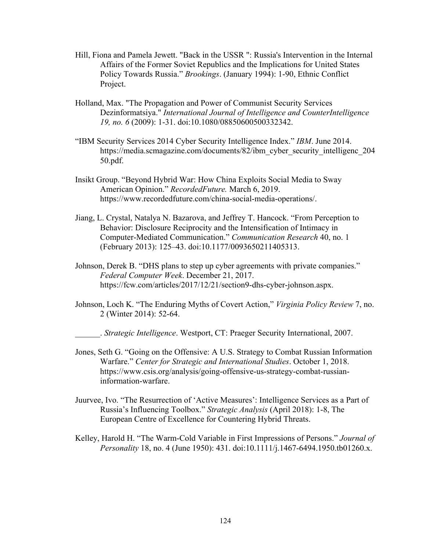- Hill, Fiona and Pamela Jewett. "Back in the USSR ": Russia's Intervention in the Internal Affairs of the Former Soviet Republics and the Implications for United States Policy Towards Russia." *Brookings*. (January 1994): 1-90, Ethnic Conflict Project.
- Holland, Max. "The Propagation and Power of Communist Security Services Dezinformatsiya." *International Journal of Intelligence and CounterIntelligence 19, no. 6* (2009): 1-31. doi:10.1080/08850600500332342.
- "IBM Security Services 2014 Cyber Security Intelligence Index." *IBM*. June 2014. https://media.scmagazine.com/documents/82/ibm\_cyber\_security\_intelligenc\_204 50.pdf.
- Insikt Group. "Beyond Hybrid War: How China Exploits Social Media to Sway American Opinion." *RecordedFuture.* March 6, 2019. https://www.recordedfuture.com/china-social-media-operations/.
- Jiang, L. Crystal, Natalya N. Bazarova, and Jeffrey T. Hancock. "From Perception to Behavior: Disclosure Reciprocity and the Intensification of Intimacy in Computer-Mediated Communication." *Communication Research* 40, no. 1 (February 2013): 125–43. doi:10.1177/0093650211405313.
- Johnson, Derek B. "DHS plans to step up cyber agreements with private companies." *Federal Computer Week*. December 21, 2017. https://fcw.com/articles/2017/12/21/section9-dhs-cyber-johnson.aspx.
- Johnson, Loch K. "The Enduring Myths of Covert Action," *Virginia Policy Review* 7, no. 2 (Winter 2014): 52-64.

\_\_\_\_\_\_. *Strategic Intelligence*. Westport, CT: Praeger Security International, 2007.

- Jones, Seth G. "Going on the Offensive: A U.S. Strategy to Combat Russian Information Warfare." *Center for Strategic and International Studies*. October 1, 2018. https://www.csis.org/analysis/going-offensive-us-strategy-combat-russianinformation-warfare.
- Juurvee, Ivo. "The Resurrection of 'Active Measures': Intelligence Services as a Part of Russia's Influencing Toolbox." *Strategic Analysis* (April 2018): 1-8, The European Centre of Excellence for Countering Hybrid Threats.
- Kelley, Harold H. "The Warm-Cold Variable in First Impressions of Persons." *Journal of Personality* 18, no. 4 (June 1950): 431. doi:10.1111/j.1467-6494.1950.tb01260.x.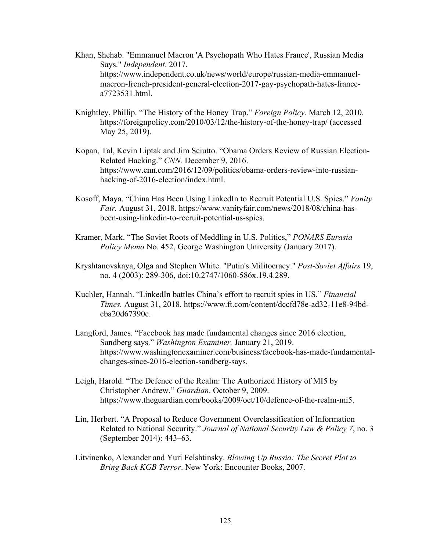- Khan, Shehab. "Emmanuel Macron 'A Psychopath Who Hates France', Russian Media Says." *Independent*. 2017. https://www.independent.co.uk/news/world/europe/russian-media-emmanuelmacron-french-president-general-election-2017-gay-psychopath-hates-francea7723531.html.
- Knightley, Phillip. "The History of the Honey Trap." *Foreign Policy.* March 12, 2010. https://foreignpolicy.com/2010/03/12/the-history-of-the-honey-trap/ (accessed May 25, 2019).
- Kopan, Tal, Kevin Liptak and Jim Sciutto. "Obama Orders Review of Russian Election-Related Hacking." *CNN.* December 9, 2016. https://www.cnn.com/2016/12/09/politics/obama-orders-review-into-russianhacking-of-2016-election/index.html.
- Kosoff, Maya. "China Has Been Using LinkedIn to Recruit Potential U.S. Spies." *Vanity Fair.* August 31, 2018. https://www.vanityfair.com/news/2018/08/china-hasbeen-using-linkedin-to-recruit-potential-us-spies.
- Kramer, Mark. "The Soviet Roots of Meddling in U.S. Politics," *PONARS Eurasia Policy Memo* No. 452, George Washington University (January 2017).
- Kryshtanovskaya, Olga and Stephen White. "Putin's Militocracy." *Post-Soviet Affairs* 19, no. 4 (2003): 289-306, doi:10.2747/1060-586x.19.4.289.
- Kuchler, Hannah. "LinkedIn battles China's effort to recruit spies in US." *Financial Times.* August 31, 2018. https://www.ft.com/content/dccfd78e-ad32-11e8-94bdcba20d67390c.
- Langford, James. "Facebook has made fundamental changes since 2016 election, Sandberg says." *Washington Examiner.* January 21, 2019. https://www.washingtonexaminer.com/business/facebook-has-made-fundamentalchanges-since-2016-election-sandberg-says.
- Leigh, Harold. "The Defence of the Realm: The Authorized History of MI5 by Christopher Andrew." *Guardian*. October 9, 2009. https://www.theguardian.com/books/2009/oct/10/defence-of-the-realm-mi5.
- Lin, Herbert. "A Proposal to Reduce Government Overclassification of Information Related to National Security." *Journal of National Security Law & Policy 7*, no. 3 (September 2014): 443–63.
- Litvinenko, Alexander and Yuri Felshtinsky. *Blowing Up Russia: The Secret Plot to Bring Back KGB Terror*. New York: Encounter Books, 2007.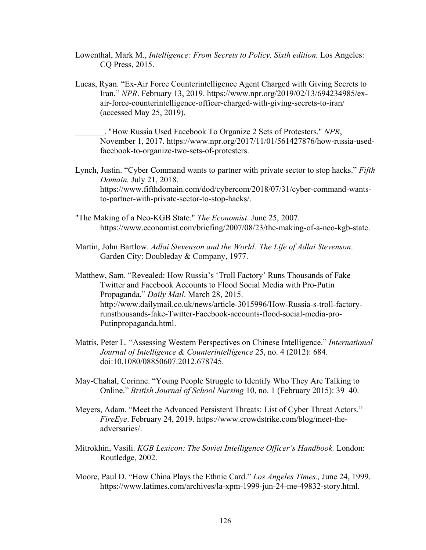- Lowenthal, Mark M., *Intelligence: From Secrets to Policy, Sixth edition.* Los Angeles: CQ Press, 2015.
- Lucas, Ryan. "Ex-Air Force Counterintelligence Agent Charged with Giving Secrets to Iran." *NPR*. February 13, 2019. https://www.npr.org/2019/02/13/694234985/exair-force-counterintelligence-officer-charged-with-giving-secrets-to-iran/ (accessed May 25, 2019).

\_\_\_\_\_\_\_. "How Russia Used Facebook To Organize 2 Sets of Protesters." *NPR*, November 1, 2017. https://www.npr.org/2017/11/01/561427876/how-russia-usedfacebook-to-organize-two-sets-of-protesters.

Lynch, Justin. "Cyber Command wants to partner with private sector to stop hacks." *Fifth Domain.* July 21, 2018. https://www.fifthdomain.com/dod/cybercom/2018/07/31/cyber-command-wantsto-partner-with-private-sector-to-stop-hacks/.

- "The Making of a Neo-KGB State." *The Economist*. June 25, 2007. https://www.economist.com/briefing/2007/08/23/the-making-of-a-neo-kgb-state.
- Martin, John Bartlow. *Adlai Stevenson and the World: The Life of Adlai Stevenson*. Garden City: Doubleday & Company, 1977.

Matthew, Sam. "Revealed: How Russia's 'Troll Factory' Runs Thousands of Fake Twitter and Facebook Accounts to Flood Social Media with Pro-Putin Propaganda." *Daily Mail*. March 28, 2015. http://www.dailymail.co.uk/news/article-3015996/How-Russia-s-troll-factoryrunsthousands-fake-Twitter-Facebook-accounts-flood-social-media-pro-Putinpropaganda.html.

- Mattis, Peter L. "Assessing Western Perspectives on Chinese Intelligence." *International Journal of Intelligence & Counterintelligence* 25, no. 4 (2012): 684. doi:10.1080/08850607.2012.678745.
- May-Chahal, Corinne. "Young People Struggle to Identify Who They Are Talking to Online." *British Journal of School Nursing* 10, no. 1 (February 2015): 39–40.
- Meyers, Adam. "Meet the Advanced Persistent Threats: List of Cyber Threat Actors." *FireEye*. February 24, 2019. https://www.crowdstrike.com/blog/meet-theadversaries/.
- Mitrokhin, Vasili. *KGB Lexicon: The Soviet Intelligence Officer's Handbook.* London: Routledge, 2002.
- Moore, Paul D. "How China Plays the Ethnic Card." *Los Angeles Times.,* June 24, 1999. https://www.latimes.com/archives/la-xpm-1999-jun-24-me-49832-story.html.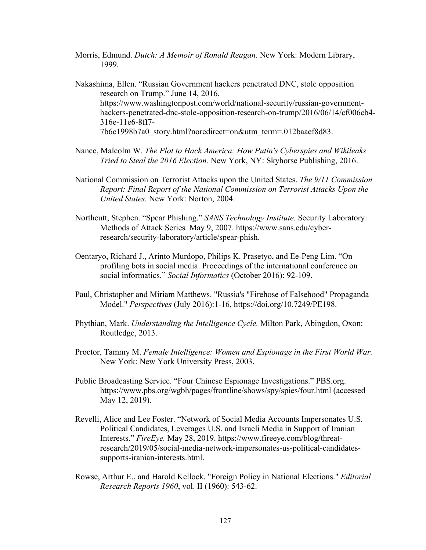Morris, Edmund. *Dutch: A Memoir of Ronald Reagan.* New York: Modern Library, 1999.

Nakashima, Ellen. "Russian Government hackers penetrated DNC, stole opposition research on Trump." June 14, 2016. https://www.washingtonpost.com/world/national-security/russian-governmenthackers-penetrated-dnc-stole-opposition-research-on-trump/2016/06/14/cf006cb4- 316e-11e6-8ff7- 7b6c1998b7a0\_story.html?noredirect=on&utm\_term=.012baaef8d83.

- Nance, Malcolm W. *The Plot to Hack America: How Putin's Cyberspies and Wikileaks Tried to Steal the 2016 Election.* New York, NY: Skyhorse Publishing, 2016.
- National Commission on Terrorist Attacks upon the United States. *The 9/11 Commission Report: Final Report of the National Commission on Terrorist Attacks Upon the United States.* New York: Norton, 2004.
- Northcutt, Stephen. "Spear Phishing." *SANS Technology Institute.* Security Laboratory: Methods of Attack Series*.* May 9, 2007. https://www.sans.edu/cyberresearch/security-laboratory/article/spear-phish.
- Oentaryo, Richard J., Arinto Murdopo, Philips K. Prasetyo, and Ee-Peng Lim. "On profiling bots in social media. Proceedings of the international conference on social informatics." *Social Informatics* (October 2016): 92-109.
- Paul, Christopher and Miriam Matthews. "Russia's "Firehose of Falsehood" Propaganda Model." *Perspectives* (July 2016):1-16, https://doi.org/10.7249/PE198.
- Phythian, Mark. *Understanding the Intelligence Cycle.* Milton Park, Abingdon, Oxon: Routledge, 2013.
- Proctor, Tammy M. *Female Intelligence: Women and Espionage in the First World War.* New York: New York University Press, 2003.
- Public Broadcasting Service. "Four Chinese Espionage Investigations." PBS.org. https://www.pbs.org/wgbh/pages/frontline/shows/spy/spies/four.html (accessed May 12, 2019).
- Revelli, Alice and Lee Foster. "Network of Social Media Accounts Impersonates U.S. Political Candidates, Leverages U.S. and Israeli Media in Support of Iranian Interests." *FireEye.* May 28, 2019. https://www.fireeye.com/blog/threatresearch/2019/05/social-media-network-impersonates-us-political-candidatessupports-iranian-interests.html.
- Rowse, Arthur E., and Harold Kellock. "Foreign Policy in National Elections." *Editorial Research Reports 1960*, vol. II (1960): 543-62.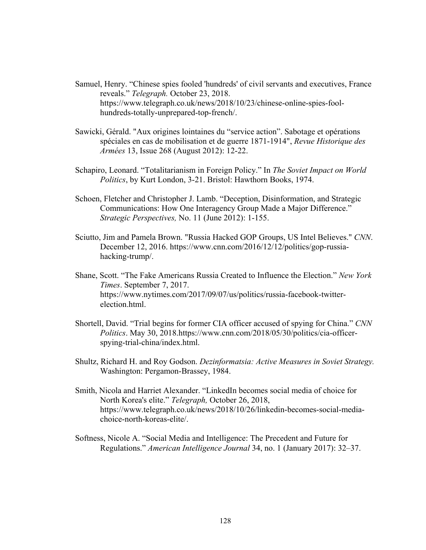- Samuel, Henry. "Chinese spies fooled 'hundreds' of civil servants and executives, France reveals." *Telegraph.* October 23, 2018. https://www.telegraph.co.uk/news/2018/10/23/chinese-online-spies-foolhundreds-totally-unprepared-top-french/.
- Sawicki, Gérald. "Aux origines lointaines du "service action". Sabotage et opérations spéciales en cas de mobilisation et de guerre 1871-1914", *Revue Historique des Armées* 13, Issue 268 (August 2012): 12-22.
- Schapiro, Leonard. "Totalitarianism in Foreign Policy." In *The Soviet Impact on World Politics*, by Kurt London, 3-21. Bristol: Hawthorn Books, 1974.
- Schoen, Fletcher and Christopher J. Lamb. "Deception, Disinformation, and Strategic Communications: How One Interagency Group Made a Major Difference." *Strategic Perspectives,* No. 11 (June 2012): 1-155.
- Sciutto, Jim and Pamela Brown. "Russia Hacked GOP Groups, US Intel Believes." *CNN*. December 12, 2016. https://www.cnn.com/2016/12/12/politics/gop-russiahacking-trump/.
- Shane, Scott. "The Fake Americans Russia Created to Influence the Election." *New York Times*. September 7, 2017. https://www.nytimes.com/2017/09/07/us/politics/russia-facebook-twitterelection.html.
- Shortell, David. "Trial begins for former CIA officer accused of spying for China." *CNN Politics*. May 30, 2018.https://www.cnn.com/2018/05/30/politics/cia-officerspying-trial-china/index.html.
- Shultz, Richard H. and Roy Godson. *Dezinformatsia: Active Measures in Soviet Strategy.* Washington: Pergamon-Brassey, 1984.
- Smith, Nicola and Harriet Alexander. "LinkedIn becomes social media of choice for North Korea's elite." *Telegraph,* October 26, 2018, https://www.telegraph.co.uk/news/2018/10/26/linkedin-becomes-social-mediachoice-north-koreas-elite/.
- Softness, Nicole A. "Social Media and Intelligence: The Precedent and Future for Regulations." *American Intelligence Journal* 34, no. 1 (January 2017): 32–37.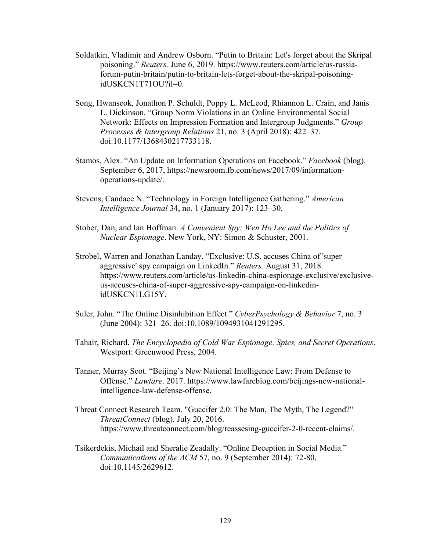- Soldatkin, Vladimir and Andrew Osborn. "Putin to Britain: Let's forget about the Skripal poisoning." *Reuters.* June 6, 2019. https://www.reuters.com/article/us-russiaforum-putin-britain/putin-to-britain-lets-forget-about-the-skripal-poisoningidUSKCN1T71OU?il=0.
- Song, Hwanseok, Jonathon P. Schuldt, Poppy L. McLeod, Rhiannon L. Crain, and Janis L. Dickinson. "Group Norm Violations in an Online Environmental Social Network: Effects on Impression Formation and Intergroup Judgments." *Group Processes & Intergroup Relations* 21, no. 3 (April 2018): 422–37. doi:10.1177/1368430217733118.
- Stamos, Alex. "An Update on Information Operations on Facebook." *Facebook* (blog). September 6, 2017, https://newsroom.fb.com/news/2017/09/informationoperations-update/.
- Stevens, Candace N. "Technology in Foreign Intelligence Gathering." *American Intelligence Journal* 34, no. 1 (January 2017): 123–30.
- Stober, Dan, and Ian Hoffman. *A Convenient Spy: Wen Ho Lee and the Politics of Nuclear Espionage*. New York, NY: Simon & Schuster, 2001.
- Strobel, Warren and Jonathan Landay. "Exclusive: U.S. accuses China of 'super aggressive' spy campaign on LinkedIn." *Reuters.* August 31, 2018. https://www.reuters.com/article/us-linkedin-china-espionage-exclusive/exclusiveus-accuses-china-of-super-aggressive-spy-campaign-on-linkedinidUSKCN1LG15Y.
- Suler, John. "The Online Disinhibition Effect." *CyberPsychology & Behavior* 7, no. 3 (June 2004): 321–26. doi:10.1089/1094931041291295.
- Tahair, Richard. *The Encyclopedia of Cold War Espionage, Spies, and Secret Operations*. Westport: Greenwood Press, 2004.
- Tanner, Murray Scot. "Beijing's New National Intelligence Law: From Defense to Offense." *Lawfare*. 2017. https://www.lawfareblog.com/beijings-new-nationalintelligence-law-defense-offense.
- Threat Connect Research Team. "Guccifer 2.0: The Man, The Myth, The Legend?" *ThreatConnect* (blog). July 20, 2016. https://www.threatconnect.com/blog/reassesing-guccifer-2-0-recent-claims/.
- Tsikerdekis, Michail and Sheralie Zeadally. "Online Deception in Social Media." *Communications of the ACM* 57, no. 9 (September 2014): 72-80, doi:10.1145/2629612.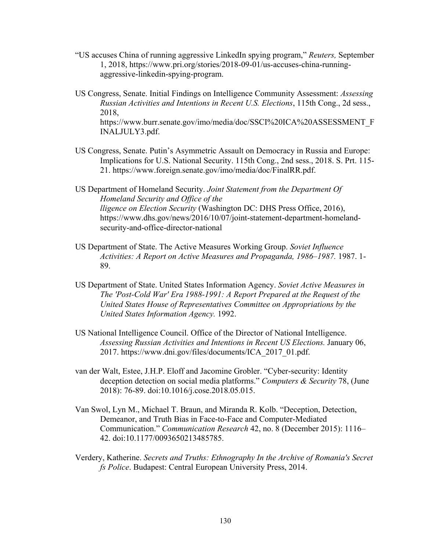- "US accuses China of running aggressive LinkedIn spying program," *Reuters,* September 1, 2018, https://www.pri.org/stories/2018-09-01/us-accuses-china-runningaggressive-linkedin-spying-program.
- US Congress, Senate. Initial Findings on Intelligence Community Assessment: *Assessing Russian Activities and Intentions in Recent U.S. Elections*, 115th Cong., 2d sess., 2018, https://www.burr.senate.gov/imo/media/doc/SSCI%20ICA%20ASSESSMENT\_F INALJULY3.pdf.
- US Congress, Senate. Putin's Asymmetric Assault on Democracy in Russia and Europe: Implications for U.S. National Security. 115th Cong., 2nd sess., 2018. S. Prt. 115- 21. https://www.foreign.senate.gov/imo/media/doc/FinalRR.pdf.

US Department of Homeland Security. *Joint Statement from the Department Of Homeland Security and Office of the lligence on Election Security* (Washington DC: DHS Press Office, 2016), https://www.dhs.gov/news/2016/10/07/joint-statement-department-homelandsecurity-and-office-director-national

- US Department of State. The Active Measures Working Group. *Soviet Influence Activities: A Report on Active Measures and Propaganda, 1986–1987.* 1987. 1- 89.
- US Department of State. United States Information Agency. *Soviet Active Measures in The 'Post-Cold War' Era 1988-1991: A Report Prepared at the Request of the United States House of Representatives Committee on Appropriations by the United States Information Agency.* 1992.
- US National Intelligence Council. Office of the Director of National Intelligence. *Assessing Russian Activities and Intentions in Recent US Elections.* January 06, 2017. https://www.dni.gov/files/documents/ICA\_2017\_01.pdf.
- van der Walt, Estee, J.H.P. Eloff and Jacomine Grobler. "Cyber-security: Identity deception detection on social media platforms." *Computers & Security* 78, (June 2018): 76-89. doi:10.1016/j.cose.2018.05.015.
- Van Swol, Lyn M., Michael T. Braun, and Miranda R. Kolb. "Deception, Detection, Demeanor, and Truth Bias in Face-to-Face and Computer-Mediated Communication." *Communication Research* 42, no. 8 (December 2015): 1116– 42. doi:10.1177/0093650213485785.
- Verdery, Katherine. *Secrets and Truths: Ethnography In the Archive of Romania's Secret fs Police*. Budapest: Central European University Press, 2014.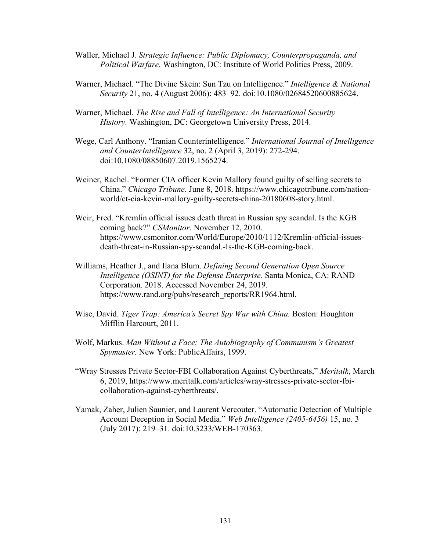- Waller, Michael J. *Strategic Influence: Public Diplomacy, Counterpropaganda, and Political Warfare.* Washington, DC: Institute of World Politics Press, 2009.
- Warner, Michael. "The Divine Skein: Sun Tzu on Intelligence." *Intelligence & National Security* 21, no. 4 (August 2006): 483–92. doi:10.1080/02684520600885624.
- Warner, Michael. *The Rise and Fall of Intelligence: An International Security History.* Washington, DC: Georgetown University Press, 2014.
- Wege, Carl Anthony. "Iranian Counterintelligence." *International Journal of Intelligence and CounterIntelligence* 32, no. 2 (April 3, 2019): 272-294. doi:10.1080/08850607.2019.1565274.
- Weiner, Rachel. "Former CIA officer Kevin Mallory found guilty of selling secrets to China." *Chicago Tribune*. June 8, 2018. https://www.chicagotribune.com/nationworld/ct-cia-kevin-mallory-guilty-secrets-china-20180608-story.html.
- Weir, Fred. "Kremlin official issues death threat in Russian spy scandal. Is the KGB coming back?" *CSMonitor*. November 12, 2010. https://www.csmonitor.com/World/Europe/2010/1112/Kremlin-official-issuesdeath-threat-in-Russian-spy-scandal.-Is-the-KGB-coming-back.
- Williams, Heather J., and Ilana Blum. *Defining Second Generation Open Source Intelligence (OSINT) for the Defense Enterprise*. Santa Monica, CA: RAND Corporation. 2018. Accessed November 24, 2019. https://www.rand.org/pubs/research\_reports/RR1964.html.
- Wise, David. *Tiger Trap: America's Secret Spy War with China.* Boston: Houghton Mifflin Harcourt, 2011.
- Wolf, Markus. *Man Without a Face: The Autobiography of Communism's Greatest Spymaster.* New York: PublicAffairs, 1999.
- "Wray Stresses Private Sector-FBI Collaboration Against Cyberthreats," *Meritalk*, March 6, 2019, https://www.meritalk.com/articles/wray-stresses-private-sector-fbicollaboration-against-cyberthreats/.
- Yamak, Zaher, Julien Saunier, and Laurent Vercouter. "Automatic Detection of Multiple Account Deception in Social Media." *Web Intelligence (2405-6456)* 15, no. 3 (July 2017): 219–31. doi:10.3233/WEB-170363.